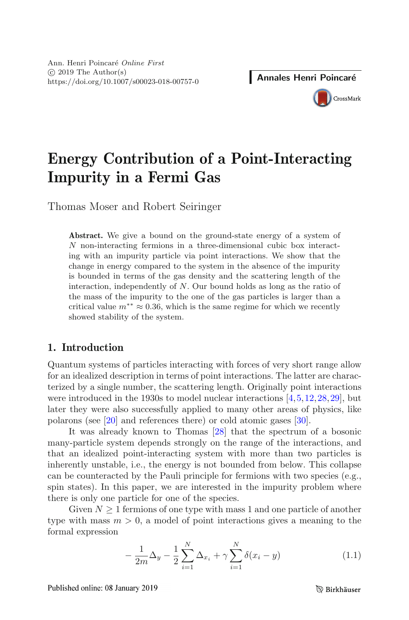# **Energy Contribution of a Point-Interacting Impurity in a Fermi Gas**

Thomas Moser and Robert Seiringer

**Abstract.** We give a bound on the ground-state energy of a system of N non-interacting fermions in a three-dimensional cubic box interacting with an impurity particle via point interactions. We show that the change in energy compared to the system in the absence of the impurity is bounded in terms of the gas density and the scattering length of the interaction, independently of N. Our bound holds as long as the ratio of the mass of the impurity to the one of the gas particles is larger than a critical value  $m^{**} \approx 0.36$ , which is the same regime for which we recently showed stability of the system.

# **1. Introduction**

Quantum systems of particles interacting with forces of very short range allow for an idealized description in terms of point interactions. The latter are characterized by a single number, the scattering length. Originally point interactions were introduced in the 1930s to model nuclear interactions [\[4](#page-38-0),[5,](#page-38-1)[12,](#page-39-0)[28](#page-40-0)[,29](#page-40-1)], but later they were also successfully applied to many other areas of physics, like polarons (see [\[20](#page-39-1)] and references there) or cold atomic gases [\[30\]](#page-40-2).

It was already known to Thomas [\[28\]](#page-40-0) that the spectrum of a bosonic many-particle system depends strongly on the range of the interactions, and that an idealized point-interacting system with more than two particles is inherently unstable, i.e., the energy is not bounded from below. This collapse can be counteracted by the Pauli principle for fermions with two species (e.g., spin states). In this paper, we are interested in the impurity problem where there is only one particle for one of the species.

Given  $N \geq 1$  fermions of one type with mass 1 and one particle of another type with mass  $m > 0$ , a model of point interactions gives a meaning to the formal expression

<span id="page-0-0"></span>
$$
-\frac{1}{2m}\Delta_y - \frac{1}{2}\sum_{i=1}^N \Delta_{x_i} + \gamma \sum_{i=1}^N \delta(x_i - y)
$$
\n(1.1)

Published online: 08 January 2019

**B** Birkhäuser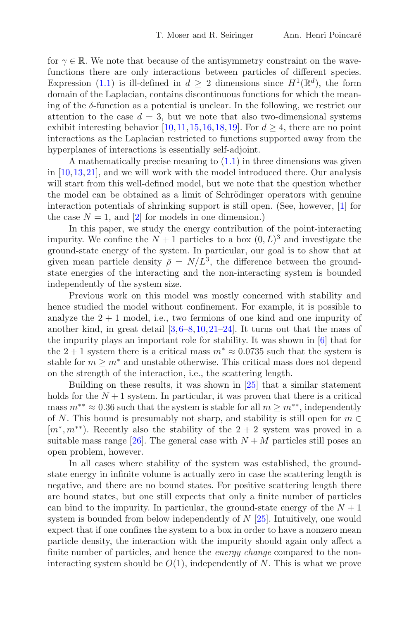for  $\gamma \in \mathbb{R}$ . We note that because of the antisymmetry constraint on the wavefunctions there are only interactions between particles of different species. Expression [\(1.1\)](#page-0-0) is ill-defined in  $d > 2$  dimensions since  $H^1(\mathbb{R}^d)$ , the form domain of the Laplacian, contains discontinuous functions for which the meaning of the  $\delta$ -function as a potential is unclear. In the following, we restrict our attention to the case  $d = 3$ , but we note that also two-dimensional systems exhibit interesting behavior [\[10](#page-39-2), 11, [15,](#page-39-4) [16,](#page-39-5) [18](#page-39-6), 19]. For  $d > 4$ , there are no point interactions as the Laplacian restricted to functions supported away from the hyperplanes of interactions is essentially self-adjoint.

A mathematically precise meaning to  $(1.1)$  in three dimensions was given in [\[10](#page-39-2)[,13](#page-39-8),[21\]](#page-39-9), and we will work with the model introduced there. Our analysis will start from this well-defined model, but we note that the question whether the model can be obtained as a limit of Schrödinger operators with genuine interaction potentials of shrinking support is still open. (See, however, [\[1](#page-38-2)] for the case  $N = 1$ , and [\[2\]](#page-38-3) for models in one dimension.)

In this paper, we study the energy contribution of the point-interacting impurity. We confine the  $N+1$  particles to a box  $(0, L)^3$  and investigate the ground-state energy of the system. In particular, our goal is to show that at given mean particle density  $\bar{\rho} = N/L^3$ , the difference between the groundstate energies of the interacting and the non-interacting system is bounded independently of the system size.

Previous work on this model was mostly concerned with stability and hence studied the model without confinement. For example, it is possible to analyze the  $2 + 1$  model, i.e., two fermions of one kind and one impurity of another kind, in great detail  $[3,6-8,10,21-24]$  $[3,6-8,10,21-24]$  $[3,6-8,10,21-24]$  $[3,6-8,10,21-24]$  $[3,6-8,10,21-24]$  $[3,6-8,10,21-24]$ . It turns out that the mass of the impurity plays an important role for stability. It was shown in [\[6](#page-38-5)] that for the 2 + 1 system there is a critical mass  $m^* \approx 0.0735$  such that the system is stable for  $m \geq m^*$  and unstable otherwise. This critical mass does not depend on the strength of the interaction, i.e., the scattering length.

Building on these results, it was shown in [\[25](#page-39-12)] that a similar statement holds for the  $N+1$  system. In particular, it was proven that there is a critical mass  $m^{**} \approx 0.36$  such that the system is stable for all  $m \geq m^{**}$ , independently of N. This bound is presumably not sharp, and stability is still open for  $m \in$  $[m^*, m^{**})$ . Recently also the stability of the 2 + 2 system was proved in a suitable mass range [\[26](#page-39-13)]. The general case with  $N + M$  particles still poses an open problem, however.

In all cases where stability of the system was established, the groundstate energy in infinite volume is actually zero in case the scattering length is negative, and there are no bound states. For positive scattering length there are bound states, but one still expects that only a finite number of particles can bind to the impurity. In particular, the ground-state energy of the  $N+1$ system is bounded from below independently of  $N$  [\[25\]](#page-39-12). Intuitively, one would expect that if one confines the system to a box in order to have a nonzero mean particle density, the interaction with the impurity should again only affect a finite number of particles, and hence the *energy change* compared to the noninteracting system should be  $O(1)$ , independently of N. This is what we prove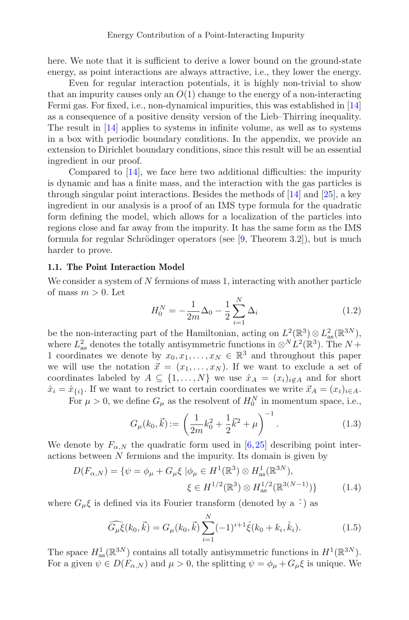here. We note that it is sufficient to derive a lower bound on the ground-state energy, as point interactions are always attractive, i.e., they lower the energy.

Even for regular interaction potentials, it is highly non-trivial to show that an impurity causes only an  $O(1)$  change to the energy of a non-interacting Fermi gas. For fixed, i.e., non-dynamical impurities, this was established in [\[14\]](#page-39-14) as a consequence of a positive density version of the Lieb–Thirring inequality. The result in [\[14](#page-39-14)] applies to systems in infinite volume, as well as to systems in a box with periodic boundary conditions. In the appendix, we provide an extension to Dirichlet boundary conditions, since this result will be an essential ingredient in our proof.

Compared to [\[14\]](#page-39-14), we face here two additional difficulties: the impurity is dynamic and has a finite mass, and the interaction with the gas particles is through singular point interactions. Besides the methods of [\[14](#page-39-14)] and [\[25\]](#page-39-12), a key ingredient in our analysis is a proof of an IMS type formula for the quadratic form defining the model, which allows for a localization of the particles into regions close and far away from the impurity. It has the same form as the IMS formula for regular Schrödinger operators (see  $[9,$  $[9,$  Theorem 3.2]), but is much harder to prove.

#### **1.1. The Point Interaction Model**

We consider a system of N fermions of mass 1, interacting with another particle of mass  $m > 0$ . Let

$$
H_0^N = -\frac{1}{2m}\Delta_0 - \frac{1}{2}\sum_{i=1}^N \Delta_i
$$
\n(1.2)

be the non-interacting part of the Hamiltonian, acting on  $L^2(\mathbb{R}^3) \otimes L^2_{\text{as}}(\mathbb{R}^{3N})$ , where  $L_{\text{as}}^2$  denotes the totally antisymmetric functions in  $\otimes^N L^2(\mathbb{R}^3)$ . The  $N +$ 1 coordinates we denote by  $x_0, x_1, \ldots, x_N \in \mathbb{R}^3$  and throughout this paper we will use the notation  $\vec{x} = (x_1, \ldots, x_N)$ . If we want to exclude a set of coordinates labeled by  $A \subseteq \{1,\ldots,N\}$  we use  $\hat{x}_A = (x_i)_{i \notin A}$  and for short  $\hat{x}_i = \hat{x}_{\{i\}}$ . If we want to restrict to certain coordinates we write  $\vec{x}_A = (x_i)_{i \in A}$ .

For  $\mu > 0$ , we define  $G_{\mu}$  as the resolvent of  $H_0^N$  in momentum space, i.e.,

$$
G_{\mu}(k_0, \vec{k}) := \left(\frac{1}{2m}k_0^2 + \frac{1}{2}\vec{k}^2 + \mu\right)^{-1}.
$$
 (1.3)

We denote by  $F_{\alpha,N}$  the quadratic form used in [\[6,](#page-38-5)[25](#page-39-12)] describing point interactions between N fermions and the impurity. Its domain is given by

$$
D(F_{\alpha,N}) = \{ \psi = \phi_{\mu} + G_{\mu} \xi \mid \phi_{\mu} \in H^{1}(\mathbb{R}^{3}) \otimes H^{1}_{\text{as}}(\mathbb{R}^{3N}), \xi \in H^{1/2}(\mathbb{R}^{3}) \otimes H^{1/2}_{\text{as}}(\mathbb{R}^{3(N-1)}) \}
$$
(1.4)

where  $G_{\mu}\xi$  is defined via its Fourier transform (denoted by a  $\hat{\cdot}$ ) as

<span id="page-2-0"></span>
$$
\widehat{G_{\mu}\xi}(k_0, \vec{k}) = G_{\mu}(k_0, \vec{k}) \sum_{i=1}^{N} (-1)^{i+1} \hat{\xi}(k_0 + k_i, \hat{k}_i).
$$
 (1.5)

The space  $H_{\text{as}}^1(\mathbb{R}^{3N})$  contains all totally antisymmetric functions in  $H^1(\mathbb{R}^{3N})$ . For a given  $\psi \in D(F_{\alpha,N})$  and  $\mu > 0$ , the splitting  $\psi = \phi_{\mu} + G_{\mu}\xi$  is unique. We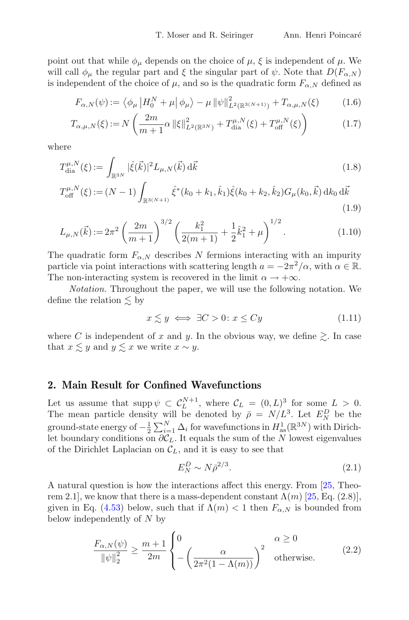point out that while  $\phi_{\mu}$  depends on the choice of  $\mu$ ,  $\xi$  is independent of  $\mu$ . We will call  $\phi_{\mu}$  the regular part and  $\xi$  the singular part of  $\psi$ . Note that  $D(F_{\alpha,N})$ is independent of the choice of  $\mu$ , and so is the quadratic form  $F_{\alpha,N}$  defined as

<span id="page-3-2"></span>
$$
F_{\alpha,N}(\psi) := \left\langle \phi_{\mu} \left| H_0^N + \mu \right| \phi_{\mu} \right\rangle - \mu \left\| \psi \right\|_{L^2(\mathbb{R}^{3(N+1)})}^2 + T_{\alpha,\mu,N}(\xi) \tag{1.6}
$$

$$
T_{\alpha,\mu,N}(\xi) := N\left(\frac{2m}{m+1}\alpha \left\|\xi\right\|_{L^2(\mathbb{R}^{3N})}^2 + T_{\text{dia}}^{\mu,N}(\xi) + T_{\text{off}}^{\mu,N}(\xi)\right) \tag{1.7}
$$

where

$$
T_{\text{dia}}^{\mu,N}(\xi) := \int_{\mathbb{R}^{3N}} |\hat{\xi}(\vec{k})|^2 L_{\mu,N}(\vec{k}) \, d\vec{k} \tag{1.8}
$$

$$
T_{\text{off}}^{\mu,N}(\xi) := (N-1) \int_{\mathbb{R}^{3(N+1)}} \hat{\xi}^*(k_0 + k_1, \hat{k}_1) \hat{\xi}(k_0 + k_2, \hat{k}_2) G_{\mu}(k_0, \vec{k}) \, \mathrm{d}k_0 \, \mathrm{d}\vec{k}
$$
\n(1.9)

$$
L_{\mu,N}(\vec{k}) := 2\pi^2 \left(\frac{2m}{m+1}\right)^{3/2} \left(\frac{k_1^2}{2(m+1)} + \frac{1}{2}\hat{k}_1^2 + \mu\right)^{1/2}.
$$
 (1.10)

The quadratic form  $F_{\alpha,N}$  describes N fermions interacting with an impurity particle via point interactions with scattering length  $a = -2\pi^2/\alpha$ , with  $\alpha \in \mathbb{R}$ . The non-interacting system is recovered in the limit  $\alpha \to +\infty$ .

*Notation.* Throughout the paper, we will use the following notation. We define the relation  $\lesssim$  by

<span id="page-3-1"></span>
$$
x \lesssim y \iff \exists C > 0 \colon x \le Cy \tag{1.11}
$$

where C is independent of x and y. In the obvious way, we define  $\gtrsim$ . In case that  $x \lesssim y$  and  $y \lesssim x$  we write  $x \sim y$ .

#### <span id="page-3-3"></span>**2. Main Result for Confined Wavefunctions**

Let us assume that  $\text{supp}\,\psi \subset C_L^{N+1}$ , where  $\mathcal{C}_L = (0,L)^3$  for some  $L > 0$ . The mean particle density will be denoted by  $\bar{\rho} = N/L^3$ . Let  $E_N^D$  be the ground-state energy of  $-\frac{1}{2}\sum_{i=1}^{N} \Delta_i$  for wavefunctions in  $H_{\text{as}}^1(\mathbb{R}^{3N})$  with Dirichlet boundary conditions on  $\partial \mathcal{C}_L$ . It equals the sum of the N lowest eigenvalues of the Dirichlet Laplacian on  $\mathcal{C}_L$ , and it is easy to see that

$$
E_N^D \sim N \bar{\rho}^{2/3}.\tag{2.1}
$$

A natural question is how the interactions affect this energy. From [\[25,](#page-39-12) Theorem 2.1], we know that there is a mass-dependent constant  $\Lambda(m)$  [\[25](#page-39-12), Eq. (2.8)], given in Eq. [\(4.53\)](#page-20-0) below, such that if  $\Lambda(m) < 1$  then  $F_{\alpha,N}$  is bounded from below independently of N by

<span id="page-3-0"></span>
$$
\frac{F_{\alpha,N}(\psi)}{\|\psi\|_2^2} \ge \frac{m+1}{2m} \begin{cases} 0 & \alpha \ge 0\\ -\left(\frac{\alpha}{2\pi^2(1-\Lambda(m))}\right)^2 & \text{otherwise.} \end{cases}
$$
 (2.2)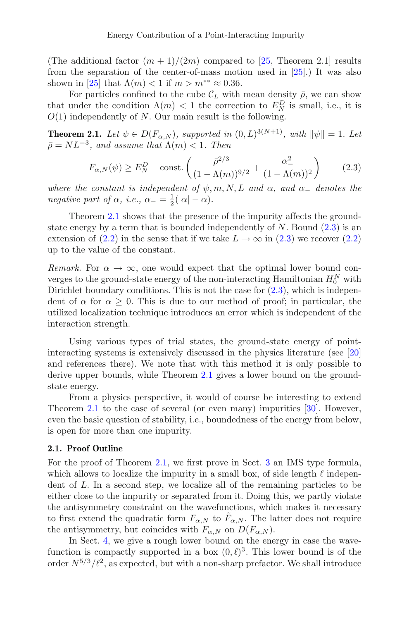(The additional factor  $(m + 1)/(2m)$  compared to [\[25,](#page-39-12) Theorem 2.1] results from the separation of the center-of-mass motion used in [\[25\]](#page-39-12).) It was also shown in [\[25\]](#page-39-12) that  $\Lambda(m) < 1$  if  $m > m^{**} \approx 0.36$ .

For particles confined to the cube  $\mathcal{C}_L$  with mean density  $\bar{\rho}$ , we can show that under the condition  $\Lambda(m) < 1$  the correction to  $E_N^D$  is small, i.e., it is  $O(1)$  independently of N. Our main result is the following.

<span id="page-4-0"></span>**Theorem 2.1.** *Let*  $\psi \in D(F_{\alpha,N})$ *, supported in*  $(0,L)^{3(N+1)}$ *, with*  $\|\psi\| = 1$ *. Let*  $\bar{\rho} = NL^{-3}$ , and assume that  $\Lambda(m) < 1$ . Then

<span id="page-4-1"></span>
$$
F_{\alpha,N}(\psi) \ge E_N^D - \text{const.} \left( \frac{\bar{\rho}^{2/3}}{(1 - \Lambda(m))^{9/2}} + \frac{\alpha_-^2}{(1 - \Lambda(m))^2} \right) \tag{2.3}
$$

*where the constant is independent of*  $\psi, m, N, L$  *and*  $\alpha$ *, and*  $\alpha$ <sub>–</sub> *denotes the negative part of*  $\alpha$ *, i.e.,*  $\alpha_-=\frac{1}{2}(|\alpha|-\alpha)$ *.* 

Theorem [2.1](#page-4-0) shows that the presence of the impurity affects the groundstate energy by a term that is bounded independently of  $N$ . Bound  $(2.3)$  is an extension of [\(2.2\)](#page-3-0) in the sense that if we take  $L \to \infty$  in [\(2.3\)](#page-4-1) we recover (2.2) up to the value of the constant.

*Remark.* For  $\alpha \to \infty$ , one would expect that the optimal lower bound converges to the ground-state energy of the non-interacting Hamiltonian  $H_0^N$  with Dirichlet boundary conditions. This is not the case for  $(2.3)$ , which is independent of  $\alpha$  for  $\alpha > 0$ . This is due to our method of proof; in particular, the utilized localization technique introduces an error which is independent of the interaction strength.

Using various types of trial states, the ground-state energy of pointinteracting systems is extensively discussed in the physics literature (see [\[20\]](#page-39-1) and references there). We note that with this method it is only possible to derive upper bounds, while Theorem [2.1](#page-4-0) gives a lower bound on the groundstate energy.

From a physics perspective, it would of course be interesting to extend Theorem [2.1](#page-4-0) to the case of several (or even many) impurities [\[30](#page-40-2)]. However, even the basic question of stability, i.e., boundedness of the energy from below, is open for more than one impurity.

#### **2.1. Proof Outline**

For the proof of Theorem [2.1,](#page-4-0) we first prove in Sect. [3](#page-5-0) an IMS type formula, which allows to localize the impurity in a small box, of side length  $\ell$  independent of L. In a second step, we localize all of the remaining particles to be either close to the impurity or separated from it. Doing this, we partly violate the antisymmetry constraint on the wavefunctions, which makes it necessary to first extend the quadratic form  $F_{\alpha,N}$  to  $\tilde{F}_{\alpha,N}$ . The latter does not require the antisymmetry, but coincides with  $F_{\alpha,N}$  on  $D(F_{\alpha,N}).$ 

In Sect. [4,](#page-11-0) we give a rough lower bound on the energy in case the wavefunction is compactly supported in a box  $(0, \ell)^3$ . This lower bound is of the order  $N^{5/3}/\ell^2$ , as expected, but with a non-sharp prefactor. We shall introduce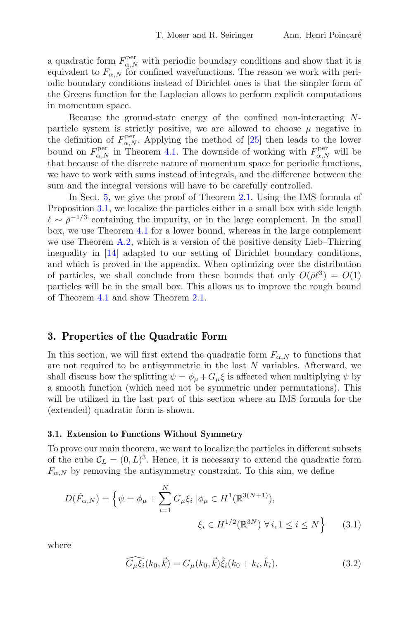a quadratic form  $F_{\alpha,N}^{\text{per}}$  with periodic boundary conditions and show that it is equivalent to  $F_{\alpha,N}$  for confined wavefunctions. The reason we work with periodic boundary conditions instead of Dirichlet ones is that the simpler form of the Greens function for the Laplacian allows to perform explicit computations in momentum space.

Because the ground-state energy of the confined non-interacting Nparticle system is strictly positive, we are allowed to choose  $\mu$  negative in the definition of  $F_{\alpha,N}^{\text{per}}$ . Applying the method of [\[25\]](#page-39-12) then leads to the lower bound on  $F_{\alpha,N}^{\text{per}}$  in Theorem [4.1.](#page-11-1) The downside of working with  $F_{\alpha,N}^{\text{per}}$  will be that because of the discrete nature of momentum space for periodic functions, we have to work with sums instead of integrals, and the difference between the sum and the integral versions will have to be carefully controlled.

In Sect. [5,](#page-24-0) we give the proof of Theorem [2.1.](#page-4-0) Using the IMS formula of Proposition [3.1,](#page-9-0) we localize the particles either in a small box with side length  $\ell \sim \bar{\rho}^{-1/3}$  containing the impurity, or in the large complement. In the small box, we use Theorem [4.1](#page-11-1) for a lower bound, whereas in the large complement we use Theorem [A.2,](#page-36-0) which is a version of the positive density Lieb–Thirring inequality in [\[14\]](#page-39-14) adapted to our setting of Dirichlet boundary conditions, and which is proved in the appendix. When optimizing over the distribution of particles, we shall conclude from these bounds that only  $O(\bar{\rho}\ell^3) = O(1)$ particles will be in the small box. This allows us to improve the rough bound of Theorem [4.1](#page-11-1) and show Theorem [2.1.](#page-4-0)

#### <span id="page-5-0"></span>**3. Properties of the Quadratic Form**

In this section, we will first extend the quadratic form  $F_{\alpha,N}$  to functions that are not required to be antisymmetric in the last  $N$  variables. Afterward, we shall discuss how the splitting  $\psi = \phi_{\mu} + G_{\mu}\xi$  is affected when multiplying  $\psi$  by a smooth function (which need not be symmetric under permutations). This will be utilized in the last part of this section where an IMS formula for the (extended) quadratic form is shown.

#### **3.1. Extension to Functions Without Symmetry**

To prove our main theorem, we want to localize the particles in different subsets of the cube  $\mathcal{C}_L = (0, L)^3$ . Hence, it is necessary to extend the quadratic form  $F_{\alpha,N}$  by removing the antisymmetry constraint. To this aim, we define

$$
D(\tilde{F}_{\alpha,N}) = \left\{ \psi = \phi_{\mu} + \sum_{i=1}^{N} G_{\mu} \xi_i \mid \phi_{\mu} \in H^1(\mathbb{R}^{3(N+1)}),
$$
  

$$
\xi_i \in H^{1/2}(\mathbb{R}^{3N}) \,\forall \, i, 1 \le i \le N \right\} \tag{3.1}
$$

where

<span id="page-5-1"></span>
$$
\widehat{G_{\mu}\xi_i}(k_0, \vec{k}) = G_{\mu}(k_0, \vec{k})\hat{\xi}_i(k_0 + k_i, \hat{k}_i).
$$
\n(3.2)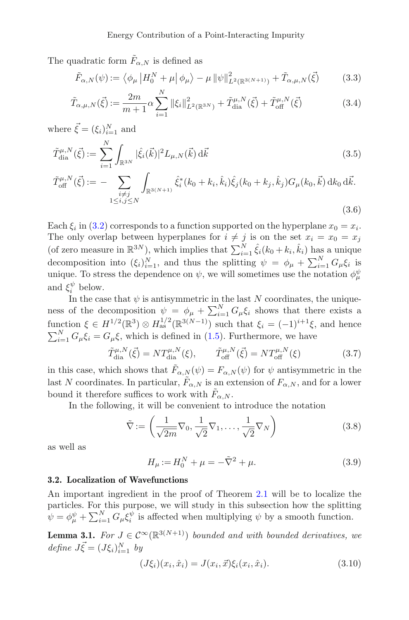The quadratic form  $\tilde{F}_{\alpha,N}$  is defined as

<span id="page-6-4"></span>
$$
\tilde{F}_{\alpha,N}(\psi) := \left\langle \phi_\mu \left| H_0^N + \mu \right| \phi_\mu \right\rangle - \mu \left\| \psi \right\|_{L^2(\mathbb{R}^{3(N+1)})}^2 + \tilde{T}_{\alpha,\mu,N}(\vec{\xi}) \tag{3.3}
$$

$$
\tilde{T}_{\alpha,\mu,N}(\vec{\xi}) := \frac{2m}{m+1} \alpha \sum_{i=1}^{N} ||\xi_i||_{L^2(\mathbb{R}^{3N})}^2 + \tilde{T}_{\text{dia}}^{\mu,N}(\vec{\xi}) + \tilde{T}_{\text{off}}^{\mu,N}(\vec{\xi})
$$
\n(3.4)

where  $\vec{\xi} = (\xi_i)_{i=1}^N$  and

$$
\tilde{T}^{\mu,N}_{\text{dia}}(\vec{\xi}) := \sum_{i=1}^{N} \int_{\mathbb{R}^{3N}} |\hat{\xi}_i(\vec{k})|^2 L_{\mu,N}(\vec{k}) \, d\vec{k} \tag{3.5}
$$

$$
\tilde{T}_{\text{off}}^{\mu,N}(\vec{\xi}) := -\sum_{\substack{i \neq j \\ 1 \leq i,j \leq N}} \int_{\mathbb{R}^{3(N+1)}} \hat{\xi}_i^*(k_0 + k_i, \hat{k}_i) \hat{\xi}_j(k_0 + k_j, \hat{k}_j) G_{\mu}(k_0, \vec{k}) \, \mathrm{d}k_0 \, \mathrm{d}\vec{k}.\tag{3.6}
$$

Each  $\xi_i$  in [\(3.2\)](#page-5-1) corresponds to a function supported on the hyperplane  $x_0 = x_i$ . The only overlap between hyperplanes for  $i \neq j$  is on the set  $x_i = x_0 = x_j$ (of zero measure in  $\mathbb{R}^{3N}$ ), which implies that  $\sum_{i=1}^{N} \hat{\xi}_i (k_0 + k_i, \hat{k}_i)$  has a unique decomposition into  $(\xi_i)_{i=1}^N$ , and thus the splitting  $\psi = \phi_\mu + \sum_{i=1}^N G_\mu \xi_i$  is unique. To stress the dependence on  $\psi$ , we will sometimes use the notation  $\phi_{\mu}^{\psi}$ and  $\xi_i^{\psi}$  below.

In the case that  $\psi$  is antisymmetric in the last N coordinates, the uniqueness of the decomposition  $\psi = \phi_{\mu} + \sum_{i=1}^{N} G_{\mu} \xi_i$  shows that there exists a function  $\xi \in H^{1/2}(\mathbb{R}^3) \otimes H_{\text{as}}^{1/2}(\mathbb{R}^{3(N-1)})$  such that  $\xi_i = (-1)^{i+1}\xi$ , and hence  $\sum_{i=1}^{N} G_{\mu} \xi_i = G_{\mu} \xi$ , which is defined in [\(1.5\)](#page-2-0). Furthermore, we have

<span id="page-6-5"></span>
$$
\tilde{T}^{\mu,N}_{\text{dia}}(\vec{\xi}) = NT^{\mu,N}_{\text{dia}}(\xi), \qquad \tilde{T}^{\mu,N}_{\text{off}}(\vec{\xi}) = NT^{\mu,N}_{\text{off}}(\xi)
$$
\n(3.7)

in this case, which shows that  $\tilde{F}_{\alpha,N}(\psi) = F_{\alpha,N}(\psi)$  for  $\psi$  antisymmetric in the last N coordinates. In particular,  $\tilde{F}_{\alpha,N}$  is an extension of  $F_{\alpha,N}$ , and for a lower bound it therefore suffices to work with  $F_{\alpha,N}$ .

In the following, it will be convenient to introduce the notation

<span id="page-6-1"></span>
$$
\tilde{\nabla} := \left(\frac{1}{\sqrt{2m}}\nabla_0, \frac{1}{\sqrt{2}}\nabla_1, \dots, \frac{1}{\sqrt{2}}\nabla_N\right)
$$
\n(3.8)

as well as

<span id="page-6-2"></span>
$$
H_{\mu} := H_0^N + \mu = -\tilde{\nabla}^2 + \mu.
$$
 (3.9)

#### **3.2. Localization of Wavefunctions**

An important ingredient in the proof of Theorem [2.1](#page-4-0) will be to localize the particles. For this purpose, we will study in this subsection how the splitting  $\psi = \phi^{\psi}_{\mu} + \sum_{i=1}^{N} G_{\mu} \xi^{\psi}_{i}$  is affected when multiplying  $\psi$  by a smooth function.

<span id="page-6-3"></span>**Lemma 3.1.** *For*  $J \in \mathcal{C}^{\infty}(\mathbb{R}^{3(N+1)})$  *bounded and with bounded derivatives, we*  $define \ \vec{J}\cdot\vec{\xi} = (J\xi_i)_{i=1}^N \ by$ 

<span id="page-6-0"></span>
$$
(J\xi_i)(x_i, \hat{x}_i) = J(x_i, \vec{x})\xi_i(x_i, \hat{x}_i). \tag{3.10}
$$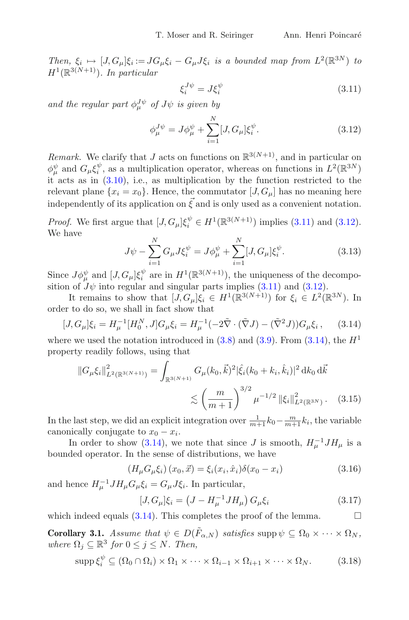*Then,*  $\xi_i \mapsto [J, G_\mu]\xi_i := JG_\mu\xi_i - G_\mu J\xi_i$  *is a bounded map from*  $L^2(\mathbb{R}^{3N})$  *to*  $H^1(\mathbb{R}^{3(N+1)})$ *. In particular* 

<span id="page-7-0"></span>
$$
\xi_i^{J\psi} = J\xi_i^{\psi} \tag{3.11}
$$

and the regular part  $\phi_{\mu}^{J\psi}$  of  $J\psi$  is given by

<span id="page-7-1"></span>
$$
\phi_{\mu}^{J\psi} = J\phi_{\mu}^{\psi} + \sum_{i=1}^{N} [J, G_{\mu}] \xi_{i}^{\psi}.
$$
\n(3.12)

*Remark.* We clarify that J acts on functions on  $\mathbb{R}^{3(N+1)}$ , and in particular on  $\phi^{\psi}_{\mu}$  and  $G_{\mu}\xi^{\psi}_{i}$ , as a multiplication operator, whereas on functions in  $L^{2}(\mathbb{R}^{3N})$ it acts as in [\(3.10\)](#page-6-0), i.e., as multiplication by the function restricted to the relevant plane  $\{x_i = x_0\}$ . Hence, the commutator  $[J, G_\mu]$  has no meaning here independently of its application on  $\vec{\xi}$  and is only used as a convenient notation.

*Proof.* We first argue that  $[J, G_{\mu}]\xi_i^{\psi} \in H^1(\mathbb{R}^{3(N+1)})$  implies [\(3.11\)](#page-7-0) and [\(3.12\)](#page-7-1). We have

$$
J\psi - \sum_{i=1}^{N} G_{\mu} J \xi_i^{\psi} = J\phi_{\mu}^{\psi} + \sum_{i=1}^{N} [J, G_{\mu}] \xi_i^{\psi}.
$$
 (3.13)

Since  $J\phi_{\mu}^{\psi}$  and  $[J, G_{\mu}]\xi_i^{\psi}$  are in  $H^1(\mathbb{R}^{3(N+1)})$ , the uniqueness of the decomposition of  $J\psi$  into regular and singular parts implies [\(3.11\)](#page-7-0) and [\(3.12\)](#page-7-1).

It remains to show that  $[J, G_{\mu}]\xi_i \in H^1(\mathbb{R}^{3(N+1)})$  for  $\xi_i \in L^2(\mathbb{R}^{3N})$ . In order to do so, we shall in fact show that

<span id="page-7-2"></span>
$$
[J, G_{\mu}]\xi_i = H_{\mu}^{-1}[H_0^N, J]G_{\mu}\xi_i = H_{\mu}^{-1}(-2\tilde{\nabla} \cdot (\tilde{\nabla}J) - (\tilde{\nabla}^2 J))G_{\mu}\xi_i, \qquad (3.14)
$$

where we used the notation introduced in  $(3.8)$  and  $(3.9)$ . From  $(3.14)$ , the  $H<sup>1</sup>$ property readily follows, using that

$$
||G_{\mu}\xi_i||_{L^2(\mathbb{R}^{3(N+1)})}^2 = \int_{\mathbb{R}^{3(N+1)}} G_{\mu}(k_0, \vec{k})^2 |\hat{\xi}_i(k_0 + k_i, \hat{k}_i)|^2 dk_0 d\vec{k}
$$
  
\$\lesssim \left(\frac{m}{m+1}\right)^{3/2} \mu^{-1/2} ||\xi\_i||\_{L^2(\mathbb{R}^{3N})}^2. (3.15)

In the last step, we did an explicit integration over  $\frac{1}{m+1}k_0 - \frac{m}{m+1}k_i$ , the variable canonically conjugate to  $x_0 - x_i$ .

In order to show [\(3.14\)](#page-7-2), we note that since J is smooth,  $H_u^{-1}JH_u$  is a bounded operator. In the sense of distributions, we have

$$
(H_{\mu}G_{\mu}\xi_i)(x_0, \vec{x}) = \xi_i(x_i, \hat{x}_i)\delta(x_0 - x_i)
$$
\n(3.16)

and hence  $H_{\mu}^{-1} J H_{\mu} G_{\mu} \xi_i = G_{\mu} J \xi_i$ . In particular,

$$
[J, G_{\mu}]\xi_i = (J - H_{\mu}^{-1} J H_{\mu}) G_{\mu}\xi_i
$$
 (3.17)

which indeed equals  $(3.14)$ . This completes the proof of the lemma.

<span id="page-7-3"></span>**Corollary 3.1.** *Assume that*  $\psi \in D(\tilde{F}_{\alpha,N})$  *satisfies* supp  $\psi \subseteq \Omega_0 \times \cdots \times \Omega_N$ *, where*  $\Omega_j \subseteq \mathbb{R}^3$  *for*  $0 \leq j \leq N$ *. Then,* 

$$
\operatorname{supp}\xi_i^{\psi} \subseteq (\Omega_0 \cap \Omega_i) \times \Omega_1 \times \cdots \times \Omega_{i-1} \times \Omega_{i+1} \times \cdots \times \Omega_N. \tag{3.18}
$$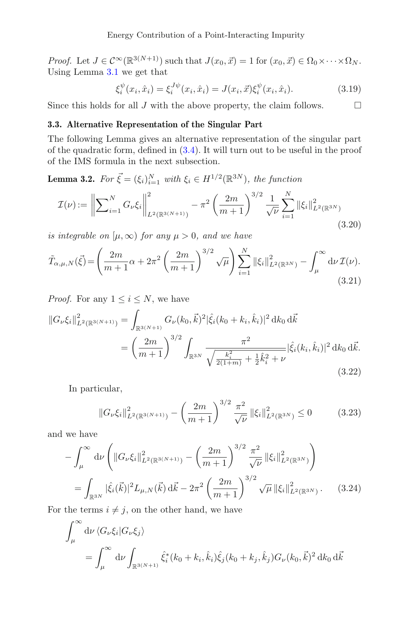*Proof.* Let  $J \in C^{\infty}(\mathbb{R}^{3(N+1)})$  such that  $J(x_0, \vec{x}) = 1$  for  $(x_0, \vec{x}) \in \Omega_0 \times \cdots \times \Omega_N$ . Using Lemma [3.1](#page-6-3) we get that

$$
\xi_i^{\psi}(x_i, \hat{x}_i) = \xi_i^{J\psi}(x_i, \hat{x}_i) = J(x_i, \vec{x}) \xi_i^{\psi}(x_i, \hat{x}_i). \tag{3.19}
$$

Since this holds for all  $J$  with the above property, the claim follows.  $\Box$ 

#### **3.3. Alternative Representation of the Singular Part**

The following Lemma gives an alternative representation of the singular part of the quadratic form, defined in [\(3.4\)](#page-6-4). It will turn out to be useful in the proof of the IMS formula in the next subsection.

**Lemma 3.2.** *For*  $\vec{\xi} = (\xi_i)_{i=1}^N$  *with*  $\xi_i \in H^{1/2}(\mathbb{R}^{3N})$ *, the function* 

$$
\mathcal{I}(\nu) := \left\| \sum_{i=1}^{N} G_{\nu} \xi_i \right\|_{L^2(\mathbb{R}^{3(N+1)})}^2 - \pi^2 \left( \frac{2m}{m+1} \right)^{3/2} \frac{1}{\sqrt{\nu}} \sum_{i=1}^{N} \|\xi_i\|_{L^2(\mathbb{R}^{3N})}^2
$$
\n(3.20)

*is integrable on*  $[\mu, \infty)$  *for any*  $\mu > 0$ *, and we have* 

<span id="page-8-0"></span>
$$
\tilde{T}_{\alpha,\mu,N}(\vec{\xi}) = \left(\frac{2m}{m+1}\alpha + 2\pi^2 \left(\frac{2m}{m+1}\right)^{3/2} \sqrt{\mu}\right) \sum_{i=1}^N \|\xi_i\|_{L^2(\mathbb{R}^{3N})}^2 - \int_{\mu}^{\infty} d\nu \, \mathcal{I}(\nu).
$$
\n(3.21)

*Proof.* For any  $1 \leq i \leq N$ , we have

$$
||G_{\nu}\xi_i||_{L^2(\mathbb{R}^{3(N+1)})}^2 = \int_{\mathbb{R}^{3(N+1)}} G_{\nu}(k_0, \vec{k})^2 |\hat{\xi}_i(k_0 + k_i, \hat{k}_i)|^2 dk_0 d\vec{k}
$$
  
= 
$$
\left(\frac{2m}{m+1}\right)^{3/2} \int_{\mathbb{R}^{3N}} \frac{\pi^2}{\sqrt{\frac{k_i^2}{2(1+m)} + \frac{1}{2}\hat{k}_i^2 + \nu}} |\hat{\xi}_i(k_i, \hat{k}_i)|^2 dk_0 d\vec{k}.
$$
 (3.22)

In particular,

$$
||G_{\nu}\xi_i||_{L^2(\mathbb{R}^{3(N+1)})}^2 - \left(\frac{2m}{m+1}\right)^{3/2} \frac{\pi^2}{\sqrt{\nu}} ||\xi_i||_{L^2(\mathbb{R}^{3N})}^2 \le 0 \tag{3.23}
$$

and we have

$$
-\int_{\mu}^{\infty} d\nu \left( \|G_{\nu}\xi_i\|_{L^2(\mathbb{R}^{3(N+1)})}^2 - \left(\frac{2m}{m+1}\right)^{3/2} \frac{\pi^2}{\sqrt{\nu}} \|\xi_i\|_{L^2(\mathbb{R}^{3N})}^2 \right)
$$
  

$$
= \int_{\mathbb{R}^{3N}} |\hat{\xi}_i(\vec{k})|^2 L_{\mu,N}(\vec{k}) d\vec{k} - 2\pi^2 \left(\frac{2m}{m+1}\right)^{3/2} \sqrt{\mu} \|\xi_i\|_{L^2(\mathbb{R}^{3N})}^2.
$$
 (3.24)

For the terms  $i \neq j$ , on the other hand, we have

$$
\int_{\mu}^{\infty} d\nu \langle G_{\nu} \xi_i | G_{\nu} \xi_j \rangle
$$
  
= 
$$
\int_{\mu}^{\infty} d\nu \int_{\mathbb{R}^{3(N+1)}} \hat{\xi}_i^* (k_0 + k_i, \hat{k}_i) \hat{\xi}_j (k_0 + k_j, \hat{k}_j) G_{\nu} (k_0, \vec{k})^2 d k_0 d\vec{k}
$$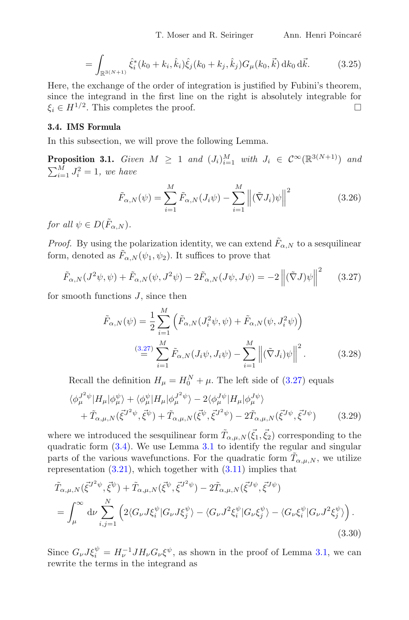$$
= \int_{\mathbb{R}^{3(N+1)}} \hat{\xi}_i^*(k_0 + k_i, \hat{k}_i) \hat{\xi}_j(k_0 + k_j, \hat{k}_j) G_\mu(k_0, \vec{k}) \, \mathrm{d}k_0 \, \mathrm{d}\vec{k}.\tag{3.25}
$$

Here, the exchange of the order of integration is justified by Fubini's theorem, since the integrand in the first line on the right is absolutely integrable for  $\xi_i \in H^{1/2}$ . This completes the proof.

#### **3.4. IMS Formula**

In this subsection, we will prove the following Lemma.

<span id="page-9-0"></span>**Proposition 3.1.** *Given*  $M \geq 1$  *and*  $(J_i)_{i=1}^M$  *with*  $J_i \in C^\infty(\mathbb{R}^{3(N+1)})$  *and*  $\sum_{i=1}^M J_i^2 = 1$ , we have

$$
\tilde{F}_{\alpha,N}(\psi) = \sum_{i=1}^{M} \tilde{F}_{\alpha,N}(J_i\psi) - \sum_{i=1}^{M} \left\| (\tilde{\nabla} J_i)\psi \right\|^2 \tag{3.26}
$$

*for all*  $\psi \in D(\tilde{F}_{\alpha N}).$ 

*Proof.* By using the polarization identity, we can extend  $\tilde{F}_{\alpha,N}$  to a sesquilinear form, denoted as  $\tilde{F}_{\alpha,N}(\psi_1,\psi_2)$ . It suffices to prove that

<span id="page-9-1"></span>
$$
\tilde{F}_{\alpha,N}(J^2\psi,\psi) + \tilde{F}_{\alpha,N}(\psi,J^2\psi) - 2\tilde{F}_{\alpha,N}(J\psi,J\psi) = -2\left\| (\tilde{\nabla}J)\psi \right\|^2 \qquad (3.27)
$$

for smooth functions  $J$ , since then

<span id="page-9-3"></span>
$$
\tilde{F}_{\alpha,N}(\psi) = \frac{1}{2} \sum_{i=1}^{M} \left( \tilde{F}_{\alpha,N}(J_i^2 \psi, \psi) + \tilde{F}_{\alpha,N}(\psi, J_i^2 \psi) \right)
$$
\n
$$
\stackrel{(3.27)}{=} \sum_{i=1}^{M} \tilde{F}_{\alpha,N}(J_i \psi, J_i \psi) - \sum_{i=1}^{M} \left\| (\tilde{\nabla} J_i) \psi \right\|^2.
$$
\n(3.28)

Recall the definition  $H_{\mu} = H_0^N + \mu$ . The left side of [\(3.27\)](#page-9-1) equals

$$
\langle \phi_{\mu}^{J^2 \psi} | H_{\mu} | \phi_{\mu}^{\psi} \rangle + \langle \phi_{\mu}^{\psi} | H_{\mu} | \phi_{\mu}^{J^2 \psi} \rangle - 2 \langle \phi_{\mu}^{J\psi} | H_{\mu} | \phi_{\mu}^{J\psi} \rangle + \tilde{T}_{\alpha,\mu,N} (\vec{\xi}^{J^2 \psi}, \vec{\xi}^{\psi}) + \tilde{T}_{\alpha,\mu,N} (\vec{\xi}^{\psi}, \vec{\xi}^{J^2 \psi}) - 2 \tilde{T}_{\alpha,\mu,N} (\vec{\xi}^{J\psi}, \vec{\xi}^{J\psi})
$$
(3.29)

where we introduced the sesquilinear form  $\tilde{T}_{\alpha,\mu,N}(\vec{\xi}_1,\vec{\xi}_2)$  corresponding to the quadratic form [\(3.4\)](#page-6-4). We use Lemma [3.1](#page-6-3) to identify the regular and singular parts of the various wavefunctions. For the quadratic form  $\tilde{T}_{\alpha,\mu,N}$ , we utilize representation  $(3.21)$ , which together with  $(3.11)$  implies that

<span id="page-9-2"></span>
$$
\tilde{T}_{\alpha,\mu,N}(\vec{\xi}^{J^2\psi},\vec{\xi}^{\psi}) + \tilde{T}_{\alpha,\mu,N}(\vec{\xi}^{\psi},\vec{\xi}^{J^2\psi}) - 2\tilde{T}_{\alpha,\mu,N}(\vec{\xi}^{J\psi},\vec{\xi}^{J\psi})
$$
\n
$$
= \int_{\mu}^{\infty} d\nu \sum_{i,j=1}^{N} \left( 2\langle G_{\nu}J\xi_{i}^{\psi} | G_{\nu}J\xi_{j}^{\psi} \rangle - \langle G_{\nu}J^2\xi_{i}^{\psi} | G_{\nu}\xi_{j}^{\psi} \rangle - \langle G_{\nu}\xi_{i}^{\psi} | G_{\nu}J^2\xi_{j}^{\psi} \rangle \right). \tag{3.30}
$$

Since  $G_{\nu}J\xi_i^{\psi} = H_{\nu}^{-1}JH_{\nu}G_{\nu}\xi^{\psi}$ , as shown in the proof of Lemma [3.1,](#page-6-3) we can rewrite the terms in the integrand as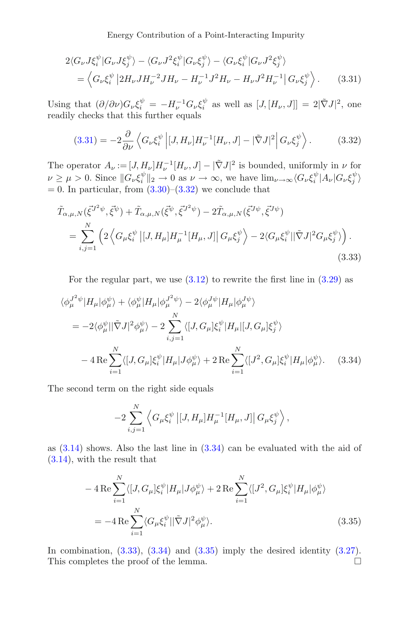<span id="page-10-0"></span>Energy Contribution of a Point-Interacting Impurity

$$
2\langle G_{\nu}J\xi_i^{\psi}|G_{\nu}J\xi_j^{\psi}\rangle - \langle G_{\nu}J^2\xi_i^{\psi}|G_{\nu}\xi_j^{\psi}\rangle - \langle G_{\nu}\xi_i^{\psi}|G_{\nu}J^2\xi_j^{\psi}\rangle
$$
  
=  $\langle G_{\nu}\xi_i^{\psi}|2H_{\nu}JH_{\nu}^{-2}JH_{\nu} - H_{\nu}^{-1}J^2H_{\nu} - H_{\nu}J^2H_{\nu}^{-1}|G_{\nu}\xi_j^{\psi}\rangle.$  (3.31)

Using that  $(\partial/\partial \nu)G_{\nu}\xi_i^{\psi} = -H_{\nu}^{-1}G_{\nu}\xi_i^{\psi}$  as well as  $[J,[H_{\nu},J]] = 2|\tilde{\nabla}J|^2$ , one readily checks that this further equals

<span id="page-10-1"></span>
$$
(3.31) = -2\frac{\partial}{\partial \nu} \left\langle G_{\nu} \xi_i^{\psi} \left| [J, H_{\nu}] H_{\nu}^{-1} [H_{\nu}, J] - |\tilde{\nabla} J|^2 \right| G_{\nu} \xi_j^{\psi} \right\rangle. \tag{3.32}
$$

The operator  $A_{\nu} := [J, H_{\nu}] H_{\nu}^{-1}[H_{\nu}, J] - |\tilde{\nabla}J|^2$  is bounded, uniformly in  $\nu$  for  $\nu \ge \mu > 0$ . Since  $||G_{\nu} \xi_i^{\psi}||_2 \to 0$  as  $\nu \to \infty$ , we have  $\lim_{\nu \to \infty} \langle G_{\nu} \xi_i^{\psi} | A_{\nu} | G_{\nu} \xi_j^{\psi} \rangle$  $= 0$ . In particular, from  $(3.30)$ – $(3.32)$  we conclude that

$$
\tilde{T}_{\alpha,\mu,N}(\vec{\xi}^{J^2\psi},\vec{\xi}^{\psi}) + \tilde{T}_{\alpha,\mu,N}(\vec{\xi}^{\psi},\vec{\xi}^{J^2\psi}) - 2\tilde{T}_{\alpha,\mu,N}(\vec{\xi}^{J\psi},\vec{\xi}^{J\psi})
$$
\n
$$
= \sum_{i,j=1}^N \left( 2 \left\langle G_{\mu}\xi_i^{\psi} \left| [J, H_{\mu}] H_{\mu}^{-1}[H_{\mu}, J] \right| G_{\mu}\xi_j^{\psi} \right\rangle - 2 \langle G_{\mu}\xi_i^{\psi} || \tilde{\nabla} J |^2 G_{\mu}\xi_j^{\psi} \rangle \right). \tag{3.33}
$$

<span id="page-10-3"></span>For the regular part, we use  $(3.12)$  to rewrite the first line in  $(3.29)$  as

$$
\langle \phi_{\mu}^{J^2 \psi} | H_{\mu} | \phi_{\mu}^{\psi} \rangle + \langle \phi_{\mu}^{\psi} | H_{\mu} | \phi_{\mu}^{J^2 \psi} \rangle - 2 \langle \phi_{\mu}^{J\psi} | H_{\mu} | \phi_{\mu}^{J\psi} \rangle
$$
  
\n
$$
= -2 \langle \phi_{\mu}^{\psi} | |\tilde{\nabla} J|^2 \phi_{\mu}^{\psi} \rangle - 2 \sum_{i,j=1}^{N} \langle [J, G_{\mu}] \xi_i^{\psi} | H_{\mu} | [J, G_{\mu}] \xi_j^{\psi} \rangle
$$
  
\n
$$
- 4 \operatorname{Re} \sum_{i=1}^{N} \langle [J, G_{\mu}] \xi_i^{\psi} | H_{\mu} | J \phi_{\mu}^{\psi} \rangle + 2 \operatorname{Re} \sum_{i=1}^{N} \langle [J^2, G_{\mu}] \xi_i^{\psi} | H_{\mu} | \phi_{\mu}^{\psi} \rangle. \tag{3.34}
$$

The second term on the right side equals

<span id="page-10-4"></span><span id="page-10-2"></span>
$$
-2\sum_{i,j=1}^N\left\langle G_\mu\xi_i^\psi\left|[J,H_\mu]H_\mu^{-1}[H_\mu,J]\right|G_\mu\xi_j^\psi\right\rangle,
$$

as [\(3.14\)](#page-7-2) shows. Also the last line in [\(3.34\)](#page-10-2) can be evaluated with the aid of [\(3.14\)](#page-7-2), with the result that

$$
-4\operatorname{Re}\sum_{i=1}^{N}\langle[J, G_{\mu}]\xi_i^{\psi}|H_{\mu}|J\phi_{\mu}^{\psi}\rangle+2\operatorname{Re}\sum_{i=1}^{N}\langle[J^2, G_{\mu}]\xi_i^{\psi}|H_{\mu}|\phi_{\mu}^{\psi}\rangle
$$
  
=-4\operatorname{Re}\sum\_{i=1}^{N}\langle G\_{\mu}\xi\_i^{\psi}||\tilde{\nabla}J|^2\phi\_{\mu}^{\psi}\rangle. (3.35)

In combination,  $(3.33)$ ,  $(3.34)$  and  $(3.35)$  imply the desired identity  $(3.27)$ . This completes the proof of the lemma.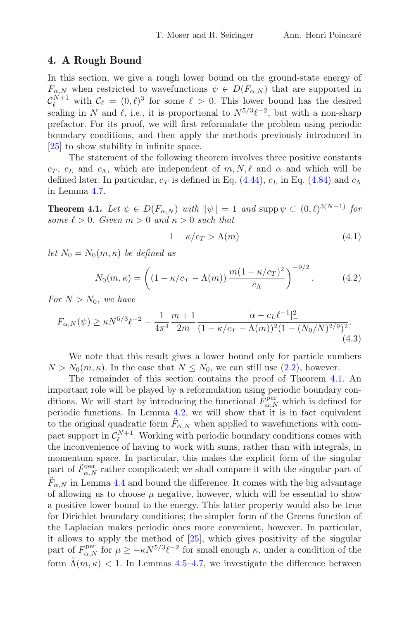#### <span id="page-11-0"></span>**4. A Rough Bound**

In this section, we give a rough lower bound on the ground-state energy of  $F_{\alpha,N}$  when restricted to wavefunctions  $\psi \in D(F_{\alpha,N})$  that are supported in  $\mathcal{C}_{\ell}^{N+1}$  with  $\mathcal{C}_{\ell} = (0,\ell)^3$  for some  $\ell > 0$ . This lower bound has the desired scaling in N and  $\ell$ , i.e., it is proportional to  $N^{5/3}\ell^{-2}$ , but with a non-sharp prefactor. For its proof, we will first reformulate the problem using periodic boundary conditions, and then apply the methods previously introduced in [\[25\]](#page-39-12) to show stability in infinite space.

The statement of the following theorem involves three positive constants  $c_T$ ,  $c_L$  and  $c_A$ , which are independent of  $m, N, \ell$  and  $\alpha$  and which will be defined later. In particular,  $c_T$  is defined in Eq. [\(4.44\)](#page-18-0),  $c_L$  in Eq. [\(4.84\)](#page-24-1) and  $c_A$ in Lemma [4.7.](#page-23-0)

<span id="page-11-1"></span>**Theorem 4.1.** Let  $\psi \in D(F_{\alpha,N})$  with  $\|\psi\| = 1$  and supp  $\psi \subset (0,\ell)^{3(N+1)}$  for  $some \ell > 0$ . Given  $m > 0$  and  $\kappa > 0$  such that

$$
1 - \kappa/c_T > \Lambda(m) \tag{4.1}
$$

*let*  $N_0 = N_0(m, \kappa)$  *be defined as* 

<span id="page-11-3"></span>
$$
N_0(m,\kappa) = \left( \left(1 - \kappa/c_T - \Lambda(m)\right) \frac{m(1 - \kappa/c_T)^2}{c_\Lambda} \right)^{-9/2}.
$$
 (4.2)

*For*  $N > N_0$ *, we have* 

<span id="page-11-2"></span>
$$
F_{\alpha,N}(\psi) \ge \kappa N^{5/3} \ell^{-2} - \frac{1}{4\pi^4} \frac{m+1}{2m} \frac{[\alpha - c_L \ell^{-1}]_-^2}{(1 - \kappa/c_T - \Lambda(m))^2 (1 - (N_0/N)^{2/9})^2}.
$$
\n(4.3)

We note that this result gives a lower bound only for particle numbers  $N > N_0(m, \kappa)$ . In the case that  $N \le N_0$ , we can still use [\(2.2\)](#page-3-0), however.

The remainder of this section contains the proof of Theorem [4.1.](#page-11-1) An important role will be played by a reformulation using periodic boundary conditions. We will start by introducing the functional  $\tilde{F}_{\alpha,N}^{\text{per}}$  which is defined for periodic functions. In Lemma [4.2,](#page-14-0) we will show that it is in fact equivalent to the original quadratic form  $F_{\alpha,N}$  when applied to wavefunctions with compact support in  $\mathcal{C}_{\ell}^{N+1}$ . Working with periodic boundary conditions comes with the inconvenience of having to work with sums, rather than with integrals, in momentum space. In particular, this makes the explicit form of the singular part of  $\tilde{F}_{\alpha,N}^{\text{per}}$  rather complicated; we shall compare it with the singular part of  $F_{\alpha,N}$  in Lemma [4.4](#page-16-0) and bound the difference. It comes with the big advantage of allowing us to choose  $\mu$  negative, however, which will be essential to show a positive lower bound to the energy. This latter property would also be true for Dirichlet boundary conditions; the simpler form of the Greens function of the Laplacian makes periodic ones more convenient, however. In particular, it allows to apply the method of [\[25](#page-39-12)], which gives positivity of the singular part of  $F_{\alpha,N}^{\text{per}}$  for  $\mu \ge -\kappa N^{5/3} \ell^{-2}$  for small enough  $\kappa$ , under a condition of the form  $\Lambda(m, \kappa)$  < 1. In Lemmas [4.5–](#page-20-1)[4.7,](#page-23-0) we investigate the difference between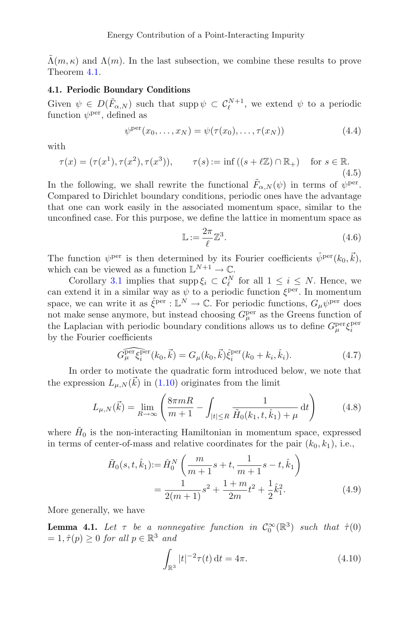$\tilde{\Lambda}(m,\kappa)$  and  $\Lambda(m)$ . In the last subsection, we combine these results to prove Theorem [4.1.](#page-11-1)

#### **4.1. Periodic Boundary Conditions**

Given  $\psi \in D(\tilde{F}_{\alpha,N})$  such that supp  $\psi \subset C_{\ell}^{N+1}$ , we extend  $\psi$  to a periodic function  $\psi^{\text{per}}$ , defined as

$$
\psi^{\text{per}}(x_0,\ldots,x_N)=\psi(\tau(x_0),\ldots,\tau(x_N))
$$
\n(4.4)

with

$$
\tau(x) = (\tau(x^1), \tau(x^2), \tau(x^3)), \qquad \tau(s) := \inf\left( (s + \ell \mathbb{Z}) \cap \mathbb{R}_+ \right) \quad \text{for } s \in \mathbb{R}.
$$
\n
$$
(4.5)
$$

In the following, we shall rewrite the functional  $\tilde{F}_{\alpha,N}(\psi)$  in terms of  $\psi^{\text{per}}$ . Compared to Dirichlet boundary conditions, periodic ones have the advantage that one can work easily in the associated momentum space, similar to the unconfined case. For this purpose, we define the lattice in momentum space as

$$
\mathbb{L} := \frac{2\pi}{\ell} \mathbb{Z}^3. \tag{4.6}
$$

The function  $\psi^{\text{per}}$  is then determined by its Fourier coefficients  $\hat{\psi}^{\text{per}}(k_0, \vec{k}),$ which can be viewed as a function  $\mathbb{L}^{N+1} \to \mathbb{C}$ .

Corollary [3.1](#page-7-3) implies that supp  $\xi_i \subset C_{\ell}^N$  for all  $1 \leq i \leq N$ . Hence, we can extend it in a similar way as  $\psi$  to a periodic function  $\xi^{\text{per}}$ . In momentum space, we can write it as  $\hat{\xi}^{per} : \mathbb{L}^N \to \mathbb{C}$ . For periodic functions,  $G_\mu \psi^{per}$  does not make sense anymore, but instead choosing  $G_{\mu}^{\text{per}}$  as the Greens function of the Laplacian with periodic boundary conditions allows us to define  $G_{\mu}^{\text{per}} \xi_i^{\text{per}}$ by the Fourier coefficients

<span id="page-12-2"></span>
$$
\widehat{G_{\mu}^{\text{per}}\xi_{i}^{\text{per}}}(k_{0},\vec{k}) = G_{\mu}(k_{0},\vec{k})\hat{\xi}_{i}^{\text{per}}(k_{0} + k_{i},\hat{k}_{i}).
$$
\n(4.7)

In order to motivate the quadratic form introduced below, we note that the expression  $L_{\mu,N}(\vec{k})$  in [\(1.10\)](#page-3-1) originates from the limit

$$
L_{\mu,N}(\vec{k}) = \lim_{R \to \infty} \left( \frac{8\pi mR}{m+1} - \int_{|t| \le R} \frac{1}{\tilde{H}_0(k_1, t, \hat{k}_1) + \mu} \, \mathrm{d}t \right) \tag{4.8}
$$

where  $H_0$  is the non-interacting Hamiltonian in momentum space, expressed in terms of center-of-mass and relative coordinates for the pair  $(k_0, k_1)$ , i.e.,

$$
\tilde{H}_0(s, t, \hat{k}_1) := \hat{H}_0^N \left( \frac{m}{m+1} s + t, \frac{1}{m+1} s - t, \hat{k}_1 \right)
$$
\n
$$
= \frac{1}{2(m+1)} s^2 + \frac{1+m}{2m} t^2 + \frac{1}{2} \hat{k}_1^2.
$$
\n(4.9)

More generally, we have

<span id="page-12-1"></span>**Lemma 4.1.** Let  $\tau$  be a nonnegative function in  $C_0^{\infty}(\mathbb{R}^3)$  such that  $\hat{\tau}(0)$  $= 1, \hat{\tau}(p) \geq 0$  *for all*  $p \in \mathbb{R}^3$  *and* 

<span id="page-12-3"></span><span id="page-12-0"></span>
$$
\int_{\mathbb{R}^3} |t|^{-2} \tau(t) dt = 4\pi.
$$
 (4.10)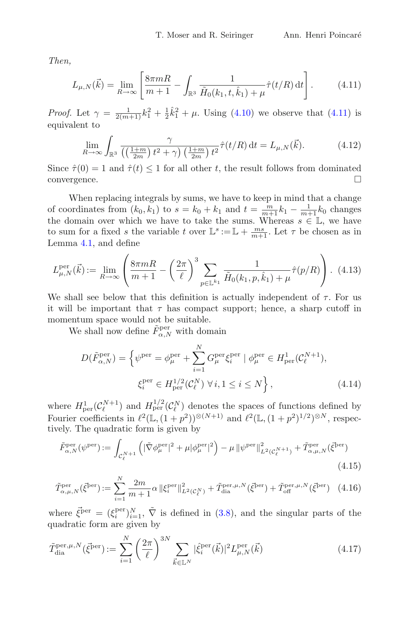*Then,*

<span id="page-13-0"></span>
$$
L_{\mu,N}(\vec{k}) = \lim_{R \to \infty} \left[ \frac{8\pi mR}{m+1} - \int_{\mathbb{R}^3} \frac{1}{\tilde{H}_0(k_1, t, \hat{k}_1) + \mu} \hat{\tau}(t/R) dt \right].
$$
 (4.11)

*Proof.* Let  $\gamma = \frac{1}{2(m+1)}k_1^2 + \frac{1}{2}\hat{k}_1^2 + \mu$ . Using [\(4.10\)](#page-12-0) we observe that [\(4.11\)](#page-13-0) is equivalent to

$$
\lim_{R \to \infty} \int_{\mathbb{R}^3} \frac{\gamma}{\left(\left(\frac{1+m}{2m}\right)t^2 + \gamma\right) \left(\frac{1+m}{2m}\right)t^2} \hat{\tau}(t/R) dt = L_{\mu,N}(\vec{k}).\tag{4.12}
$$

Since  $\hat{\tau}(0) = 1$  and  $\hat{\tau}(t) \leq 1$  for all other t, the result follows from dominated convergence. convergence.

When replacing integrals by sums, we have to keep in mind that a change of coordinates from  $(k_0, k_1)$  to  $s = k_0 + k_1$  and  $t = \frac{m}{m+1}k_1 - \frac{1}{m+1}k_0$  changes the domain over which we have to take the sums. Whereas  $s \in \mathbb{L}$ , we have to sum for a fixed s the variable t over  $\mathbb{L}^s := \mathbb{L} + \frac{ms}{m+1}$ . Let  $\tau$  be chosen as in Lemma [4.1,](#page-12-1) and define

<span id="page-13-1"></span>
$$
L_{\mu,N}^{\text{per}}(\vec{k}) := \lim_{R \to \infty} \left( \frac{8\pi m}{m+1} - \left( \frac{2\pi}{\ell} \right)^3 \sum_{p \in \mathbb{L}^{k_1}} \frac{1}{\tilde{H}_0(k_1, p, \hat{k}_1) + \mu} \hat{\tau}(p/R) \right). \tag{4.13}
$$

We shall see below that this definition is actually independent of  $\tau$ . For us it will be important that  $\tau$  has compact support; hence, a sharp cutoff in momentum space would not be suitable.

We shall now define  $\tilde{F}_{\alpha,N}^{\text{per}}$  with domain

$$
D(\tilde{F}_{\alpha,N}^{\text{per}}) = \left\{ \psi^{\text{per}} = \phi_{\mu}^{\text{per}} + \sum_{i=1}^{N} G_{\mu}^{\text{per}} \xi_i^{\text{per}} \mid \phi_{\mu}^{\text{per}} \in H_{\text{per}}^1(\mathcal{C}_{\ell}^{N+1}), \right\}
$$

$$
\xi_i^{\text{per}} \in H_{\text{per}}^{1/2}(\mathcal{C}_{\ell}^N) \,\forall \, i, 1 \le i \le N \right\},\tag{4.14}
$$

where  $H^1_{\text{per}}(\mathcal{C}_{\ell}^{N+1})$  and  $H^{1/2}_{\text{per}}(\mathcal{C}_{\ell}^N)$  denotes the spaces of functions defined by Fourier coefficients in  $\ell^2(\mathbb{L}, (1+p^2))^{\otimes (N+1)}$  and  $\ell^2(\mathbb{L}, (1+p^2)^{1/2})^{\otimes N}$ , respectively. The quadratic form is given by

<span id="page-13-3"></span>
$$
\tilde{F}_{\alpha,N}^{\text{per}}(\psi^{\text{per}}) := \int_{\mathcal{C}_{\ell}^{N+1}} \left( |\tilde{\nabla}\phi_{\mu}^{\text{per}}|^{2} + \mu |\phi_{\mu}^{\text{per}}|^{2} \right) - \mu \left\| \psi^{\text{per}} \right\|_{L^{2}(\mathcal{C}_{\ell}^{N+1})}^{2} + \tilde{T}_{\alpha,\mu,N}^{\text{per}}(\vec{\xi}^{\text{per}})
$$
\n(4.15)

$$
\tilde{T}_{\alpha,\mu,N}^{\text{per}}(\vec{\xi}^{\text{ber}}) := \sum_{i=1}^{N} \frac{2m}{m+1} \alpha \left\| \xi_i^{\text{per}} \right\|_{L^2(\mathcal{C}_{\ell}^N)}^2 + \tilde{T}_{\text{dia}}^{\text{per},\mu,N}(\vec{\xi}^{\text{per}}) + \tilde{T}_{\text{off}}^{\text{per},\mu,N}(\vec{\xi}^{\text{per}}) \tag{4.16}
$$

where  $\vec{\xi}^{\text{per}} = (\xi_i^{\text{per}})_{i=1}^N$ ,  $\tilde{\nabla}$  is defined in [\(3.8\)](#page-6-1), and the singular parts of the quadratic form are given by

<span id="page-13-2"></span>
$$
\tilde{T}_{\text{dia}}^{\text{per},\mu,N}(\vec{\xi}^{\text{per}}) := \sum_{i=1}^{N} \left(\frac{2\pi}{\ell}\right)^{3N} \sum_{\vec{k}\in\mathbb{L}^{N}} |\hat{\xi}_{i}^{\text{per}}(\vec{k})|^2 L_{\mu,N}^{\text{per}}(\vec{k})\tag{4.17}
$$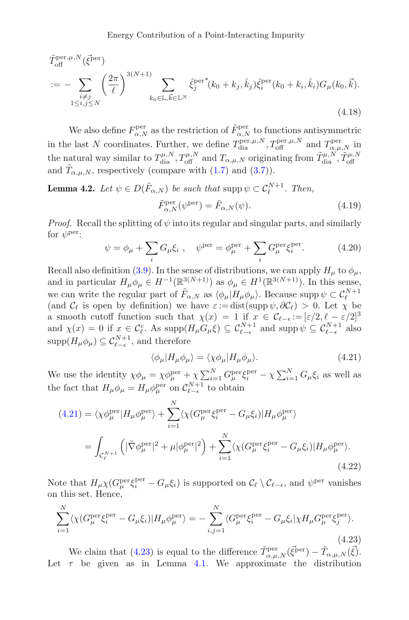$$
\tilde{T}_{\text{off}}^{\text{per},\mu,N}(\vec{\xi}^{\text{per}})
$$
\n
$$
:= -\sum_{\substack{i \neq j \\ 1 \leq i,j \leq N}} \left(\frac{2\pi}{\ell}\right)^{3(N+1)} \sum_{k_0 \in \mathbb{L}, \vec{k} \in \mathbb{L}^N} \hat{\xi}_j^{\text{per}}^*(k_0 + k_j, \hat{k}_j) \hat{\xi}_i^{\text{per}}(k_0 + k_i, \hat{k}_i) G_\mu(k_0, \vec{k}).
$$
\n(4.18)

We also define  $F^{\text{per}}_{\alpha,N}$  as the restriction of  $\tilde{F}^{\text{per}}_{\alpha,N}$  to functions antisymmetric in the last N coordinates. Further, we define  $T_{di}^{\text{per},\mu,N}, T_{\text{off}}^{\text{per},\mu,N}$  and  $T_{\alpha,\mu,N}^{\text{per}}$  in the natural way similar to  $T_{\text{dia}}^{\mu,N}, T_{\text{off}}^{\mu,N}$  and  $T_{\alpha,\mu,N}$  originating from  $\tilde{T}_{\text{dia}}^{\mu,N}, \tilde{T}_{\text{off}}^{\mu,N}$ and  $\tilde{T}_{\alpha,\mu,N}$ , respectively (compare with [\(1.7\)](#page-3-2) and [\(3.7\)](#page-6-5)).

<span id="page-14-0"></span>**Lemma 4.2.** *Let*  $\psi \in D(\tilde{F}_{\alpha,N})$  *be such that*  $\text{supp } \psi \subset C_{\ell}^{N+1}$ *. Then,*  $\tilde{F}_{\alpha,N}^{\text{per}}(\psi^{\text{per}}) = \tilde{F}_{\alpha,N}(\psi).$ (4.19)

*Proof.* Recall the splitting of  $\psi$  into its regular and singular parts, and similarly for  $\psi^{\text{per}}$ :

$$
\psi = \phi_{\mu} + \sum_{i} G_{\mu} \xi_{i} , \quad \psi^{\text{per}} = \phi_{\mu}^{\text{per}} + \sum_{i} G_{\mu}^{\text{per}} \xi_{i}^{\text{per}}.
$$
 (4.20)

Recall also definition [\(3.9\)](#page-6-2). In the sense of distributions, we can apply  $H_{\mu}$  to  $\phi_{\mu}$ , and in particular  $H_{\mu}\phi_{\mu} \in H^{-1}(\mathbb{R}^{3(N+1)})$  as  $\phi_{\mu} \in H^{1}(\mathbb{R}^{3(N+1)})$ . In this sense, we can write the regular part of  $\tilde{F}_{\alpha,N}$  as  $\langle \phi_{\mu} | H_{\mu} \phi_{\mu} \rangle$ . Because supp  $\psi \subset C_{\ell}^{N+1}$ (and  $\mathcal{C}_{\ell}$  is open by definition) we have  $\varepsilon := \text{dist}(\text{supp }\psi, \partial \mathcal{C}_{\ell}) > 0$ . Let  $\chi$  be a smooth cutoff function such that  $\chi(x) = 1$  if  $x \in \mathcal{C}_{\ell-\epsilon} := [\varepsilon/2, \ell-\varepsilon/2]^3$ and  $\chi(x) = 0$  if  $x \in \mathcal{C}_{\ell}^c$ . As  $\text{supp}(H_{\mu}G_{\mu}\xi) \subseteq \mathcal{C}_{\ell-\epsilon}^{N+1}$  and  $\text{supp}\psi \subseteq \mathcal{C}_{\ell-\epsilon}^{N+1}$  also  $\text{supp}(H_{\mu}\phi_{\mu}) \subseteq \mathcal{C}_{\ell-\epsilon}^{N+1}$ , and therefore

<span id="page-14-1"></span>
$$
\langle \phi_{\mu} | H_{\mu} \phi_{\mu} \rangle = \langle \chi \phi_{\mu} | H_{\mu} \phi_{\mu} \rangle. \tag{4.21}
$$

We use the identity  $\chi \phi_\mu = \chi \phi_\mu^{\text{per}} + \chi \sum_{i=1}^N G_\mu^{\text{per}} \xi_i^{\text{per}} - \chi \sum_{i=1}^N G_\mu \xi_i$  as well as the fact that  $H_{\mu}\phi_{\mu} = H_{\mu}\phi_{\mu}^{\text{per}}$  on  $C_{\ell-\epsilon}^{N+1}$  to obtain

$$
(4.21) = \langle \chi \phi_{\mu}^{\text{per}} | H_{\mu} \phi_{\mu}^{\text{per}} \rangle + \sum_{i=1}^{N} \langle \chi (G_{\mu}^{\text{per}} \xi_{i}^{\text{per}} - G_{\mu} \xi_{i}) | H_{\mu} \phi_{\mu}^{\text{per}} \rangle
$$
  

$$
= \int_{\mathcal{C}_{\ell}^{N+1}} \left( |\tilde{\nabla} \phi_{\mu}^{\text{per}}|^{2} + \mu |\phi_{\mu}^{\text{per}}|^{2} \right) + \sum_{i=1}^{N} \langle \chi (G_{\mu}^{\text{per}} \xi_{i}^{\text{per}} - G_{\mu} \xi_{i}) | H_{\mu} \phi_{\mu}^{\text{per}} \rangle. \tag{4.22}
$$

Note that  $H_\mu \chi (G_\mu^{\text{per}} \xi_i^{\text{per}} - G_\mu \xi_i)$  is supported on  $\mathcal{C}_\ell \setminus \mathcal{C}_{\ell-\epsilon}$ , and  $\psi^{\text{per}}$  vanishes on this set. Hence,

<span id="page-14-2"></span>
$$
\sum_{i=1}^{N} \langle \chi(G_{\mu}^{\text{per}} \xi_{i}^{\text{per}} - G_{\mu} \xi_{i}) | H_{\mu} \phi_{\mu}^{\text{per}} \rangle = - \sum_{i,j=1}^{N} \langle G_{\mu}^{\text{per}} \xi_{i}^{\text{per}} - G_{\mu} \xi_{i} | \chi H_{\mu} G_{\mu}^{\text{per}} \xi_{j}^{\text{per}} \rangle. \tag{4.23}
$$

We claim that [\(4.23\)](#page-14-2) is equal to the difference  $\tilde{T}^{\text{per}}_{\alpha,\mu,N}(\vec{\xi}^{\text{per}}) - \tilde{T}_{\alpha,\mu,N}(\vec{\xi}).$ Let  $\tau$  be given as in Lemma [4.1.](#page-12-1) We approximate the distribution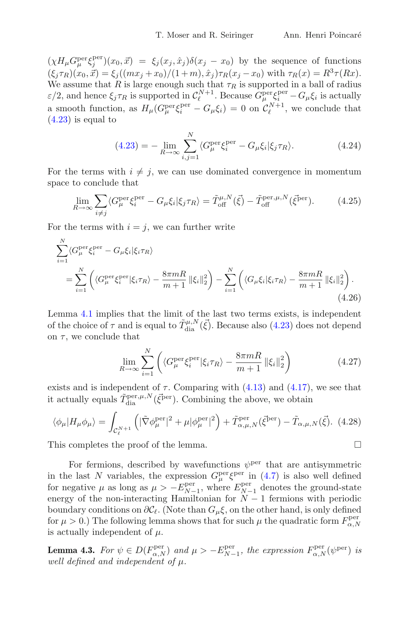$(\chi H_{\mu} G_{\mu}^{\text{per}} \xi_j^{\text{per}})(x_0, \vec{x}) = \xi_j (x_j, \hat{x}_j) \delta(x_j - x_0)$  by the sequence of functions  $(\xi_j \tau_R)(x_0, \vec{x}) = \xi_j((mx_j + x_0)/(1 + m), \hat{x}_j)\tau_R(x_j - x_0)$  with  $\tau_R(x) = R^3 \tau(Rx)$ . We assume that R is large enough such that  $\tau_R$  is supported in a ball of radius  $\varepsilon/2$ , and hence  $\xi_j \tau_R$  is supported in  $\mathcal{C}_{\ell}^{N+1}$ . Because  $G_{\mu}^{\text{per}} \xi_i^{\text{per}} - G_{\mu} \xi_i$  is actually a smooth function, as  $H_{\mu}(G_{\mu}^{\text{per}} \xi_i^{\text{per}} - G_{\mu} \xi_i) = 0$  on  $C_{\ell}^{N+1}$ , we conclude that  $(4.23)$  is equal to

$$
(4.23) = -\lim_{R \to \infty} \sum_{i,j=1}^{N} \langle G_{\mu}^{\text{per}} \xi_i^{\text{per}} - G_{\mu} \xi_i | \xi_j \tau_R \rangle.
$$
 (4.24)

For the terms with  $i \neq j$ , we can use dominated convergence in momentum space to conclude that

$$
\lim_{R \to \infty} \sum_{i \neq j} \langle G_{\mu}^{\text{per}} \xi_i^{\text{per}} - G_{\mu} \xi_i | \xi_j \tau_R \rangle = \tilde{T}_{\text{off}}^{\mu, N}(\vec{\xi}) - \tilde{T}_{\text{off}}^{\text{per}, \mu, N}(\vec{\xi}^{\text{per}}). \tag{4.25}
$$

For the terms with  $i = j$ , we can further write

$$
\sum_{i=1}^{N} \langle G_{\mu}^{\text{per}} \xi_{i}^{\text{per}} - G_{\mu} \xi_{i} | \xi_{i} \tau_{R} \rangle
$$
\n
$$
= \sum_{i=1}^{N} \left( \langle G_{\mu}^{\text{per}} \xi_{i}^{\text{per}} | \xi_{i} \tau_{R} \rangle - \frac{8 \pi m R}{m+1} ||\xi_{i}||_{2}^{2} \right) - \sum_{i=1}^{N} \left( \langle G_{\mu} \xi_{i} | \xi_{i} \tau_{R} \rangle - \frac{8 \pi m R}{m+1} ||\xi_{i}||_{2}^{2} \right). \tag{4.26}
$$

Lemma [4.1](#page-12-1) implies that the limit of the last two terms exists, is independent of the choice of  $\tau$  and is equal to  $\tilde{T}_{\text{dia}}^{\mu,N}(\vec{\xi})$ . Because also [\(4.23\)](#page-14-2) does not depend on  $\tau$ , we conclude that

$$
\lim_{R \to \infty} \sum_{i=1}^{N} \left( \langle G_{\mu}^{\text{per}} \xi_i^{\text{per}} | \xi_i \tau_R \rangle - \frac{8\pi m}{m+1} ||\xi_i||_2^2 \right) \tag{4.27}
$$

exists and is independent of  $\tau$ . Comparing with [\(4.13\)](#page-13-1) and [\(4.17\)](#page-13-2), we see that it actually equals  $\tilde{T}_{\text{dia}}^{\text{per},\mu,N}(\vec{\xi}^{\text{per}})$ . Combining the above, we obtain

$$
\langle \phi_{\mu} | H_{\mu} \phi_{\mu} \rangle = \int_{\mathcal{C}_{\ell}^{N+1}} \left( |\tilde{\nabla} \phi_{\mu}^{\text{per}}|^{2} + \mu |\phi_{\mu}^{\text{per}}|^{2} \right) + \tilde{T}_{\alpha,\mu,N}^{\text{per}}(\vec{\xi}^{\text{per}}) - \tilde{T}_{\alpha,\mu,N}(\vec{\xi}). \tag{4.28}
$$

This completes the proof of the lemma.

For fermions, described by wavefunctions  $\psi^{\text{per}}$  that are antisymmetric in the last N variables, the expression  $G_{\mu}^{\text{per}} \xi^{\text{per}}$  in [\(4.7\)](#page-12-2) is also well defined for negative  $\mu$  as long as  $\mu > -E_{N-1}^{\text{per}},$  where  $E_{N-1}^{\text{per}}$  denotes the ground-state energy of the non-interacting Hamiltonian for  $N-1$  fermions with periodic boundary conditions on  $\partial \mathcal{C}_{\ell}$ . (Note than  $G_{\mu} \xi$ , on the other hand, is only defined for  $\mu > 0$ .) The following lemma shows that for such  $\mu$  the quadratic form  $F_{\alpha,N}^{\text{per}}$ is actually independent of  $\mu$ .

<span id="page-15-0"></span>**Lemma 4.3.** For  $\psi \in D(F^{\text{per}}_{\alpha,N})$  and  $\mu > -E^{\text{per}}_{N-1}$ , the expression  $F^{\text{per}}_{\alpha,N}(\psi^{\text{per}})$  is *well defined and independent of* μ*.*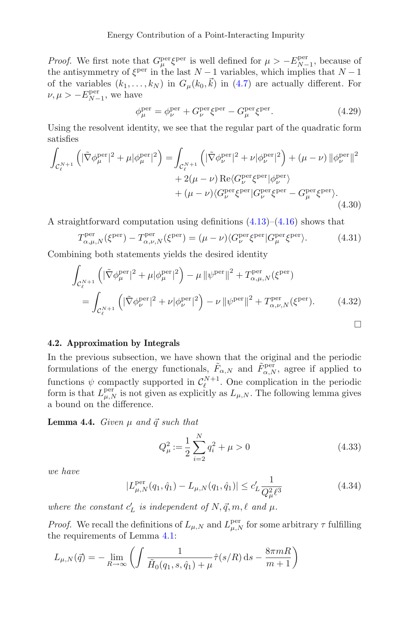*Proof.* We first note that  $G_{\mu}^{\text{per}} \xi^{\text{per}}$  is well defined for  $\mu > -E_{N-1}^{\text{per}}$ , because of the antisymmetry of  $\xi^{\text{per}}$  in the last  $N-1$  variables, which implies that  $N-1$ of the variables  $(k_1, \ldots, k_N)$  in  $G_{\mu}(k_0, \vec{k})$  in [\(4.7\)](#page-12-2) are actually different. For  $\nu, \mu > -E_{N-1}^{\text{per}},$  we have

$$
\phi_{\mu}^{\text{per}} = \phi_{\nu}^{\text{per}} + G_{\nu}^{\text{per}} \xi^{\text{per}} - G_{\mu}^{\text{per}} \xi^{\text{per}}.
$$
\n(4.29)

Using the resolvent identity, we see that the regular part of the quadratic form satisfies

$$
\int_{\mathcal{C}_{\ell}^{N+1}} \left( |\tilde{\nabla} \phi_{\mu}^{\text{per}}|^2 + \mu |\phi_{\mu}^{\text{per}}|^2 \right) = \int_{\mathcal{C}_{\ell}^{N+1}} \left( |\tilde{\nabla} \phi_{\nu}^{\text{per}}|^2 + \nu |\phi_{\nu}^{\text{per}}|^2 \right) + (\mu - \nu) ||\phi_{\nu}^{\text{per}}||^2
$$
\n
$$
+ 2(\mu - \nu) \operatorname{Re} \langle G_{\nu}^{\text{per}} \xi^{\text{per}} |\phi_{\nu}^{\text{per}} \rangle
$$
\n
$$
+ (\mu - \nu) \langle G_{\nu}^{\text{per}} \xi^{\text{per}} | G_{\nu}^{\text{per}} \xi^{\text{per}} - G_{\mu}^{\text{per}} \xi^{\text{per}} \rangle. \tag{4.30}
$$

A straightforward computation using definitions  $(4.13)$ – $(4.16)$  shows that

$$
T_{\alpha,\mu,N}^{\text{per}}(\xi^{\text{per}}) - T_{\alpha,\nu,N}^{\text{per}}(\xi^{\text{per}}) = (\mu - \nu) \langle G_{\nu}^{\text{per}} \xi^{\text{per}} | G_{\mu}^{\text{per}} \xi^{\text{per}} \rangle. \tag{4.31}
$$

Combining both statements yields the desired identity

$$
\int_{\mathcal{C}_{\ell}^{N+1}} \left( |\tilde{\nabla} \phi_{\mu}^{\text{per}}|^2 + \mu |\phi_{\mu}^{\text{per}}|^2 \right) - \mu ||\psi^{\text{per}}||^2 + T_{\alpha,\mu,N}^{\text{per}}(\xi^{\text{per}})
$$
\n
$$
= \int_{\mathcal{C}_{\ell}^{N+1}} \left( |\tilde{\nabla} \phi_{\nu}^{\text{per}}|^2 + \nu |\phi_{\nu}^{\text{per}}|^2 \right) - \nu ||\psi^{\text{per}}||^2 + T_{\alpha,\nu,N}^{\text{per}}(\xi^{\text{per}}).
$$
\n(4.32)

#### **4.2. Approximation by Integrals**

In the previous subsection, we have shown that the original and the periodic formulations of the energy functionals,  $\tilde{F}_{\alpha,N}$  and  $\tilde{F}_{\alpha,N}^{\text{per}}$ , agree if applied to functions  $\psi$  compactly supported in  $\mathcal{C}_{\ell}^{N+1}$ . One complication in the periodic form is that  $L_{\mu,N}^{\text{per}}$  is not given as explicitly as  $L_{\mu,N}$ . The following lemma gives a bound on the difference.

<span id="page-16-0"></span>**Lemma 4.4.** *Given*  $\mu$  *and*  $\vec{q}$  *such that* 

<span id="page-16-1"></span>
$$
Q_{\mu}^{2} := \frac{1}{2} \sum_{i=2}^{N} q_{i}^{2} + \mu > 0
$$
\n(4.33)

*we have*

$$
|L_{\mu,N}^{\text{per}}(q_1, \hat{q}_1) - L_{\mu,N}(q_1, \hat{q}_1)| \leq c_L' \frac{1}{Q_{\mu}^2 \ell^3}
$$
 (4.34)

where the constant  $c'_L$  is independent of  $N, \vec{q}, m, \ell$  and  $\mu$ .

*Proof.* We recall the definitions of  $L_{\mu,N}$  and  $L_{\mu,N}^{\text{per}}$  for some arbitrary  $\tau$  fulfilling the requirements of Lemma [4.1:](#page-12-1)

$$
L_{\mu,N}(\vec{q}) = -\lim_{R \to \infty} \left( \int \frac{1}{\tilde{H}_0(q_1, s, \hat{q}_1) + \mu} \hat{\tau}(s/R) \,ds - \frac{8\pi mR}{m+1} \right)
$$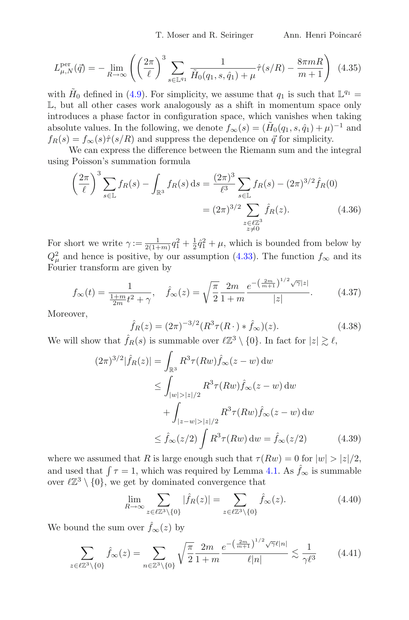$$
L_{\mu,N}^{\text{per}}(\vec{q}) = -\lim_{R \to \infty} \left( \left( \frac{2\pi}{\ell} \right)^3 \sum_{s \in \mathbb{L}^{q_1}} \frac{1}{\tilde{H}_0(q_1, s, \hat{q}_1) + \mu} \hat{\tau}(s/R) - \frac{8\pi mR}{m+1} \right) (4.35)
$$

with  $H_0$  defined in [\(4.9\)](#page-12-3). For simplicity, we assume that  $q_1$  is such that  $\mathbb{L}^{q_1} =$  $\mathbb{L}$ , but all other cases work analogously as a shift in momentum space only introduces a phase factor in configuration space, which vanishes when taking absolute values. In the following, we denote  $f_{\infty}(s)=(\tilde{H}_0(q_1, s, \hat{q}_1) + \mu)^{-1}$  and  $f_R(s) = f_\infty(s)\hat{\tau}(s/R)$  and suppress the dependence on  $\vec{q}$  for simplicity.

We can express the difference between the Riemann sum and the integral using Poisson's summation formula

$$
\left(\frac{2\pi}{\ell}\right)^3 \sum_{s \in \mathbb{L}} f_R(s) - \int_{\mathbb{R}^3} f_R(s) \, ds = \frac{(2\pi)^3}{\ell^3} \sum_{\substack{s \in \mathbb{L} \\ z \in \ell \mathbb{Z}^3}} f_R(s) - (2\pi)^{3/2} \hat{f}_R(0)
$$
\n
$$
= (2\pi)^{3/2} \sum_{\substack{z \in \ell \mathbb{Z}^3 \\ z \neq 0}} \hat{f}_R(z). \tag{4.36}
$$

For short we write  $\gamma := \frac{1}{2(1+m)} q_1^2 + \frac{1}{2} \hat{q}_1^2 + \mu$ , which is bounded from below by  $Q_{\mu}^2$  and hence is positive, by our assumption [\(4.33\)](#page-16-1). The function  $f_{\infty}$  and its Fourier transform are given by

$$
f_{\infty}(t) = \frac{1}{\frac{1+m}{2m}t^2 + \gamma}, \quad \hat{f}_{\infty}(z) = \sqrt{\frac{\pi}{2}} \frac{2m}{1+m} \frac{e^{-\left(\frac{2m}{m+1}\right)^{1/2}\sqrt{\gamma}|z|}}{|z|}. \tag{4.37}
$$

Moreover,

<span id="page-17-0"></span>
$$
\hat{f}_R(z) = (2\pi)^{-3/2} (R^3 \tau (R \cdot) * \hat{f}_\infty)(z).
$$
\n(4.38)

We will show that  $\hat{f}_R(s)$  is summable over  $\ell \mathbb{Z}^3 \setminus \{0\}$ . In fact for  $|z| \geq \ell$ ,

$$
(2\pi)^{3/2} |\hat{f}_R(z)| = \int_{\mathbb{R}^3} R^3 \tau(Rw) \hat{f}_{\infty}(z - w) \, dw
$$
  
\n
$$
\leq \int_{|w| > |z|/2} R^3 \tau(Rw) \hat{f}_{\infty}(z - w) \, dw
$$
  
\n
$$
+ \int_{|z - w| > |z|/2} R^3 \tau(Rw) \hat{f}_{\infty}(z - w) \, dw
$$
  
\n
$$
\leq \hat{f}_{\infty}(z/2) \int R^3 \tau(Rw) \, dw = \hat{f}_{\infty}(z/2) \qquad (4.39)
$$

where we assumed that R is large enough such that  $\tau(Rw) = 0$  for  $|w| > |z|/2$ , and used that  $\int \tau = 1$ , which was required by Lemma [4.1.](#page-12-1) As  $\hat{f}_{\infty}$  is summable over  $\ell \mathbb{Z}^3 \setminus \{0\}$ , we get by dominated convergence that

<span id="page-17-1"></span>
$$
\lim_{R \to \infty} \sum_{z \in \ell \mathbb{Z}^3 \setminus \{0\}} |\hat{f}_R(z)| = \sum_{z \in \ell \mathbb{Z}^3 \setminus \{0\}} \hat{f}_\infty(z). \tag{4.40}
$$

We bound the sum over  $\hat{f}_{\infty}(z)$  by

<span id="page-17-2"></span>
$$
\sum_{z \in \ell \mathbb{Z}^3 \setminus \{0\}} \hat{f}_{\infty}(z) = \sum_{n \in \mathbb{Z}^3 \setminus \{0\}} \sqrt{\frac{\pi}{2}} \frac{2m}{1+m} \frac{e^{-\left(\frac{2m}{m+1}\right)^{1/2} \sqrt{\gamma} \ell |n|}}{\ell |n|} \lesssim \frac{1}{\gamma \ell^3} \tag{4.41}
$$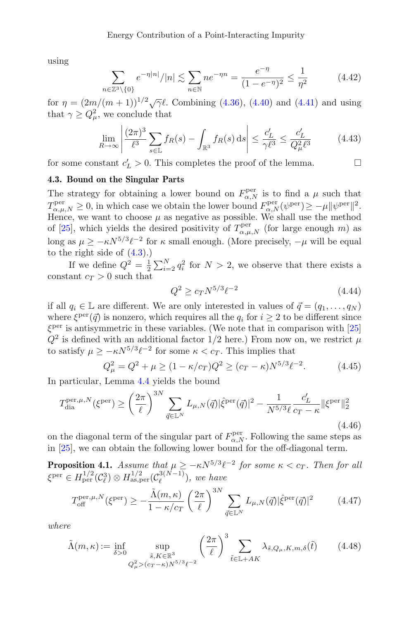using

$$
\sum_{n \in \mathbb{Z}^3 \setminus \{0\}} e^{-\eta |n|} / |n| \lesssim \sum_{n \in \mathbb{N}} n e^{-\eta n} = \frac{e^{-\eta}}{(1 - e^{-\eta})^2} \le \frac{1}{\eta^2}
$$
(4.42)

for  $\eta = (2m/(m+1))^{1/2}\sqrt{\gamma}$ . Combining [\(4.36\)](#page-17-0), [\(4.40\)](#page-17-1) and [\(4.41\)](#page-17-2) and using that  $\gamma \ge Q_{\mu}^2$ , we conclude that

$$
\lim_{R \to \infty} \left| \frac{(2\pi)^3}{\ell^3} \sum_{s \in \mathbb{L}} f_R(s) - \int_{\mathbb{R}^3} f_R(s) \, ds \right| \le \frac{c'_L}{\gamma \ell^3} \le \frac{c'_L}{Q_\mu^2 \ell^3} \tag{4.43}
$$

for some constant  $c'_L > 0$ . This completes the proof of the lemma.

#### **4.3. Bound on the Singular Parts**

The strategy for obtaining a lower bound on  $F^{\text{per}}_{\alpha,N}$  is to find a  $\mu$  such that  $T^{\text{per}}_{\alpha,\mu,N} \geq 0$ , in which case we obtain the lower bound  $F^{\text{per}}_{\alpha,N}(\psi^{\text{per}}) \geq -\mu \|\psi^{\text{per}}\|^2$ . Hence, we want to choose  $\mu$  as negative as possible. We shall use the method of [\[25\]](#page-39-12), which yields the desired positivity of  $T_{\alpha,\mu,N}^{\text{per}}$  (for large enough m) as long as  $\mu \geq -\kappa N^{5/3} \ell^{-2}$  for  $\kappa$  small enough. (More precisely,  $-\mu$  will be equal to the right side of [\(4.3\)](#page-11-2).)

If we define  $Q^2 = \frac{1}{2} \sum_{i=2}^{N} q_i^2$  for  $N > 2$ , we observe that there exists a constant  $c_T > 0$  such that

<span id="page-18-0"></span>
$$
Q^2 \ge c_T N^{5/3} \ell^{-2} \tag{4.44}
$$

if all  $q_i \in \mathbb{L}$  are different. We are only interested in values of  $\vec{q} = (q_1, \ldots, q_N)$ where  $\xi^{\text{per}}(\vec{q})$  is nonzero, which requires all the  $q_i$  for  $i \geq 2$  to be different since  $\xi^{\text{per}}$  is antisymmetric in these variables. (We note that in comparison with [\[25\]](#page-39-12)  $Q^2$  is defined with an additional factor 1/2 here.) From now on, we restrict  $\mu$ to satisfy  $\mu \geq -\kappa N^{5/3} \ell^{-2}$  for some  $\kappa < c_T$ . This implies that

<span id="page-18-1"></span>
$$
Q_{\mu}^{2} = Q^{2} + \mu \ge (1 - \kappa/c_{T})Q^{2} \ge (c_{T} - \kappa)N^{5/3}\ell^{-2}.
$$
 (4.45)

In particular, Lemma [4.4](#page-16-0) yields the bound

<span id="page-18-4"></span>
$$
T_{\text{dia}}^{\text{per},\mu,N}(\xi^{\text{per}}) \ge \left(\frac{2\pi}{\ell}\right)^{3N} \sum_{\vec{q}\in\mathbb{L}^N} L_{\mu,N}(\vec{q}) |\hat{\xi}^{\text{per}}(\vec{q})|^2 - \frac{1}{N^{5/3}\ell} \frac{c'_L}{c_T - \kappa} ||\xi^{\text{per}}||_2^2
$$
\n(4.46)

on the diagonal term of the singular part of  $F_{\alpha,N}^{\text{per}}$ . Following the same steps as in [\[25\]](#page-39-12), we can obtain the following lower bound for the off-diagonal term.

<span id="page-18-3"></span>**Proposition 4.1.** *Assume that*  $\mu \geq -\kappa N^{5/3} \ell^{-2}$  *for some*  $\kappa < c_T$ *. Then for all*  $\xi^{\text{per}} \in H^{1/2}_{\text{per}}(\mathcal{C}_{\ell}^3) \otimes H^{1/2}_{\text{as,per}}(\mathcal{C}_{\ell}^{3(N-1)}),$  we have

$$
T_{\text{off}}^{\text{per},\mu,N}(\xi^{\text{per}}) \ge -\frac{\tilde{\Lambda}(m,\kappa)}{1-\kappa/c_T} \left(\frac{2\pi}{\ell}\right)^{3N} \sum_{\vec{q}\in\mathbb{L}^N} L_{\mu,N}(\vec{q}) |\hat{\xi}^{\text{per}}(\vec{q})|^2 \tag{4.47}
$$

*where*

<span id="page-18-2"></span>
$$
\tilde{\Lambda}(m,\kappa) := \inf_{\delta > 0} \sup_{\substack{\tilde{s}, K \in \mathbb{R}^3 \\ Q_\mu^2 > (c_T - \kappa) N^{5/3} \ell^{-2}}} \left(\frac{2\pi}{\ell}\right)^3 \sum_{\tilde{t} \in \mathbb{L} + AK} \lambda_{\tilde{s}, Q_\mu, K, m, \delta}(\tilde{t}) \tag{4.48}
$$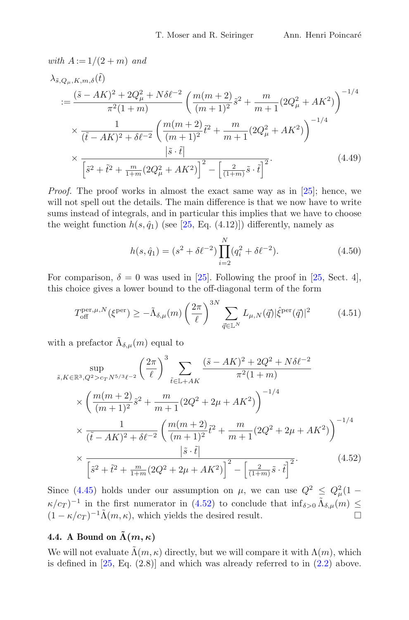with 
$$
A := 1/(2 + m)
$$
 and  
\n
$$
\lambda_{\tilde{s}, Q_{\mu}, K, m, \delta}(\tilde{t})
$$
\n
$$
:= \frac{(\tilde{s} - AK)^2 + 2Q_{\mu}^2 + N\delta\ell^{-2}}{\pi^2(1+m)} \left(\frac{m(m+2)}{(m+1)^2}\tilde{s}^2 + \frac{m}{m+1}(2Q_{\mu}^2 + AK^2)\right)^{-1/4}
$$
\n
$$
\times \frac{1}{(\tilde{t} - AK)^2 + \delta\ell^{-2}} \left(\frac{m(m+2)}{(m+1)^2}\tilde{t}^2 + \frac{m}{m+1}(2Q_{\mu}^2 + AK^2)\right)^{-1/4}
$$
\n
$$
\times \frac{|\tilde{s} \cdot \tilde{t}|}{\left[\tilde{s}^2 + \tilde{t}^2 + \frac{m}{1+m}(2Q_{\mu}^2 + AK^2)\right]^2 - \left[\frac{2}{(1+m)}\tilde{s} \cdot \tilde{t}\right]^2}.
$$
\n(4.49)

*Proof.* The proof works in almost the exact same way as in [\[25](#page-39-12)]; hence, we will not spell out the details. The main difference is that we now have to write sums instead of integrals, and in particular this implies that we have to choose the weight function  $h(s, \hat{q}_1)$  (see [\[25](#page-39-12), Eq. (4.12)]) differently, namely as

<span id="page-19-1"></span>
$$
h(s, \hat{q}_1) = (s^2 + \delta \ell^{-2}) \prod_{i=2}^{N} (q_i^2 + \delta \ell^{-2}).
$$
\n(4.50)

For comparison,  $\delta = 0$  was used in [\[25](#page-39-12)]. Following the proof in [25, Sect. 4], this choice gives a lower bound to the off-diagonal term of the form

$$
T_{\text{off}}^{\text{per},\mu,N}(\xi^{\text{per}}) \geq -\tilde{\Lambda}_{\delta,\mu}(m) \left(\frac{2\pi}{\ell}\right)^{3N} \sum_{\vec{q}\in\mathbb{L}^N} L_{\mu,N}(\vec{q}) |\hat{\xi}^{\text{per}}(\vec{q})|^2 \tag{4.51}
$$

with a prefactor  $\tilde{\Lambda}_{\delta,\mu}(m)$  equal to

$$
\sup_{\tilde{s}, K \in \mathbb{R}^3, Q^2 > c_T N^{5/3} \ell^{-2}} \left( \frac{2\pi}{\ell} \right)^3 \sum_{\tilde{t} \in \mathbb{L} + AK} \frac{(\tilde{s} - AK)^2 + 2Q^2 + N\delta\ell^{-2}}{\pi^2 (1+m)} \times \left( \frac{m(m+2)}{(m+1)^2} \tilde{s}^2 + \frac{m}{m+1} (2Q^2 + 2\mu + AK^2) \right)^{-1/4} \times \frac{1}{(\tilde{t} - AK)^2 + \delta\ell^{-2}} \left( \frac{m(m+2)}{(m+1)^2} \tilde{t}^2 + \frac{m}{m+1} (2Q^2 + 2\mu + AK^2) \right)^{-1/4} \times \frac{|\tilde{s} \cdot \tilde{t}|}{\left[ \tilde{s}^2 + \tilde{t}^2 + \frac{m}{1+m} (2Q^2 + 2\mu + AK^2) \right]^2 - \left[ \frac{2}{(1+m)} \tilde{s} \cdot \tilde{t} \right]^2}.
$$
\n(4.52)

<span id="page-19-0"></span>Since [\(4.45\)](#page-18-1) holds under our assumption on  $\mu$ , we can use  $Q^2 \leq Q^2_{\mu} (1 \kappa/c_T$ )<sup>-1</sup> in the first numerator in [\(4.52\)](#page-19-0) to conclude that inf<sub>δ>0</sub>  $\tilde{\Lambda}_{\delta,\mu}(m) \leq (1 - \kappa/c_T)^{-1} \tilde{\Lambda}(m, \kappa)$ , which vields the desired result.  $(1 - \kappa/c_T)^{-1} \tilde{\Lambda}(m, \kappa)$ , which yields the desired result.

## **4.4.** A Bound on  $\tilde{\Lambda}(m, \kappa)$

We will not evaluate  $\Lambda(m, \kappa)$  directly, but we will compare it with  $\Lambda(m)$ , which is defined in  $[25, Eq. (2.8)]$  $[25, Eq. (2.8)]$  and which was already referred to in  $(2.2)$  above.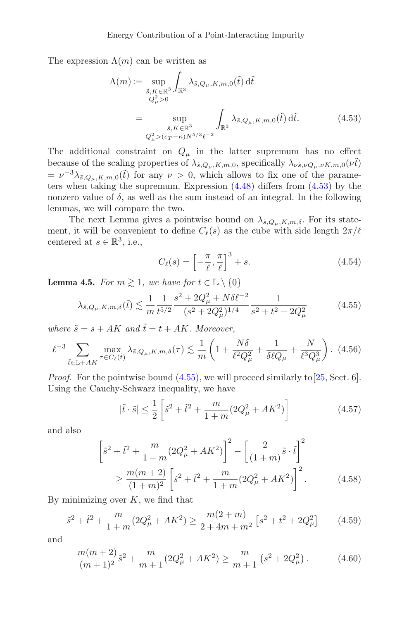The expression  $\Lambda(m)$  can be written as

$$
\Lambda(m) := \sup_{\substack{\tilde{s}, K \in \mathbb{R}^3 \\ Q_\mu^2 > 0}} \int_{\mathbb{R}^3} \lambda_{\tilde{s}, Q_\mu, K, m, 0}(\tilde{t}) d\tilde{t}
$$
  

$$
= \sup_{\substack{\tilde{s}, K \in \mathbb{R}^3 \\ Q_\mu^2 > (c_T - \kappa)N^{5/3}\ell^{-2}}} \int_{\mathbb{R}^3} \lambda_{\tilde{s}, Q_\mu, K, m, 0}(\tilde{t}) d\tilde{t}.
$$
 (4.53)

The additional constraint on  $Q_{\mu}$  in the latter supremum has no effect because of the scaling properties of  $\lambda_{\tilde{s},Q_\mu,K,m,0}$ , specifically  $\lambda_{\nu\tilde{s},\nu Q_\mu,\nu K,m,0}(\nu\tilde{t})$  $= \nu^{-3}\lambda_{\tilde{s},Q_\mu,K,m,0}(\tilde{t})$  for any  $\nu > 0$ , which allows to fix one of the parameters when taking the supremum. Expression [\(4.48\)](#page-18-2) differs from [\(4.53\)](#page-20-0) by the nonzero value of  $\delta$ , as well as the sum instead of an integral. In the following lemmas, we will compare the two.

The next Lemma gives a pointwise bound on  $\lambda_{\tilde{s},Q_\mu,K,m,\delta}$ . For its statement, it will be convenient to define  $C_{\ell}(s)$  as the cube with side length  $2\pi/\ell$ centered at  $s \in \mathbb{R}^3$ , i.e.,

<span id="page-20-0"></span>
$$
C_{\ell}(s) = \left[ -\frac{\pi}{\ell}, \frac{\pi}{\ell} \right]^3 + s. \tag{4.54}
$$

<span id="page-20-1"></span>**Lemma 4.5.** *For*  $m \geq 1$ *, we have for*  $t \in \mathbb{L} \setminus \{0\}$ 

<span id="page-20-2"></span>
$$
\lambda_{\tilde{s},Q_{\mu},K,m,\delta}(\tilde{t}) \lesssim \frac{1}{m} \frac{1}{t^{5/2}} \frac{s^2 + 2Q_{\mu}^2 + N\delta\ell^{-2}}{(s^2 + 2Q_{\mu}^2)^{1/4}} \frac{1}{s^2 + t^2 + 2Q_{\mu}^2}
$$
(4.55)

where  $\tilde{s} = s + AK$  and  $\tilde{t} = t + AK$ . Moreover,

<span id="page-20-3"></span>
$$
\ell^{-3} \sum_{\tilde{t}\in\mathbb{L}+AK} \max_{\tau\in C_{\ell}(\tilde{t})} \lambda_{\tilde{s},Q_{\mu},K,m,\delta}(\tau) \lesssim \frac{1}{m} \left(1 + \frac{N\delta}{\ell^2 Q_{\mu}^2} + \frac{1}{\delta\ell Q_{\mu}} + \frac{N}{\ell^3 Q_{\mu}^3}\right). (4.56)
$$

*Proof.* For the pointwise bound  $(4.55)$ , we will proceed similarly to [\[25](#page-39-12), Sect. 6]. Using the Cauchy-Schwarz inequality, we have

<span id="page-20-4"></span>
$$
|\tilde{t} \cdot \tilde{s}| \le \frac{1}{2} \left[ \tilde{s}^2 + \tilde{t}^2 + \frac{m}{1+m} (2Q_{\mu}^2 + AK^2) \right]
$$
 (4.57)

and also

$$
\left[\tilde{s}^2 + \tilde{t}^2 + \frac{m}{1+m}(2Q_{\mu}^2 + AK^2)\right]^2 - \left[\frac{2}{(1+m)}\tilde{s}\cdot\tilde{t}\right]^2
$$
  

$$
\geq \frac{m(m+2)}{(1+m)^2}\left[\tilde{s}^2 + \tilde{t}^2 + \frac{m}{1+m}(2Q_{\mu}^2 + AK^2)\right]^2.
$$
 (4.58)

By minimizing over  $K$ , we find that

$$
\tilde{s}^2 + \tilde{t}^2 + \frac{m}{1+m} (2Q_{\mu}^2 + AK^2) \ge \frac{m(2+m)}{2+4m+m^2} \left[ s^2 + t^2 + 2Q_{\mu}^2 \right] \tag{4.59}
$$

and

$$
\frac{m(m+2)}{(m+1)^2}\tilde{s}^2 + \frac{m}{m+1}(2Q_{\mu}^2 + AK^2) \ge \frac{m}{m+1}\left(s^2 + 2Q_{\mu}^2\right). \tag{4.60}
$$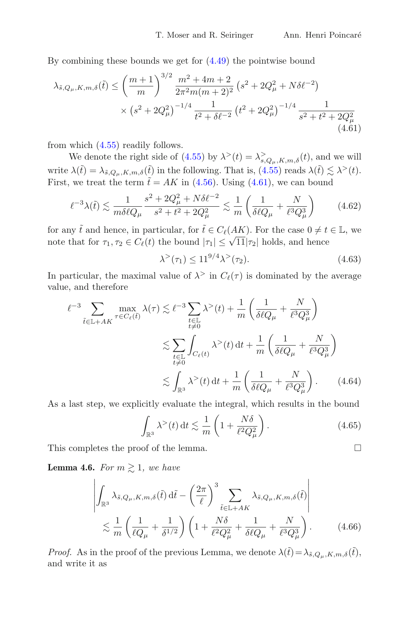By combining these bounds we get for [\(4.49\)](#page-19-1) the pointwise bound

$$
\lambda_{\tilde{s},Q_{\mu},K,m,\delta}(\tilde{t}) \leq \left(\frac{m+1}{m}\right)^{3/2} \frac{m^2 + 4m + 2}{2\pi^2 m(m+2)^2} \left(s^2 + 2Q_{\mu}^2 + N\delta\ell^{-2}\right) \times \left(s^2 + 2Q_{\mu}^2\right)^{-1/4} \frac{1}{t^2 + \delta\ell^{-2}} \left(t^2 + 2Q_{\mu}^2\right)^{-1/4} \frac{1}{s^2 + t^2 + 2Q_{\mu}^2} \tag{4.61}
$$

from which [\(4.55\)](#page-20-2) readily follows.

We denote the right side of [\(4.55\)](#page-20-2) by  $\lambda^>(t) = \lambda_{s,Q_\mu,K,m,\delta}^>(t)$ , and we will write  $\lambda(\tilde{t}) = \lambda_{\tilde{s}, Q_\mu, K, m, \delta}(\tilde{t})$  in the following. That is,  $(4.55)$  reads  $\lambda(\tilde{t}) \lesssim \lambda^>(t)$ . First, we treat the term  $\tilde{t} = AK$  in [\(4.56\)](#page-20-3). Using [\(4.61\)](#page-21-0), we can bound

$$
\ell^{-3}\lambda(\tilde{t}) \lesssim \frac{1}{m\delta\ell Q_{\mu}} \frac{s^2 + 2Q_{\mu}^2 + N\delta\ell^{-2}}{s^2 + t^2 + 2Q_{\mu}^2} \lesssim \frac{1}{m} \left(\frac{1}{\delta\ell Q_{\mu}} + \frac{N}{\ell^3 Q_{\mu}^3}\right) \tag{4.62}
$$

for any  $\tilde{t}$  and hence, in particular, for  $\tilde{t} \in C_{\ell}(AK)$ . For the case  $0 \neq t \in \mathbb{L}$ , we note that for  $\tau_1, \tau_2 \in C_{\ell}(t)$  the bound  $|\tau_1| \leq \sqrt{11} |\tau_2|$  holds, and hence

<span id="page-21-0"></span>
$$
\lambda^{>}(\tau_1) \le 11^{9/4}\lambda^{>}(\tau_2). \tag{4.63}
$$

In particular, the maximal value of  $\lambda^>$  in  $C_{\ell}(\tau)$  is dominated by the average value, and therefore

$$
\ell^{-3} \sum_{\tilde{t} \in \mathbb{L} + AK} \max_{\tau \in C_{\ell}(\tilde{t})} \lambda(\tau) \lesssim \ell^{-3} \sum_{\substack{t \in \mathbb{L} \\ t \neq 0}} \lambda^{>}(t) + \frac{1}{m} \left( \frac{1}{\delta \ell Q_{\mu}} + \frac{N}{\ell^{3} Q_{\mu}^{3}} \right)
$$
  

$$
\lesssim \sum_{\substack{t \in \mathbb{L} \\ t \neq 0}} \int_{C_{\ell}(t)} \lambda^{>}(t) dt + \frac{1}{m} \left( \frac{1}{\delta \ell Q_{\mu}} + \frac{N}{\ell^{3} Q_{\mu}^{3}} \right)
$$
  

$$
\lesssim \int_{\mathbb{R}^{3}} \lambda^{>}(t) dt + \frac{1}{m} \left( \frac{1}{\delta \ell Q_{\mu}} + \frac{N}{\ell^{3} Q_{\mu}^{3}} \right). \tag{4.64}
$$

As a last step, we explicitly evaluate the integral, which results in the bound

$$
\int_{\mathbb{R}^3} \lambda^>(t) dt \lesssim \frac{1}{m} \left( 1 + \frac{N\delta}{\ell^2 Q_\mu^2} \right). \tag{4.65}
$$

This completes the proof of the lemma.

<span id="page-21-1"></span>**Lemma 4.6.** *For*  $m \ge 1$ *, we have* 

$$
\left| \int_{\mathbb{R}^3} \lambda_{\tilde{s}, Q_\mu, K, m, \delta}(\tilde{t}) d\tilde{t} - \left(\frac{2\pi}{\ell}\right)^3 \sum_{\tilde{t} \in \mathbb{L} + AK} \lambda_{\tilde{s}, Q_\mu, K, m, \delta}(\tilde{t}) \right|
$$
  

$$
\lesssim \frac{1}{m} \left( \frac{1}{\ell Q_\mu} + \frac{1}{\delta^{1/2}} \right) \left( 1 + \frac{N\delta}{\ell^2 Q_\mu^2} + \frac{1}{\delta \ell Q_\mu} + \frac{N}{\ell^3 Q_\mu^3} \right).
$$
 (4.66)

*Proof.* As in the proof of the previous Lemma, we denote  $\lambda(\tilde{t}) = \lambda_{\tilde{s},Q_\mu,K,m,\delta}(\tilde{t}),$ and write it as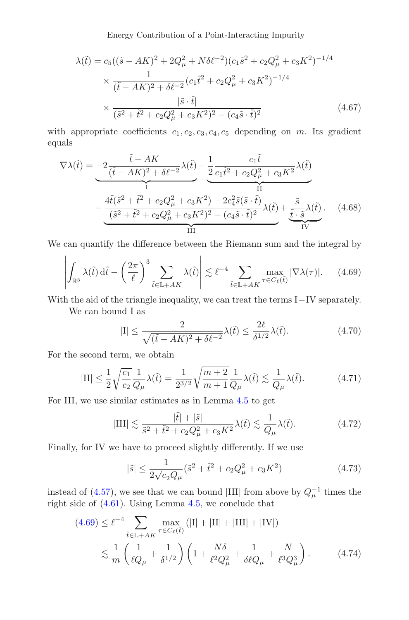Energy Contribution of a Point-Interacting Impurity

$$
\lambda(\tilde{t}) = c_5((\tilde{s} - AK)^2 + 2Q_{\mu}^2 + N\delta\ell^{-2})(c_1\tilde{s}^2 + c_2Q_{\mu}^2 + c_3K^2)^{-1/4}
$$
  
\n
$$
\times \frac{1}{(\tilde{t} - AK)^2 + \delta\ell^{-2}}(c_1\tilde{t}^2 + c_2Q_{\mu}^2 + c_3K^2)^{-1/4}
$$
  
\n
$$
\times \frac{|\tilde{s} \cdot \tilde{t}|}{(\tilde{s}^2 + \tilde{t}^2 + c_2Q_{\mu}^2 + c_3K^2)^2 - (c_4\tilde{s} \cdot \tilde{t})^2}
$$
(4.67)

with appropriate coefficients  $c_1, c_2, c_3, c_4, c_5$  depending on m. Its gradient equals

$$
\nabla \lambda(\tilde{t}) = -2 \underbrace{\frac{\tilde{t} - AK}{(\tilde{t} - AK)^2 + \delta \ell^{-2}} \lambda(\tilde{t})}_{I} - \underbrace{\frac{1}{2} \frac{c_1 \tilde{t}}{c_1 \tilde{t}^2 + c_2 Q_{\mu}^2 + c_3 K^2} \lambda(\tilde{t})}_{II}
$$
\n
$$
-\underbrace{\frac{4\tilde{t}(\tilde{s}^2 + \tilde{t}^2 + c_2 Q_{\mu}^2 + c_3 K^2) - 2c_4^2 \tilde{s}(\tilde{s} \cdot \tilde{t})}{(\tilde{s}^2 + \tilde{t}^2 + c_2 Q_{\mu}^2 + c_3 K^2)^2 - (c_4 \tilde{s} \cdot \tilde{t})^2} \lambda(\tilde{t})}_{III} + \underbrace{\frac{\tilde{s}}{\tilde{t} \cdot \tilde{s}} \lambda(\tilde{t})}_{IV}.
$$
\n(4.68)

We can quantify the difference between the Riemann sum and the integral by

<span id="page-22-0"></span>
$$
\left| \int_{\mathbb{R}^3} \lambda(\tilde{t}) \, d\tilde{t} - \left(\frac{2\pi}{\ell}\right)^3 \sum_{\tilde{t} \in \mathbb{L} + AK} \lambda(\tilde{t}) \right| \lesssim \ell^{-4} \sum_{\tilde{t} \in \mathbb{L} + AK} \max_{\tau \in C_{\ell}(\tilde{t})} |\nabla \lambda(\tau)|. \tag{4.69}
$$

With the aid of the triangle inequality, we can treat the terms I−IV separately. We can bound I as

$$
|\mathbf{I}| \le \frac{2}{\sqrt{(\tilde{t} - AK)^2 + \delta \ell^{-2}}} \lambda(\tilde{t}) \le \frac{2\ell}{\delta^{1/2}} \lambda(\tilde{t}).
$$
\n(4.70)

For the second term, we obtain

$$
|\text{II}| \le \frac{1}{2} \sqrt{\frac{c_1}{c_2}} \frac{1}{Q_\mu} \lambda(\tilde{t}) = \frac{1}{2^{3/2}} \sqrt{\frac{m+2}{m+1}} \frac{1}{Q_\mu} \lambda(\tilde{t}) \lesssim \frac{1}{Q_\mu} \lambda(\tilde{t}). \tag{4.71}
$$

For III, we use similar estimates as in Lemma [4.5](#page-20-1) to get

$$
|\text{III}| \lesssim \frac{|\tilde{t}| + |\tilde{s}|}{\tilde{s}^2 + \tilde{t}^2 + c_2 Q_\mu^2 + c_3 K^2} \lambda(\tilde{t}) \lesssim \frac{1}{Q_\mu} \lambda(\tilde{t}). \tag{4.72}
$$

Finally, for IV we have to proceed slightly differently. If we use

$$
|\tilde{s}| \le \frac{1}{2\sqrt{c_2 Q_\mu}} (\tilde{s}^2 + \tilde{t}^2 + c_2 Q_\mu^2 + c_3 K^2)
$$
\n(4.73)

instead of [\(4.57\)](#page-20-4), we see that we can bound |III| from above by  $Q_{\mu}^{-1}$  times the right side of [\(4.61\)](#page-21-0). Using Lemma [4.5,](#page-20-1) we conclude that

$$
(4.69) \le \ell^{-4} \sum_{\tilde{t} \in \mathbb{L} + AK} \max_{\tau \in C_{\ell}(\tilde{t})} (|I| + |II| + |III| + |IV|)
$$
  
\$\lesssim \frac{1}{m} \left( \frac{1}{\ell Q\_{\mu}} + \frac{1}{\delta^{1/2}} \right) \left( 1 + \frac{N \delta}{\ell^2 Q\_{\mu}^2} + \frac{1}{\delta \ell Q\_{\mu}} + \frac{N}{\ell^3 Q\_{\mu}^3} \right). \tag{4.74}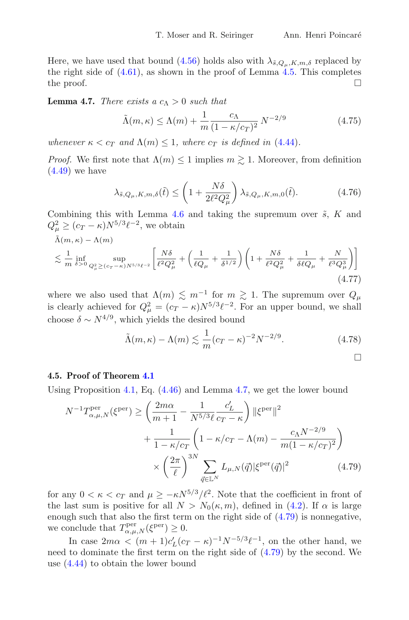<span id="page-23-1"></span> $\Box$ 

Here, we have used that bound [\(4.56\)](#page-20-3) holds also with  $\lambda_{\tilde{s},Q_\mu,K,m,\delta}$  replaced by the right side of  $(4.61)$ , as shown in the proof of Lemma  $4.5$ . This completes the proof.  $\Box$ 

<span id="page-23-0"></span>**Lemma 4.7.** *There exists a*  $c_{\Lambda} > 0$  *such that* 

$$
\tilde{\Lambda}(m,\kappa) \le \Lambda(m) + \frac{1}{m} \frac{c_{\Lambda}}{(1 - \kappa/c_{T})^{2}} N^{-2/9}
$$
\n(4.75)

*whenever*  $\kappa < c_T$  *and*  $\Lambda(m) \leq 1$ *, where*  $c_T$  *is defined in* [\(4.44\)](#page-18-0)*.* 

*Proof.* We first note that  $\Lambda(m) \leq 1$  implies  $m \geq 1$ . Moreover, from definition  $(4.49)$  we have

$$
\lambda_{\tilde{s},Q_{\mu},K,m,\delta}(\tilde{t}) \le \left(1 + \frac{N\delta}{2\ell^2 Q_{\mu}^2}\right) \lambda_{\tilde{s},Q_{\mu},K,m,0}(\tilde{t}). \tag{4.76}
$$

Combining this with Lemma [4.6](#page-21-1) and taking the supremum over  $\tilde{s}$ , K and  $Q_{\mu}^2 \ge (c_T - \kappa) N^{5/3} \ell^{-2}$ , we obtain

$$
\tilde{\Lambda}(m,\kappa) - \Lambda(m) \le \frac{1}{m} \inf_{\delta > 0} \sup_{Q_{\mu}^2 \ge (c_T - \kappa)N^{5/3}\ell^{-2}} \left[ \frac{N\delta}{\ell^2 Q_{\mu}^2} + \left( \frac{1}{\ell Q_{\mu}} + \frac{1}{\delta^{1/2}} \right) \left( 1 + \frac{N\delta}{\ell^2 Q_{\mu}^2} + \frac{1}{\delta \ell Q_{\mu}} + \frac{N}{\ell^3 Q_{\mu}^3} \right) \right]
$$
\n
$$
(4.77)
$$

where we also used that  $\Lambda(m) \lesssim m^{-1}$  for  $m \gtrsim 1$ . The supremum over  $Q_{\mu}$ is clearly achieved for  $Q_{\mu}^2 = (c_T - \kappa) N^{5/3} \ell^{-2}$ . For an upper bound, we shall choose  $\delta \sim N^{4/9}$ , which yields the desired bound

$$
\tilde{\Lambda}(m,\kappa) - \Lambda(m) \lesssim \frac{1}{m} (c_T - \kappa)^{-2} N^{-2/9}.
$$
\n(4.78)

**4.5. Proof of Theorem [4.1](#page-11-1)**

Using Proposition [4.1,](#page-18-3) Eq. [\(4.46\)](#page-18-4) and Lemma [4.7,](#page-23-0) we get the lower bound

$$
N^{-1}T_{\alpha,\mu,N}^{\text{per}}(\xi^{\text{per}}) \ge \left(\frac{2m\alpha}{m+1} - \frac{1}{N^{5/3}\ell} \frac{c'_L}{c_T - \kappa}\right) \|\xi^{\text{per}}\|^2 + \frac{1}{1 - \kappa/c_T} \left(1 - \kappa/c_T - \Lambda(m) - \frac{c_{\Lambda}N^{-2/9}}{m(1 - \kappa/c_T)^2}\right) \times \left(\frac{2\pi}{\ell}\right)^{3N} \sum_{\vec{q} \in \mathbb{L}^N} L_{\mu,N}(\vec{q}) |\xi^{\text{per}}(\vec{q})|^2 \tag{4.79}
$$

for any  $0 < \kappa < c_T$  and  $\mu \geq -\kappa N^{5/3}/\ell^2$ . Note that the coefficient in front of the last sum is positive for all  $N>N_0(\kappa,m)$ , defined in [\(4.2\)](#page-11-3). If  $\alpha$  is large enough such that also the first term on the right side of [\(4.79\)](#page-23-1) is nonnegative, we conclude that  $T^{\text{per}}_{\alpha,\mu,N}(\xi^{\text{per}}) \geq 0$ .

In case  $2m\alpha < (m+1)c'_L(c_T - \kappa)^{-1}N^{-5/3}\ell^{-1}$ , on the other hand, we need to dominate the first term on the right side of [\(4.79\)](#page-23-1) by the second. We use [\(4.44\)](#page-18-0) to obtain the lower bound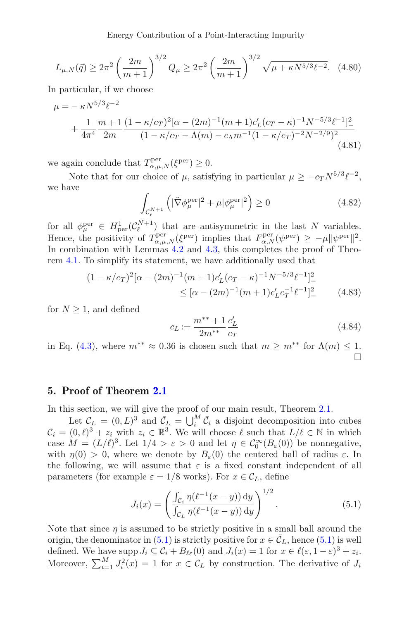Energy Contribution of a Point-Interacting Impurity

$$
L_{\mu,N}(\vec{q}) \ge 2\pi^2 \left(\frac{2m}{m+1}\right)^{3/2} Q_{\mu} \ge 2\pi^2 \left(\frac{2m}{m+1}\right)^{3/2} \sqrt{\mu + \kappa N^{5/3} \ell^{-2}}.\tag{4.80}
$$

In particular, if we choose

$$
\mu = -\kappa N^{5/3} \ell^{-2}
$$
  
+  $\frac{1}{4\pi^4} \frac{m+1}{2m} \frac{(1-\kappa/c_T)^2 [\alpha - (2m)^{-1} (m+1)c_L' (c_T - \kappa)^{-1} N^{-5/3} \ell^{-1}]^2}{(1-\kappa/c_T - \Lambda(m) - c_\Lambda m^{-1} (1-\kappa/c_T)^{-2} N^{-2/9})^2}$   
(4.81)

we again conclude that  $T^{\text{per}}_{\alpha,\mu,N}(\xi^{\text{per}}) \geq 0$ .

Note that for our choice of  $\mu$ , satisfying in particular  $\mu \geq -c_T N^{5/3} \ell^{-2}$ , we have

$$
\int_{\mathcal{C}_{\ell}^{N+1}} \left( |\tilde{\nabla} \phi_{\mu}^{\text{per}}|^{2} + \mu |\phi_{\mu}^{\text{per}}|^{2} \right) \ge 0 \tag{4.82}
$$

for all  $\phi_{\mu}^{\text{per}} \in H_{\text{per}}^1(\mathcal{C}_{\ell}^{N+1})$  that are antisymmetric in the last N variables. Hence, the positivity of  $T_{\alpha,\mu,N}^{\text{per}}(\xi^{\text{per}})$  implies that  $F_{\alpha,N}^{\text{per}}(\psi^{\text{per}}) \geq -\mu \|\psi^{\text{per}}\|^2$ . In combination with Lemmas [4.2](#page-14-0) and [4.3,](#page-15-0) this completes the proof of Theorem [4.1.](#page-11-1) To simplify its statement, we have additionally used that

$$
(1 - \kappa/c_T)^2 [\alpha - (2m)^{-1} (m+1)c_L'(c_T - \kappa)^{-1} N^{-5/3} \ell^{-1}]^2
$$
  
 
$$
\leq [\alpha - (2m)^{-1} (m+1)c_L' c_T^{-1} \ell^{-1}]^2
$$
 (4.83)

for  $N \geq 1$ , and defined

<span id="page-24-1"></span>
$$
c_L := \frac{m^{**} + 1}{2m^{**}} \frac{c'_L}{c_T} \tag{4.84}
$$

in Eq. [\(4.3\)](#page-11-2), where  $m^{**} \approx 0.36$  is chosen such that  $m \ge m^{**}$  for  $\Lambda(m) \le 1$ .  $\Box$ 

#### <span id="page-24-0"></span>**5. Proof of Theorem [2.1](#page-4-0)**

In this section, we will give the proof of our main result, Theorem [2.1.](#page-4-0)

Let  $\mathcal{C}_L = (0, L)^3$  and  $\bar{\mathcal{C}}_L = \bigcup_i^M \bar{\mathcal{C}}_i$  a disjoint decomposition into cubes  $\mathcal{C}_i = (0,\ell)^3 + z_i$  with  $z_i \in \mathbb{R}^3$ . We will choose  $\ell$  such that  $L/\ell \in \mathbb{N}$  in which case  $M = (L/\ell)^3$ . Let  $1/4 > \varepsilon > 0$  and let  $\eta \in C_0^{\infty}(B_{\varepsilon}(0))$  be nonnegative, with  $\eta(0) > 0$ , where we denote by  $B_{\varepsilon}(0)$  the centered ball of radius  $\varepsilon$ . In the following, we will assume that  $\varepsilon$  is a fixed constant independent of all parameters (for example  $\varepsilon = 1/8$  works). For  $x \in C_L$ , define

<span id="page-24-2"></span>
$$
J_i(x) = \left(\frac{\int_{\mathcal{C}_i} \eta(\ell^{-1}(x-y)) \, dy}{\int_{\mathcal{C}_L} \eta(\ell^{-1}(x-y)) \, dy}\right)^{1/2}.
$$
 (5.1)

Note that since  $\eta$  is assumed to be strictly positive in a small ball around the origin, the denominator in [\(5.1\)](#page-24-2) is strictly positive for  $x \in \overline{C}_L$ , hence (5.1) is well defined. We have supp  $J_i \subseteq C_i + B_{\ell \varepsilon}(0)$  and  $J_i(x) = 1$  for  $x \in \ell(\varepsilon, 1-\varepsilon)^3 + z_i$ . Moreover,  $\sum_{i=1}^{M} J_i^2(x) = 1$  for  $x \in C_L$  by construction. The derivative of  $J_i$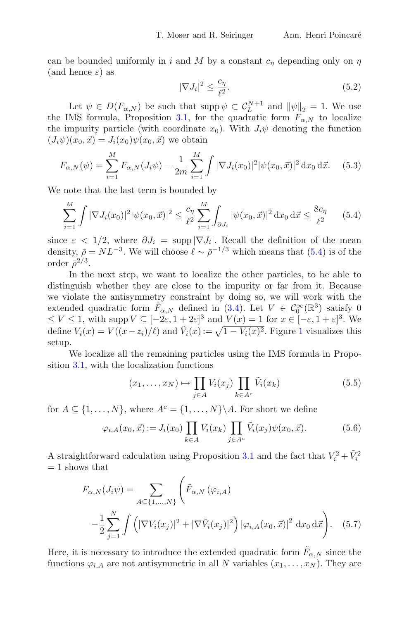can be bounded uniformly in i and M by a constant  $c<sub>\eta</sub>$  depending only on  $\eta$ (and hence  $\varepsilon$ ) as

$$
|\nabla J_i|^2 \le \frac{c_\eta}{\ell^2}.\tag{5.2}
$$

Let  $\psi \in D(F_{\alpha,N})$  be such that supp  $\psi \subset C_L^{N+1}$  and  $\|\psi\|_2 = 1$ . We use the IMS formula, Proposition [3.1,](#page-9-0) for the quadratic form  $F_{\alpha,N}$  to localize the impurity particle (with coordinate  $x_0$ ). With  $J_i\psi$  denoting the function  $(J_i\psi)(x_0, \vec{x}) = J_i(x_0)\psi(x_0, \vec{x})$  we obtain

<span id="page-25-2"></span>
$$
F_{\alpha,N}(\psi) = \sum_{i=1}^{M} F_{\alpha,N}(J_i \psi) - \frac{1}{2m} \sum_{i=1}^{M} \int |\nabla J_i(x_0)|^2 |\psi(x_0, \vec{x})|^2 d x_0 d \vec{x}.
$$
 (5.3)

We note that the last term is bounded by

<span id="page-25-0"></span>
$$
\sum_{i=1}^{M} \int |\nabla J_i(x_0)|^2 |\psi(x_0, \vec{x})|^2 \le \frac{c_\eta}{\ell^2} \sum_{i=1}^{M} \int_{\partial J_i} |\psi(x_0, \vec{x})|^2 \, \mathrm{d}x_0 \, \mathrm{d}\vec{x} \le \frac{8c_\eta}{\ell^2} \qquad (5.4)
$$

since  $\varepsilon < 1/2$ , where  $\partial J_i = \supp |\nabla J_i|$ . Recall the definition of the mean density,  $\bar{\rho} = NL^{-3}$ . We will choose  $\ell \sim \bar{\rho}^{-1/3}$  which means that [\(5.4\)](#page-25-0) is of the order  $\bar{\rho}^{2/3}$ .

In the next step, we want to localize the other particles, to be able to distinguish whether they are close to the impurity or far from it. Because we violate the antisymmetry constraint by doing so, we will work with the extended quadratic form  $\tilde{F}_{\alpha,N}$  defined in [\(3.4\)](#page-6-4). Let  $V \in C_0^{\infty}(\mathbb{R}^3)$  satisfy 0  $\leq V \leq 1$ , with supp  $V \subseteq [-2\varepsilon, 1+2\varepsilon]^3$  and  $V(x) = 1$  for  $x \in [-\varepsilon, 1+\varepsilon]^3$ . We define  $V_i(x) = V((x - z_i)/\ell)$  and  $\tilde{V}_i(x) := \sqrt{1 - V_i(x)^2}$  $\tilde{V}_i(x) := \sqrt{1 - V_i(x)^2}$  $\tilde{V}_i(x) := \sqrt{1 - V_i(x)^2}$ . Figure 1 visualizes this setup.

We localize all the remaining particles using the IMS formula in Proposition [3.1,](#page-9-0) with the localization functions

$$
(x_1, \ldots, x_N) \mapsto \prod_{j \in A} V_i(x_j) \prod_{k \in A^c} \tilde{V}_i(x_k)
$$
 (5.5)

for  $A \subseteq \{1, ..., N\}$ , where  $A^c = \{1, ..., N\} \backslash A$ . For short we define

$$
\varphi_{i,A}(x_0, \vec{x}) := J_i(x_0) \prod_{k \in A} V_i(x_k) \prod_{j \in A^c} \tilde{V}_i(x_j) \psi(x_0, \vec{x}). \tag{5.6}
$$

A straightforward calculation using Proposition [3.1](#page-9-0) and the fact that  $V_i^2 + \tilde{V}_i^2$  $= 1$  shows that

<span id="page-25-1"></span>
$$
F_{\alpha,N}(J_i \psi) = \sum_{A \subseteq \{1,\dots,N\}} \left( \tilde{F}_{\alpha,N} \left( \varphi_{i,A} \right) - \frac{1}{2} \sum_{j=1}^N \int \left( |\nabla V_i(x_j)|^2 + |\nabla \tilde{V}_i(x_j)|^2 \right) |\varphi_{i,A}(x_0, \vec{x})|^2 dx_0 d\vec{x} \right).
$$
 (5.7)

Here, it is necessary to introduce the extended quadratic form  $\tilde{F}_{\alpha,N}$  since the functions  $\varphi_{i,A}$  are not antisymmetric in all N variables  $(x_1,\ldots,x_N)$ . They are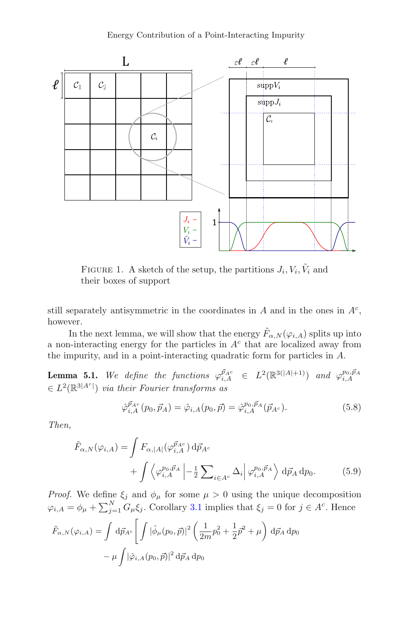

<span id="page-26-0"></span>FIGURE 1. A sketch of the setup, the partitions  $J_i, V_i, \tilde{V}_i$  and their boxes of support

still separately antisymmetric in the coordinates in  $A$  and in the ones in  $A<sup>c</sup>$ , however.

In the next lemma, we will show that the energy  $\tilde{F}_{\alpha,N}(\varphi_{i,A})$  splits up into a non-interacting energy for the particles in  $A<sup>c</sup>$  that are localized away from the impurity, and in a point-interacting quadratic form for particles in A.

**Lemma 5.1.** We define the functions  $\varphi_{i,A}^{\vec{p}_{Ac}} \in L^2(\mathbb{R}^{3(|A|+1)})$  and  $\varphi_{i,A}^{p_0, \vec{p}_A}$  $\in L^2(\mathbb{R}^{3|A^c|})$  *via their Fourier transforms as* 

<span id="page-26-1"></span>
$$
\hat{\varphi}_{i,A}^{\vec{p}_{Ac}}(p_0, \vec{p}_A) = \hat{\varphi}_{i,A}(p_0, \vec{p}) = \hat{\varphi}_{i,A}^{p_0, \vec{p}_A}(\vec{p}_{Ac}).
$$
\n(5.8)

*Then,*

$$
\tilde{F}_{\alpha,N}(\varphi_{i,A}) = \int F_{\alpha,|A|}(\varphi_{i,A}^{\vec{p}_{A^c}}) d\vec{p}_{A^c} \n+ \int \left\langle \varphi_{i,A}^{p_0,\vec{p}_A} \right| - \frac{1}{2} \sum_{i \in A^c} \Delta_i \left| \varphi_{i,A}^{p_0,\vec{p}_A} \right\rangle d\vec{p}_A dp_0.
$$
\n(5.9)

*Proof.* We define  $\xi_j$  and  $\phi_\mu$  for some  $\mu > 0$  using the unique decomposition  $\varphi_{i,A} = \phi_{\mu} + \sum_{j=1}^{N} G_{\mu} \xi_j$ . Corollary [3.1](#page-7-3) implies that  $\xi_j = 0$  for  $j \in A^c$ . Hence

$$
\tilde{F}_{\alpha,N}(\varphi_{i,A}) = \int d\vec{p}_{Ac} \left[ \int |\hat{\phi}_{\mu}(p_0, \vec{p})|^2 \left( \frac{1}{2m} p_0^2 + \frac{1}{2} \vec{p}^2 + \mu \right) d\vec{p}_A d\vec{p}_0 - \mu \int |\hat{\varphi}_{i,A}(p_0, \vec{p})|^2 d\vec{p}_A d\vec{p}_0 \right]
$$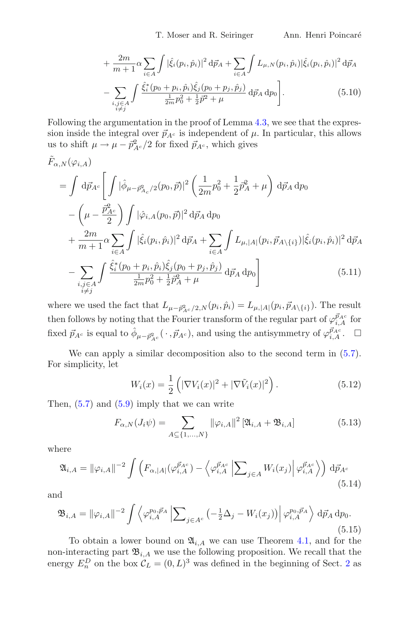T. Moser and R. Seiringer Ann. Henri Poincaré

$$
+\frac{2m}{m+1}\alpha \sum_{i\in A} \int |\hat{\xi}_i(p_i, \hat{p}_i)|^2 d\vec{p}_A + \sum_{i\in A} \int L_{\mu, N}(p_i, \hat{p}_i) |\hat{\xi}_i(p_i, \hat{p}_i)|^2 d\vec{p}_A
$$

$$
-\sum_{\substack{i,j\in A\\i\neq j}} \int \frac{\hat{\xi}_i^*(p_0+p_i, \hat{p}_i)\hat{\xi}_j(p_0+p_j, \hat{p}_j)}{\frac{1}{2m}p_0^2 + \frac{1}{2}\vec{p}^2 + \mu} d\vec{p}_A dp_0.
$$
(5.10)

Following the argumentation in the proof of Lemma [4.3,](#page-15-0) we see that the expression inside the integral over  $\vec{p}_{Ac}$  is independent of  $\mu$ . In particular, this allows us to shift  $\mu \to \mu - \bar{p}_{A^c}^2/2$  for fixed  $\vec{p}_{A^c}$ , which gives

$$
\tilde{F}_{\alpha,N}(\varphi_{i,A})
$$
\n
$$
= \int d\vec{p}_{A^c} \left[ \int |\hat{\phi}_{\mu - \vec{p}_{A_c}^2/2}(p_0, \vec{p})|^2 \left( \frac{1}{2m} p_0^2 + \frac{1}{2} \vec{p}_A^2 + \mu \right) d\vec{p}_A d p_0 \right. \\
\left. - \left( \mu - \frac{\vec{p}_{A^c}^2}{2} \right) \int |\hat{\varphi}_{i,A}(p_0, \vec{p})|^2 d\vec{p}_A d p_0 \right. \\
\left. + \frac{2m}{m+1} \alpha \sum_{i \in A} \int |\hat{\xi}_i(p_i, \hat{p}_i)|^2 d\vec{p}_A + \sum_{i \in A} \int L_{\mu, |A|}(p_i, \vec{p}_{A \setminus \{i\}}) |\hat{\xi}_i(p_i, \hat{p}_i)|^2 d\vec{p}_A \right. \\
\left. - \sum_{\substack{i,j \in A \\ i \neq j}} \int \frac{\hat{\xi}_i^*(p_0 + p_i, \hat{p}_i) \hat{\xi}_j(p_0 + p_j, \hat{p}_j)}{\frac{1}{2m} p_0^2 + \frac{1}{2} \vec{p}_A^2 + \mu} d\vec{p}_A d p_0 \right] \tag{5.11}
$$

where we used the fact that  $L_{\mu-\bar{p}_{A^c}/2,N}(p_i,\hat{p}_i) = L_{\mu,|A|}(p_i,\vec{p}_{A\setminus\{i\}}).$  The result then follows by noting that the Fourier transform of the regular part of  $\varphi_{i,A}^{\vec{p}_{Ac}}$  for fixed  $\vec{p}_{A^c}$  is equal to  $\hat{\phi}_{\mu-\vec{p}_{A^c}^2}(\cdot,\vec{p}_{A^c})$ , and using the antisymmetry of  $\varphi_{i,A}^{\vec{p}_{A^c}}$ .  $\Box$ 

We can apply a similar decomposition also to the second term in  $(5.7)$ . For simplicity, let

$$
W_i(x) = \frac{1}{2} \left( |\nabla V_i(x)|^2 + |\nabla \tilde{V}_i(x)|^2 \right).
$$
 (5.12)

Then,  $(5.7)$  and  $(5.9)$  imply that we can write

<span id="page-27-0"></span>
$$
F_{\alpha,N}(J_i\psi) = \sum_{A \subseteq \{1,\dots,N\}} \|\varphi_{i,A}\|^2 \left[\mathfrak{A}_{i,A} + \mathfrak{B}_{i,A}\right] \tag{5.13}
$$

where

$$
\mathfrak{A}_{i,A} = \|\varphi_{i,A}\|^{-2} \int \left( F_{\alpha,|A|}(\varphi_{i,A}^{\vec{p}_{A^c}}) - \left\langle \varphi_{i,A}^{\vec{p}_{A^c}} \left| \sum_{j\in A} W_i(x_j) \right| \varphi_{i,A}^{\vec{p}_{A^c}} \right\rangle \right) d\vec{p}_{A^c}
$$
\n(5.14)

and

$$
\mathfrak{B}_{i,A} = \|\varphi_{i,A}\|^{-2} \int \left\langle \varphi_{i,A}^{p_0, \vec{p}_A} \left| \sum_{j \in A^c} \left( -\frac{1}{2} \Delta_j - W_i(x_j) \right) \right| \varphi_{i,A}^{p_0, \vec{p}_A} \right\rangle d\vec{p}_A d p_0.
$$
\n(5.15)

To obtain a lower bound on  $\mathfrak{A}_{i,A}$  we can use Theorem [4.1,](#page-11-1) and for the non-interacting part  $\mathfrak{B}_{i,A}$  we use the following proposition. We recall that the energy  $E_n^D$  on the box  $\mathcal{C}_L = (0, L)^3$  was defined in the beginning of Sect. [2](#page-3-3) as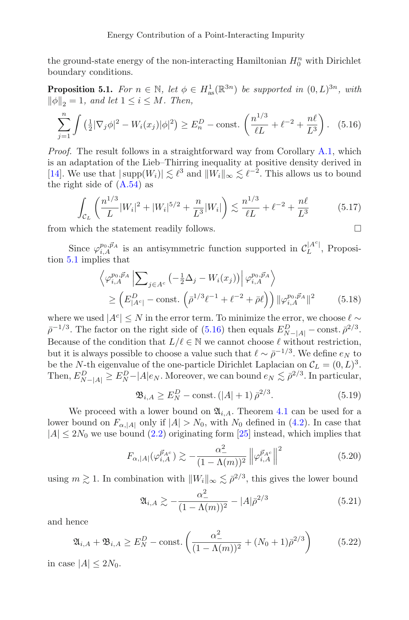the ground-state energy of the non-interacting Hamiltonian  $H_0^n$  with Dirichlet boundary conditions.

<span id="page-28-0"></span>**Proposition 5.1.** *For*  $n \in \mathbb{N}$ *, let*  $\phi \in H_{as}^1(\mathbb{R}^{3n})$  *be supported in*  $(0, L)^{3n}$ *, with*  $\|\phi\|_2 = 1$ , and let  $1 \leq i \leq M$ . Then,

<span id="page-28-1"></span>
$$
\sum_{j=1}^{n} \int \left(\frac{1}{2} |\nabla_j \phi|^2 - W_i(x_j) |\phi|^2\right) \ge E_n^D - \text{const.}\left(\frac{n^{1/3}}{\ell L} + \ell^{-2} + \frac{n\ell}{L^3}\right). \tag{5.16}
$$

*Proof.* The result follows in a straightforward way from Corollary [A.1,](#page-38-6) which is an adaptation of the Lieb–Thirring inequality at positive density derived in [\[14\]](#page-39-14). We use that  $|\text{supp}(W_i)| \lesssim \ell^3$  and  $||W_i||_{\infty} \lesssim \ell^{-2}$ . This allows us to bound the right side of  $(A.54)$  as

$$
\int_{\mathcal{C}_L} \left( \frac{n^{1/3}}{L} |W_i|^2 + |W_i|^{5/2} + \frac{n}{L^3} |W_i| \right) \lesssim \frac{n^{1/3}}{\ell L} + \ell^{-2} + \frac{n\ell}{L^3} \tag{5.17}
$$

from which the statement readily follows.  $\Box$ 

Since  $\varphi_{i,A}^{p_0, \vec{p}_A}$  is an antisymmetric function supported in  $\mathcal{C}_L^{|A^c|}$ , Proposition [5.1](#page-28-0) implies that

$$
\left\langle \varphi_{i,A}^{p_0, \vec{p}_A} \left| \sum_{j \in A^c} \left( -\frac{1}{2} \Delta_j - W_i(x_j) \right) \right| \varphi_{i,A}^{p_0, \vec{p}_A} \right\rangle
$$
  
\n
$$
\geq \left( E_{|A^c|}^D - \text{const.} \left( \bar{\rho}^{1/3} \ell^{-1} + \ell^{-2} + \bar{\rho} \ell \right) \right) \| \varphi_{i,A}^{p_0, \vec{p}_A} \|^2
$$
(5.18)

where we used  $|A^c| \leq N$  in the error term. To minimize the error, we choose  $\ell \sim$  $\bar{\rho}^{-1/3}$ . The factor on the right side of [\(5.16\)](#page-28-1) then equals  $E_{N-|A|}^D$  – const.  $\bar{\rho}^{2/3}$ . Because of the condition that  $L/\ell \in \mathbb{N}$  we cannot choose  $\ell$  without restriction, but it is always possible to choose a value such that  $\ell \sim \bar{\rho}^{-1/3}$ . We define  $e_N$  to be the N-th eigenvalue of the one-particle Dirichlet Laplacian on  $\mathcal{C}_L = (0, L)^3$ . Then,  $E_{N-|A|}^D \ge E_N^D - |A|e_N$ . Moreover, we can bound  $e_N \lesssim \bar{\rho}^{2/3}$ . In particular,

<span id="page-28-2"></span>
$$
\mathfrak{B}_{i,A} \ge E_N^D - \text{const.} \left( |A| + 1 \right) \bar{\rho}^{2/3}.
$$
 (5.19)

We proceed with a lower bound on  $\mathfrak{A}_{i,A}$ . Theorem [4.1](#page-11-1) can be used for a lower bound on  $F_{\alpha, |A|}$  only if  $|A| > N_0$ , with  $N_0$  defined in [\(4.2\)](#page-11-3). In case that  $|A| \leq 2N_0$  we use bound  $(2.2)$  originating form  $[25]$  $[25]$  instead, which implies that

$$
F_{\alpha,|A|}(\varphi_{i,A}^{\vec{p}_{A^c}}) \gtrsim -\frac{\alpha_-^2}{(1-\Lambda(m))^2} \left\| \varphi_{i,A}^{\vec{p}_{A^c}} \right\|^2 \tag{5.20}
$$

using  $m \gtrsim 1$ . In combination with  $||W_i||_{\infty} \lesssim \bar{\rho}^{2/3}$ , this gives the lower bound

$$
\mathfrak{A}_{i,A} \gtrsim -\frac{\alpha_-^2}{(1 - \Lambda(m))^2} - |A|\bar{\rho}^{2/3} \tag{5.21}
$$

and hence

<span id="page-28-3"></span>
$$
\mathfrak{A}_{i,A} + \mathfrak{B}_{i,A} \ge E_N^D - \text{const.} \left( \frac{\alpha_-^2}{(1 - \Lambda(m))^2} + (N_0 + 1)\bar{\rho}^{2/3} \right) \tag{5.22}
$$

in case  $|A| \leq 2N_0$ .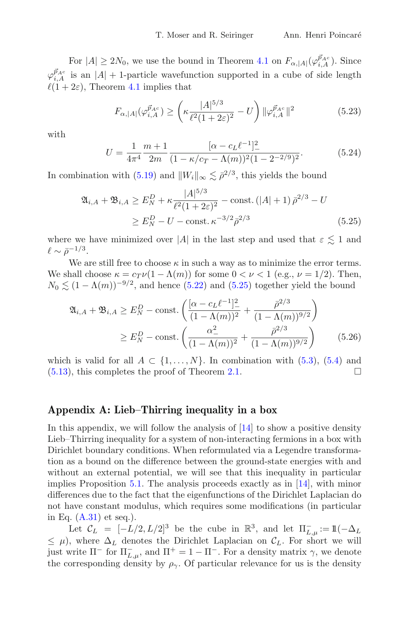For  $|A| \ge 2N_0$ , we use the bound in Theorem [4.1](#page-11-1) on  $F_{\alpha, |A|}(\varphi_{i, A}^{\vec{p}_{Ac}})$ . Since  $\varphi_{i,A}^{\vec{p}_{A^c}}$  is an  $|A| + 1$ -particle wavefunction supported in a cube of side length  $\ell(1+2\varepsilon)$ , Theorem [4.1](#page-11-1) implies that

$$
F_{\alpha,|A|}(\varphi_{i,A}^{\vec{p}_{A^c}}) \ge \left(\kappa \frac{|A|^{5/3}}{\ell^2 (1+2\varepsilon)^2} - U\right) \|\varphi_{i,A}^{\vec{p}_{A^c}}\|^2 \tag{5.23}
$$

with

<span id="page-29-0"></span>
$$
U = \frac{1}{4\pi^4} \frac{m+1}{2m} \frac{[\alpha - c_L \ell^{-1}]^2}{(1 - \kappa/c_T - \Lambda(m))^2 (1 - 2^{-2/9})^2}.
$$
(5.24)

In combination with [\(5.19\)](#page-28-2) and  $||W_i||_{\infty} \lesssim \bar{\rho}^{2/3}$ , this yields the bound

$$
\mathfrak{A}_{i,A} + \mathfrak{B}_{i,A} \ge E_N^D + \kappa \frac{|A|^{5/3}}{\ell^2 (1+2\varepsilon)^2} - \text{const.} \left( |A| + 1 \right) \bar{\rho}^{2/3} - U
$$
  
 
$$
\ge E_N^D - U - \text{const.} \kappa^{-3/2} \bar{\rho}^{2/3} \tag{5.25}
$$

where we have minimized over |A| in the last step and used that  $\varepsilon \lesssim 1$  and  $\ell \sim \bar{\rho}^{-1/3}.$ 

We are still free to choose  $\kappa$  in such a way as to minimize the error terms. We shall choose  $\kappa = c_T \nu (1 - \Lambda(m))$  for some  $0 < \nu < 1$  (e.g.,  $\nu = 1/2$ ). Then,  $N_0 \lesssim (1 - \Lambda(m))^{-9/2}$ , and hence [\(5.22\)](#page-28-3) and [\(5.25\)](#page-29-0) together yield the bound

$$
\mathfrak{A}_{i,A} + \mathfrak{B}_{i,A} \ge E_N^D - \text{const.} \left( \frac{[\alpha - c_L \ell^{-1}]_-^2}{(1 - \Lambda(m))^2} + \frac{\bar{\rho}^{2/3}}{(1 - \Lambda(m))^{9/2}} \right)
$$
  
 
$$
\ge E_N^D - \text{const.} \left( \frac{\alpha_-^2}{(1 - \Lambda(m))^2} + \frac{\bar{\rho}^{2/3}}{(1 - \Lambda(m))^{9/2}} \right) \tag{5.26}
$$

which is valid for all  $A \subset \{1,\ldots,N\}$ . In combination with [\(5.3\)](#page-25-2), [\(5.4\)](#page-25-0) and (5.13), this completes the proof of Theorem 2.1. [\(5.13\)](#page-27-0), this completes the proof of Theorem [2.1.](#page-4-0)

#### **Appendix A: Lieb–Thirring inequality in a box**

In this appendix, we will follow the analysis of  $[14]$  to show a positive density Lieb–Thirring inequality for a system of non-interacting fermions in a box with Dirichlet boundary conditions. When reformulated via a Legendre transformation as a bound on the difference between the ground-state energies with and without an external potential, we will see that this inequality in particular implies Proposition [5.1.](#page-28-0) The analysis proceeds exactly as in [\[14\]](#page-39-14), with minor differences due to the fact that the eigenfunctions of the Dirichlet Laplacian do not have constant modulus, which requires some modifications (in particular in Eq.  $(A.31)$  et seq.).

Let  $\mathcal{C}_L = [-L/2, L/2]^3$  be the cube in  $\mathbb{R}^3$ , and let  $\Pi_{L,\mu}^- := \mathbb{1}(-\Delta_L)$  $\leq \mu$ ), where  $\Delta_L$  denotes the Dirichlet Laplacian on  $\mathcal{C}_L$ . For short we will just write  $\Pi$ <sup>-</sup> for  $\Pi$ <sub>*L*,μ</sub>, and  $\Pi$ <sup>+</sup> = 1 −  $\Pi$ <sup>-</sup>. For a density matrix  $\gamma$ , we denote the corresponding density by  $\rho_{\gamma}$ . Of particular relevance for us is the density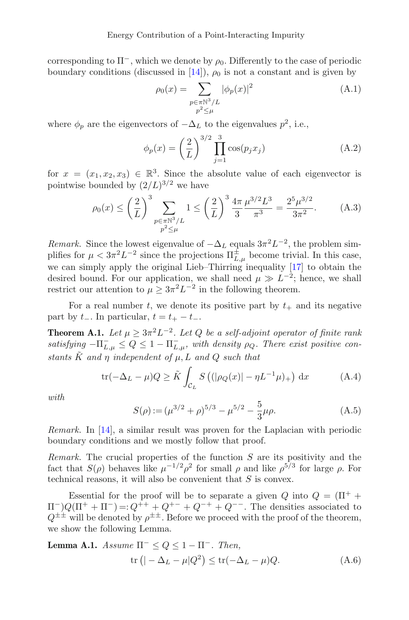corresponding to  $\Pi^-$ , which we denote by  $\rho_0$ . Differently to the case of periodic boundary conditions (discussed in [\[14](#page-39-14)]),  $\rho_0$  is not a constant and is given by

$$
\rho_0(x) = \sum_{\substack{p \in \pi \mathbb{N}^3 / L \\ p^2 \le \mu}} |\phi_p(x)|^2
$$
\n(A.1)

where  $\phi_p$  are the eigenvectors of  $-\Delta_L$  to the eigenvalues  $p^2$ , i.e.,

<span id="page-30-2"></span>
$$
\phi_p(x) = \left(\frac{2}{L}\right)^{3/2} \prod_{j=1}^3 \cos(p_j x_j)
$$
 (A.2)

for  $x = (x_1, x_2, x_3) \in \mathbb{R}^3$ . Since the absolute value of each eigenvector is pointwise bounded by  $(2/L)^{3/2}$  we have

$$
\rho_0(x) \le \left(\frac{2}{L}\right)^3 \sum_{\substack{p \in \pi \mathbb{N}^3/L \\ p^2 \le \mu}} 1 \le \left(\frac{2}{L}\right)^3 \frac{4\pi \mu^{3/2} L^3}{3\pi^3} = \frac{2^5 \mu^{3/2}}{3\pi^2}.
$$
 (A.3)

*Remark.* Since the lowest eigenvalue of  $-\Delta_L$  equals  $3\pi^2 L^{-2}$ , the problem simplifies for  $\mu < 3\pi^2 L^{-2}$  since the projections  $\Pi_{L,\mu}^{\pm}$  become trivial. In this case, we can simply apply the original Lieb–Thirring inequality [\[17\]](#page-39-16) to obtain the desired bound. For our application, we shall need  $\mu \gg L^{-2}$ ; hence, we shall restrict our attention to  $\mu \geq 3\pi^2 L^{-2}$  in the following theorem.

<span id="page-30-0"></span>For a real number t, we denote its positive part by  $t_{+}$  and its negative part by  $t_$ . In particular,  $t = t_+ - t_-.$ 

**Theorem A.1.** *Let*  $\mu \geq 3\pi^2 L^{-2}$ *. Let*  $Q$  *be a self-adjoint operator of finite rank*  $satisfying -\Pi_{L,\mu}^- \leq Q \leq 1 - \Pi_{L,\mu}^-$ , with density  $\rho_Q$ . There exist positive con*stants*  $\tilde{K}$  *and*  $\eta$  *independent* of  $\mu$ ,  $L$  *and*  $Q$  *such that* 

$$
\text{tr}(-\Delta_L - \mu)Q \ge \tilde{K} \int_{\mathcal{C}_L} S\left( (|\rho_Q(x)| - \eta L^{-1} \mu)_+ \right) dx \tag{A.4}
$$

*with*

$$
S(\rho) := (\mu^{3/2} + \rho)^{5/3} - \mu^{5/2} - \frac{5}{3}\mu\rho.
$$
 (A.5)

*Remark.* In [\[14](#page-39-14)], a similar result was proven for the Laplacian with periodic boundary conditions and we mostly follow that proof.

*Remark.* The crucial properties of the function S are its positivity and the fact that  $S(\rho)$  behaves like  $\mu^{-1/2} \rho^2$  for small  $\rho$  and like  $\rho^{5/3}$  for large  $\rho$ . For technical reasons, it will also be convenient that S is convex.

Essential for the proof will be to separate a given Q into  $Q = (\Pi^+ +$  $\Pi^-)Q(\Pi^+ + \Pi^-) =: Q^{++} + Q^{+-} + Q^{-+} + Q^{--}$ . The densities associated to  $Q^{\pm\pm}$  will be denoted by  $\rho^{\pm\pm}$ . Before we proceed with the proof of the theorem, we show the following Lemma.

<span id="page-30-1"></span>**Lemma A.1.** Assume 
$$
\Pi^{-} \le Q \le 1 - \Pi^{-}
$$
. Then,  
tr  $(| -\Delta_L - \mu|Q^2) \le \text{tr}(-\Delta_L - \mu)Q$ . (A.6)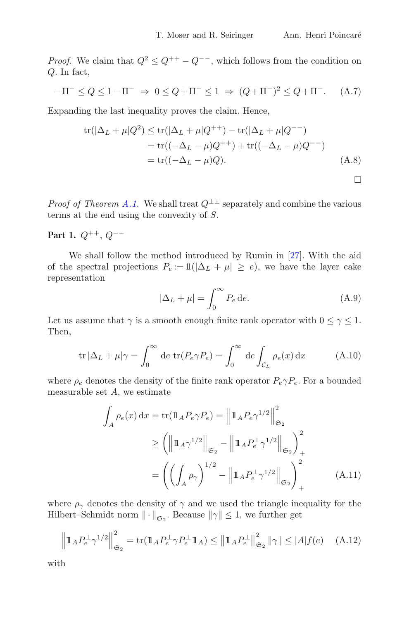*Proof.* We claim that  $Q^2 \leq Q^{++} - Q^{--}$ , which follows from the condition on Q. In fact,

$$
-\Pi^{-} \le Q \le 1 - \Pi^{-} \Rightarrow 0 \le Q + \Pi^{-} \le 1 \Rightarrow (Q + \Pi^{-})^2 \le Q + \Pi^{-}.
$$
 (A.7)

Expanding the last inequality proves the claim. Hence,

$$
tr(|\Delta_L + \mu|Q^2) \le tr(|\Delta_L + \mu|Q^{++}) - tr(|\Delta_L + \mu|Q^{--})
$$
  
= tr((-\Delta\_L - \mu)Q^{++}) + tr((-\Delta\_L - \mu)Q^{--})  
= tr((-\Delta\_L - \mu)Q). (A.8)

*Proof of Theorem [A.1.](#page-30-0)* We shall treat  $Q^{\pm \pm}$  separately and combine the various terms at the end using the convexity of S.

**Part 1.**  $Q^{++}$ ,  $Q^{--}$ 

We shall follow the method introduced by Rumin in [\[27\]](#page-40-3). With the aid of the spectral projections  $P_e := \mathbb{1}(|\Delta_L + \mu| \ge e)$ , we have the layer cake representation

$$
|\Delta_L + \mu| = \int_0^\infty P_e \, \mathrm{d}e. \tag{A.9}
$$

Let us assume that  $\gamma$  is a smooth enough finite rank operator with  $0 \leq \gamma \leq 1$ . Then,

$$
\operatorname{tr} |\Delta_L + \mu|\gamma = \int_0^\infty \operatorname{de} \operatorname{tr}(P_e \gamma P_e) = \int_0^\infty \operatorname{de} \int_{C_L} \rho_e(x) \operatorname{d} x \tag{A.10}
$$

where  $\rho_e$  denotes the density of the finite rank operator  $P_e \gamma P_e$ . For a bounded measurable set  $A$ , we estimate

$$
\int_{A} \rho_e(x) dx = \text{tr}(\mathbb{1}_A P_e \gamma P_e) = \left\| \mathbb{1}_A P_e \gamma^{1/2} \right\|_{\mathfrak{S}_2}^2
$$
\n
$$
\geq \left( \left\| \mathbb{1}_A \gamma^{1/2} \right\|_{\mathfrak{S}_2} - \left\| \mathbb{1}_A P_e^{\perp} \gamma^{1/2} \right\|_{\mathfrak{S}_2} \right)_+^2
$$
\n
$$
= \left( \left( \int_A \rho_\gamma \right)^{1/2} - \left\| \mathbb{1}_A P_e^{\perp} \gamma^{1/2} \right\|_{\mathfrak{S}_2} \right)_+^2 \tag{A.11}
$$

where  $\rho_{\gamma}$  denotes the density of  $\gamma$  and we used the triangle inequality for the Hilbert–Schmidt norm  $\|\cdot\|_{\mathfrak{S}_2}$ . Because  $\|\gamma\| \leq 1$ , we further get

$$
\left\|1\!\!1_A P_e^{\perp} \gamma^{1/2}\right\|_{\mathfrak{S}_2}^2 = \text{tr}\left(\mathbb{1}_A P_e^{\perp} \gamma P_e^{\perp} 1\!\!1_A\right) \le \left\|1\!\!1_A P_e^{\perp}\right\|_{\mathfrak{S}_2}^2 \|\gamma\| \le |A| f(e) \tag{A.12}
$$

with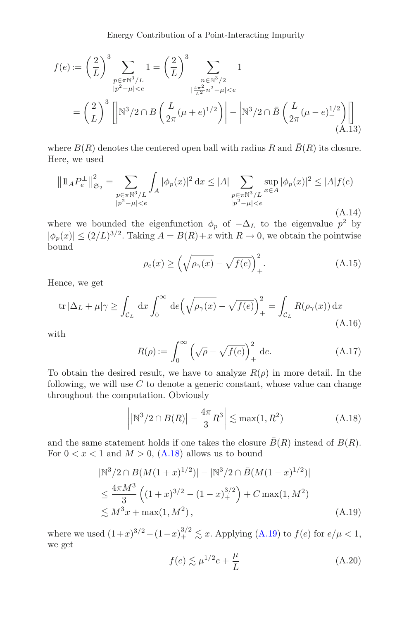$$
f(e) := \left(\frac{2}{L}\right)^3 \sum_{\substack{p \in \pi \mathbb{N}^3/L \\ |p^2 - \mu| < e}} 1 = \left(\frac{2}{L}\right)^3 \sum_{\substack{n \in \mathbb{N}^3/2 \\ |\frac{4\pi^2}{L^2}n^2 - \mu| < e}} 1
$$

$$
= \left(\frac{2}{L}\right)^3 \left[ \left| \mathbb{N}^3/2 \cap B\left(\frac{L}{2\pi}(\mu + e)^{1/2}\right) \right| - \left| \mathbb{N}^3/2 \cap \bar{B}\left(\frac{L}{2\pi}(\mu - e)^{1/2}\right) \right| \right] \tag{A.13}
$$

where  $B(R)$  denotes the centered open ball with radius R and  $\bar{B}(R)$  its closure. Here, we used

$$
\left\|1\!\!1_{A}P_{e}^{\perp}\right\|_{\mathfrak{S}_{2}}^{2} = \sum_{\substack{p \in \pi \mathbb{N}^{3}/L \\ |p^{2}-\mu| < e}} \int_{A} |\phi_{p}(x)|^{2} dx \le |A| \sum_{\substack{p \in \pi \mathbb{N}^{3}/L \\ |p^{2}-\mu| < e}} \sup_{x \in A} |\phi_{p}(x)|^{2} \le |A| f(e) \tag{A.14}
$$

where we bounded the eigenfunction  $\phi_p$  of  $-\Delta_L$  to the eigenvalue  $p^2$  by  $|\phi_p(x)| \leq (2/L)^{3/2}$ . Taking  $A = B(R) + x$  with  $R \to 0$ , we obtain the pointwise bound

$$
\rho_e(x) \ge \left(\sqrt{\rho_\gamma(x)} - \sqrt{f(e)}\right)_+^2.
$$
\n(A.15)

Hence, we get

<span id="page-32-2"></span>
$$
\operatorname{tr}|\Delta_L + \mu|\gamma \ge \int_{\mathcal{C}_L} dx \int_0^\infty de \left(\sqrt{\rho_\gamma(x)} - \sqrt{f(e)}\right)_+^2 = \int_{\mathcal{C}_L} R(\rho_\gamma(x)) dx
$$
\n(A.16)

with

$$
R(\rho) := \int_0^\infty \left(\sqrt{\rho} - \sqrt{f(e)}\right)_+^2 \, \mathrm{d}e. \tag{A.17}
$$

To obtain the desired result, we have to analyze  $R(\rho)$  in more detail. In the following, we will use  $C$  to denote a generic constant, whose value can change throughout the computation. Obviously

<span id="page-32-0"></span>
$$
\left| \left| \mathbb{N}^3 / 2 \cap B(R) \right| - \frac{4\pi}{3} R^3 \right| \lesssim \max(1, R^2)
$$
 (A.18)

and the same statement holds if one takes the closure  $\overline{B}(R)$  instead of  $B(R)$ . For  $0 < x < 1$  and  $M > 0$ , [\(A.18\)](#page-32-0) allows us to bound

$$
|\mathbb{N}^3/2 \cap B(M(1+x)^{1/2})| - |\mathbb{N}^3/2 \cap \bar{B}(M(1-x)^{1/2})|
$$
  
\n
$$
\leq \frac{4\pi M^3}{3} \left( (1+x)^{3/2} - (1-x)^{3/2} \right) + C \max(1, M^2)
$$
  
\n
$$
\lesssim M^3 x + \max(1, M^2), \tag{A.19}
$$

where we used  $(1+x)^{3/2} - (1-x)_+^{3/2} \lesssim x$ . Applying  $(A.19)$  to  $f(e)$  for  $e/\mu < 1$ , we get

<span id="page-32-1"></span>
$$
f(e) \lesssim \mu^{1/2} e + \frac{\mu}{L} \tag{A.20}
$$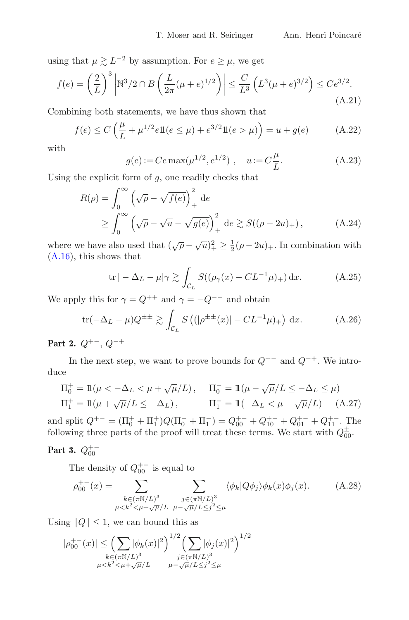using that  $\mu \gtrsim L^{-2}$  by assumption. For  $e \geq \mu$ , we get

$$
f(e) = \left(\frac{2}{L}\right)^3 \left| \mathbb{N}^3 / 2 \cap B\left(\frac{L}{2\pi}(\mu + e)^{1/2}\right) \right| \le \frac{C}{L^3} \left(L^3(\mu + e)^{3/2}\right) \le C e^{3/2}.
$$
\n(A.21)

Combining both statements, we have thus shown that

$$
f(e) \le C\left(\frac{\mu}{L} + \mu^{1/2}e\mathbb{1}(e \le \mu) + e^{3/2}\mathbb{1}(e > \mu)\right) = u + g(e) \tag{A.22}
$$

with

$$
g(e) := Ce \max(\mu^{1/2}, e^{1/2}), \quad u := C\frac{\mu}{L}.
$$
 (A.23)

Using the explicit form of  $q$ , one readily checks that

$$
R(\rho) = \int_0^\infty \left(\sqrt{\rho} - \sqrt{f(e)}\right)_+^2 de
$$
  
 
$$
\geq \int_0^\infty \left(\sqrt{\rho} - \sqrt{u} - \sqrt{g(e)}\right)_+^2 de \gtrsim S((\rho - 2u)_+), \qquad (A.24)
$$

where we have also used that  $(\sqrt{\rho} - \sqrt{u})_+^2 \geq \frac{1}{2}(\rho - 2u)_+$ . In combination with [\(A.16\)](#page-32-2), this shows that

$$
\operatorname{tr} |-\Delta_L - \mu|\gamma \gtrsim \int_{\mathcal{C}_L} S((\rho_\gamma(x) - CL^{-1}\mu)_+) \, \mathrm{d}x. \tag{A.25}
$$

We apply this for  $\gamma = Q^{++}$  and  $\gamma = -Q^{--}$  and obtain

<span id="page-33-0"></span>
$$
\text{tr}(-\Delta_L - \mu)Q^{\pm \pm} \gtrsim \int_{C_L} S\left( (|\rho^{\pm \pm}(x)| - CL^{-1}\mu)_+ \right) \, \text{d}x. \tag{A.26}
$$

**Part 2.**  $Q^{+-}$ ,  $Q^{-+}$ 

In the next step, we want to prove bounds for  $Q^{+-}$  and  $Q^{-+}$ . We introduce

$$
\Pi_0^+ = \mathbb{1}(\mu < -\Delta_L < \mu + \sqrt{\mu}/L), \quad \Pi_0^- = \mathbb{1}(\mu - \sqrt{\mu}/L \le -\Delta_L \le \mu)
$$
  

$$
\Pi_1^+ = \mathbb{1}(\mu + \sqrt{\mu}/L \le -\Delta_L), \quad \Pi_1^- = \mathbb{1}(-\Delta_L < \mu - \sqrt{\mu}/L) \quad (A.27)
$$

and split  $Q^{+-} = (\Pi_0^+ + \Pi_1^+)Q(\Pi_0^- + \Pi_1^-) = Q_{00}^{+-} + Q_{10}^{+-} + Q_{01}^{+-} + Q_{11}^{+-}$ . The following three parts of the proof will treat these terms. We start with  $Q_{00}^{\pm}$ .

# **Part 3.**  $Q_{00}^{+-}$

The density of  $Q_{00}^{+-}$  is equal to

$$
\rho_{00}^{+-}(x) = \sum_{\substack{k \in (\pi \mathbb{N}/L)^3 \\ \mu < k^2 < \mu + \sqrt{\mu}/L}} \sum_{\substack{j \in (\pi \mathbb{N}/L)^3 \\ \mu - \sqrt{\mu}/L \le j^2 \le \mu}} \langle \phi_k | Q \phi_j \rangle \phi_k(x) \phi_j(x). \tag{A.28}
$$

Using  $||Q|| \leq 1$ , we can bound this as

$$
|\rho_{00}^{+-}(x)| \leq \left(\sum_{k \in (\pi \mathbb{N}/L)^3} |\phi_k(x)|^2\right)^{1/2} \left(\sum_{j \in (\pi \mathbb{N}/L)^3} |\phi_j(x)|^2\right)^{1/2}
$$
  

$$
\mu < k^2 < \mu + \sqrt{\mu}/L \qquad \mu - \sqrt{\mu}/L \leq j^2 \leq \mu
$$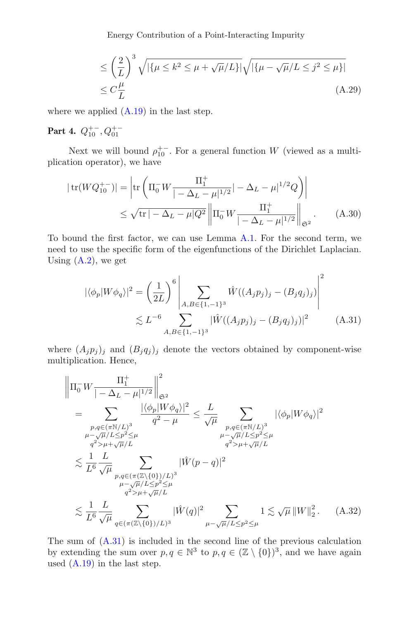<span id="page-34-2"></span>Energy Contribution of a Point-Interacting Impurity

$$
\leq \left(\frac{2}{L}\right)^3 \sqrt{|\{\mu \leq k^2 \leq \mu + \sqrt{\mu}/L\}|} \sqrt{|\{\mu - \sqrt{\mu}/L \leq j^2 \leq \mu\}|}
$$
  

$$
\leq C\frac{\mu}{L}
$$
 (A.29)

where we applied  $(A.19)$  in the last step.

# **Part 4.**  $Q_{10}^{+-}$ ,  $Q_{01}^{+-}$

Next we will bound  $\rho_{10}^{+-}$ . For a general function W (viewed as a multiplication operator), we have

$$
|\operatorname{tr}(WQ_{10}^{+-})| = \left| \operatorname{tr} \left( \Pi_0^- W \frac{\Pi_1^+}{| - \Delta_L - \mu|^{1/2}} | - \Delta_L - \mu|^{1/2} Q \right) \right|
$$
  
 
$$
\leq \sqrt{\operatorname{tr} | - \Delta_L - \mu| Q^2} \left\| \Pi_0^- W \frac{\Pi_1^+}{| - \Delta_L - \mu|^{1/2}} \right\|_{\mathfrak{S}^2}.
$$
 (A.30)

To bound the first factor, we can use Lemma [A.1.](#page-30-1) For the second term, we need to use the specific form of the eigenfunctions of the Dirichlet Laplacian. Using  $(A.2)$ , we get

<span id="page-34-1"></span><span id="page-34-0"></span>
$$
|\langle \phi_p | W \phi_q \rangle|^2 = \left(\frac{1}{2L}\right)^6 \left| \sum_{A, B \in \{1, -1\}^3} \hat{W}((A_j p_j)_j - (B_j q_j)_j) \right|^2
$$
  
 
$$
\lesssim L^{-6} \sum_{A, B \in \{1, -1\}^3} |\hat{W}((A_j p_j)_j - (B_j q_j)_j)|^2 \qquad (A.31)
$$

where  $(A_j p_j)_j$  and  $(B_j q_j)_j$  denote the vectors obtained by component-wise multiplication. Hence,

$$
\|\Pi_0^- W \frac{\Pi_1^+}{| - \Delta_L - \mu|^{1/2}} \|_{\mathfrak{S}^2}^2
$$
\n
$$
= \sum_{\substack{p, q \in (\pi \mathbb{N}/L)^3 \\ \mu - \sqrt{\mu}/L \le p^2 \le \mu \\ q^2 > \mu + \sqrt{\mu}/L}} \frac{|\langle \phi_p | W \phi_q \rangle|^2}{q^2 - \mu} \le \frac{L}{\sqrt{\mu}} \sum_{\substack{p, q \in (\pi \mathbb{N}/L)^3 \\ \mu - \sqrt{\mu}/L \le p^2 \le \mu \\ q^2 > \mu + \sqrt{\mu}/L}} |\langle \phi_p | W \phi_q \rangle|^2
$$
\n
$$
\lesssim \frac{1}{L^6} \frac{L}{\sqrt{\mu}} \sum_{\substack{p, q \in (\pi(\mathbb{Z}\backslash \{0\})/L)^3 \\ \mu - \sqrt{\mu}/L \le p^2 \le \mu \\ q^2 > \mu + \sqrt{\mu}/L}} |\hat{W}(p - q)|^2
$$
\n
$$
\lesssim \frac{1}{L^6} \frac{L}{\sqrt{\mu}} \sum_{\substack{q \in (\pi(\mathbb{Z}\backslash \{0\})/L)^3}} |\hat{W}(q)|^2 \sum_{\mu - \sqrt{\mu}/L \le p^2 \le \mu} 1 \lesssim \sqrt{\mu} \|W\|_2^2. \quad (A.32)
$$

The sum of [\(A.31\)](#page-34-0) is included in the second line of the previous calculation by extending the sum over  $p, q \in \mathbb{N}^3$  to  $p, q \in (\mathbb{Z} \setminus \{0\})^3$ , and we have again used  $(A.19)$  in the last step.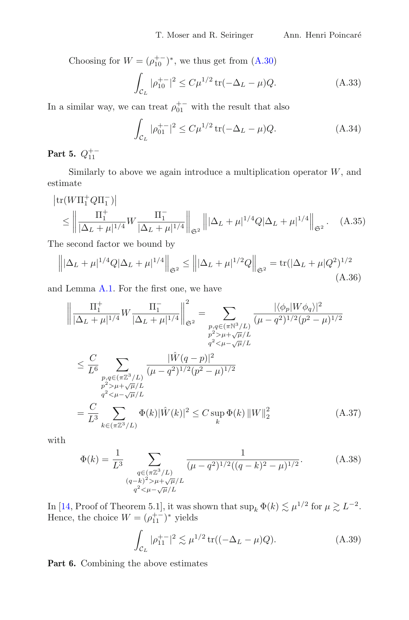Choosing for  $W = (\rho_{10}^{+-})^*$ , we thus get from [\(A.30\)](#page-34-1)

$$
\int_{\mathcal{C}_L} |\rho_{10}^{+-}|^2 \le C\mu^{1/2} \operatorname{tr}(-\Delta_L - \mu) Q. \tag{A.33}
$$

In a similar way, we can treat  $\rho_{01}^{+-}$  with the result that also

<span id="page-35-0"></span>
$$
\int_{\mathcal{C}_L} |\rho_{01}^{+-}|^2 \le C\mu^{1/2} \operatorname{tr}(-\Delta_L - \mu) Q. \tag{A.34}
$$

# **Part 5.**  $Q_{11}^{+-}$

Similarly to above we again introduce a multiplication operator  $W$ , and estimate

$$
|\text{tr}(W\Pi_1^+ Q \Pi_1^-)|
$$
  
\n
$$
\leq \left\| \frac{\Pi_1^+}{|\Delta_L + \mu|^{1/4}} W \frac{\Pi_1^-}{|\Delta_L + \mu|^{1/4}} \right\|_{\mathfrak{S}^2} \left\| |\Delta_L + \mu|^{1/4} Q |\Delta_L + \mu|^{1/4} \right\|_{\mathfrak{S}^2}.
$$
 (A.35)

The second factor we bound by

$$
\left\| |\Delta_L + \mu|^{1/4} Q |\Delta_L + \mu|^{1/4} \right\|_{\mathfrak{S}^2} \le \left\| |\Delta_L + \mu|^{1/2} Q \right\|_{\mathfrak{S}^2} = \text{tr}(|\Delta_L + \mu|Q^2)^{1/2}
$$
\n(A.36)

and Lemma [A.1.](#page-30-1) For the first one, we have

$$
\left\| \frac{\Pi_1^+}{|\Delta_L + \mu|^{1/4}} W \frac{\Pi_1^-}{|\Delta_L + \mu|^{1/4}} \right\|_{\mathfrak{S}^2}^2 = \sum_{\substack{p,q \in (\pi \mathbb{N}^3/L) \\ p^2 > \mu + \sqrt{\mu}/L \\ q^2 < \mu - \sqrt{\mu}/L}} \frac{|\langle \phi_p | W \phi_q \rangle|^2}{(\mu - q^2)^{1/2} (p^2 - \mu)^{1/2}} \n\leq \frac{C}{L^6} \sum_{\substack{p,q \in (\pi \mathbb{Z}^3/L) \\ p^2 > \mu + \sqrt{\mu}/L \\ q^2 < \mu - \sqrt{\mu}/L}} \frac{|\hat{W}(q-p)|^2}{(\mu - q^2)^{1/2} (p^2 - \mu)^{1/2}} \n= \frac{C}{L^3} \sum_{k \in (\pi \mathbb{Z}^3/L)} \Phi(k) |\hat{W}(k)|^2 \leq C \sup_k \Phi(k) \|W\|_2^2
$$
\n(A.37)

with

$$
\Phi(k) = \frac{1}{L^3} \sum_{\substack{q \in (\pi \mathbb{Z}^3/L) \\ (q-k)^2 > \mu + \sqrt{\mu}/L \\ q^2 < \mu - \sqrt{\mu}/L}} \frac{1}{(\mu - q^2)^{1/2} ((q-k)^2 - \mu)^{1/2}}.
$$
 (A.38)

In [\[14,](#page-39-14) Proof of Theorem 5.1], it was shown that  $\sup_k \Phi(k) \lesssim \mu^{1/2}$  for  $\mu \gtrsim L^{-2}$ . Hence, the choice  $W = (\rho_{11}^{+-})^*$  yields

<span id="page-35-1"></span>
$$
\int_{\mathcal{C}_L} |\rho_{11}^{+-}|^2 \lesssim \mu^{1/2} \operatorname{tr}((-\Delta_L - \mu)Q). \tag{A.39}
$$

**Part 6.** Combining the above estimates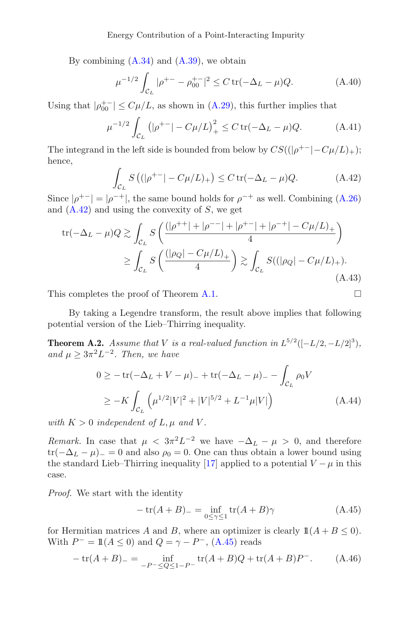By combining  $(A.34)$  and  $(A.39)$ , we obtain

$$
\mu^{-1/2} \int_{C_L} |\rho^{+-} - \rho_{00}^{+-}|^2 \le C \operatorname{tr}(-\Delta_L - \mu) Q. \tag{A.40}
$$

Using that  $|\rho_{00}^{+-}| \leq C\mu/L$ , as shown in [\(A.29\)](#page-34-2), this further implies that

$$
\mu^{-1/2} \int_{\mathcal{C}_L} \left( |\rho^{+-}| - C\mu/L \right)_+^2 \le C \operatorname{tr}(-\Delta_L - \mu) Q. \tag{A.41}
$$

The integrand in the left side is bounded from below by  $CS((|\rho^{+-}|-C\mu/L)_+);$ hence,

<span id="page-36-1"></span>
$$
\int_{\mathcal{C}_L} S\left( (|\rho^{+-}| - C\mu/L)_+ \right) \le C \operatorname{tr}(-\Delta_L - \mu) Q. \tag{A.42}
$$

Since  $|\rho^{+-}| = |\rho^{-+}|$ , the same bound holds for  $\rho^{-+}$  as well. Combining [\(A.26\)](#page-33-0) and  $(A.42)$  and using the convexity of S, we get

tr
$$
( -\Delta_L - \mu) Q \gtrsim \int_{C_L} S \left( \frac{(|\rho^{++}| + |\rho^{--}| + |\rho^{+-}| + |\rho^{-+}| - C\mu/L)_+}{4} \right)
$$
  
 
$$
\ge \int_{C_L} S \left( \frac{(|\rho_Q| - C\mu/L)_+}{4} \right) \gtrsim \int_{C_L} S((|\rho_Q| - C\mu/L)_+).
$$
(A.43)

This completes the proof of Theorem [A.1.](#page-30-0)  $\Box$ 

By taking a Legendre transform, the result above implies that following potential version of the Lieb–Thirring inequality.

**Theorem A.2.** *Assume that V is a real-valued function in*  $L^{5/2}([-L/2, -L/2]^3)$ *, and*  $\mu \geq 3\pi^2 L^{-2}$ *. Then, we have* 

$$
0 \geq -\operatorname{tr}(-\Delta_L + V - \mu)_{-} + \operatorname{tr}(-\Delta_L - \mu)_{-} - \int_{\mathcal{C}_L} \rho_0 V
$$
  
 
$$
\geq -K \int_{\mathcal{C}_L} \left( \mu^{1/2} |V|^2 + |V|^{5/2} + L^{-1} \mu |V| \right) \tag{A.44}
$$

*with*  $K > 0$  *independent of*  $L, \mu$  *and*  $V$ *.* 

*Remark.* In case that  $\mu < 3\pi^2 L^{-2}$  we have  $-\Delta_L - \mu > 0$ , and therefore  $tr(-\Delta_L - \mu) = 0$  and also  $\rho_0 = 0$ . One can thus obtain a lower bound using the standard Lieb–Thirring inequality [\[17](#page-39-16)] applied to a potential  $V - \mu$  in this case.

*Proof.* We start with the identity

<span id="page-36-2"></span>
$$
-\operatorname{tr}(A+B)_{-} = \inf_{0 \le \gamma \le 1} \operatorname{tr}(A+B)\gamma \tag{A.45}
$$

for Hermitian matrices A and B, where an optimizer is clearly  $1\mathbb{1}(A + B \le 0)$ . With  $P^- = \mathbb{1}(A \leq 0)$  and  $Q = \gamma - P^-$ , [\(A.45\)](#page-36-2) reads

$$
-\operatorname{tr}(A+B)_{-} = \inf_{-P^{-} \le Q \le 1-P^{-}} \operatorname{tr}(A+B)Q + \operatorname{tr}(A+B)P^{-}.
$$
 (A.46)

<span id="page-36-0"></span>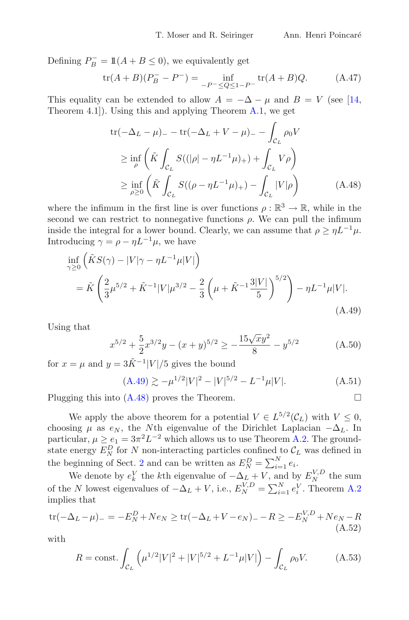Defining  $P_B^- = \mathbb{1}(A + B \le 0)$ , we equivalently get

$$
\text{tr}(A+B)(P_B^- - P^-) = \inf_{-P^- \le Q \le 1 - P^-} \text{tr}(A+B)Q. \tag{A.47}
$$

This equality can be extended to allow  $A = -\Delta - \mu$  and  $B = V$  (see [\[14,](#page-39-14) Theorem 4.1]). Using this and applying Theorem [A.1,](#page-30-0) we get

<span id="page-37-1"></span>
$$
\text{tr}(-\Delta_L - \mu) = -\text{tr}(-\Delta_L + V - \mu) = -\int_{\mathcal{C}_L} \rho_0 V
$$
\n
$$
\geq \inf_{\rho} \left( \tilde{K} \int_{\mathcal{C}_L} S((|\rho| - \eta L^{-1} \mu)_+) + \int_{\mathcal{C}_L} V \rho \right)
$$
\n
$$
\geq \inf_{\rho \geq 0} \left( \tilde{K} \int_{\mathcal{C}_L} S((\rho - \eta L^{-1} \mu)_+) - \int_{\mathcal{C}_L} |V|\rho \right) \tag{A.48}
$$

where the infimum in the first line is over functions  $\rho : \mathbb{R}^3 \to \mathbb{R}$ , while in the second we can restrict to nonnegative functions  $\rho$ . We can pull the infimum inside the integral for a lower bound. Clearly, we can assume that  $\rho \geq \eta L^{-1} \mu$ . Introducing  $\gamma = \rho - \eta L^{-1} \mu$ , we have

<span id="page-37-0"></span>
$$
\inf_{\gamma \ge 0} \left( \tilde{K} S(\gamma) - |V|\gamma - \eta L^{-1} \mu |V| \right) \n= \tilde{K} \left( \frac{2}{3} \mu^{5/2} + \tilde{K}^{-1} |V| \mu^{3/2} - \frac{2}{3} \left( \mu + \tilde{K}^{-1} \frac{3|V|}{5} \right)^{5/2} \right) - \eta L^{-1} \mu |V|.
$$
\n(A.49)

Using that

$$
x^{5/2} + \frac{5}{2}x^{3/2}y - (x+y)^{5/2} \ge -\frac{15\sqrt{xy^2}}{8} - y^{5/2}
$$
 (A.50)

for  $x = \mu$  and  $y = 3\tilde{K}^{-1}|V|/5$  gives the bound

$$
(A.49) \gtrsim -\mu^{1/2} |V|^2 - |V|^{5/2} - L^{-1}\mu |V|.
$$
 (A.51)

Plugging this into  $(A.48)$  proves the Theorem.

We apply the above theorem for a potential  $V \in L^{5/2}(\mathcal{C}_L)$  with  $V \leq 0$ , choosing  $\mu$  as  $e_N$ , the Nth eigenvalue of the Dirichlet Laplacian  $-\Delta_L$ . In particular,  $\mu \ge e_1 = 3\pi^2 L^{-2}$  which allows us to use Theorem [A.2.](#page-36-0) The groundstate energy  $\overline{E_N^D}$  for N non-interacting particles confined to  $\mathcal{C}_L$  was defined in the beginning of Sect. [2](#page-3-3) and can be written as  $E_N^D = \sum_{i=1}^N e_i$ .

We denote by  $e_k^V$  the kth eigenvalue of  $-\Delta_L^L + V$ , and by  $E_N^{V,D}$  the sum of the N lowest eigenvalues of  $-\Delta_L + V$ , i.e.,  $E_N^{V,D} = \sum_{i=1}^N e_i^V$ . Theorem [A.2](#page-36-0) implies that

$$
\text{tr}(-\Delta_L - \mu)_- = -E_N^D + Ne_N \ge \text{tr}(-\Delta_L + V - e_N)_- - R \ge -E_N^{V,D} + Ne_N - R
$$
\n(A.52)

with

$$
R = \text{const.} \int_{\mathcal{C}_L} \left( \mu^{1/2} |V|^2 + |V|^{5/2} + L^{-1} \mu |V| \right) - \int_{\mathcal{C}_L} \rho_0 V. \tag{A.53}
$$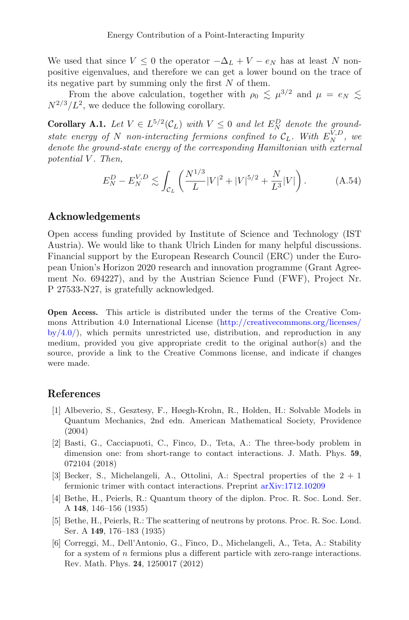We used that since  $V \leq 0$  the operator  $-\Delta_L + V - e_N$  has at least N nonpositive eigenvalues, and therefore we can get a lower bound on the trace of its negative part by summing only the first  $N$  of them.

<span id="page-38-6"></span>From the above calculation, together with  $\rho_0 \lesssim \mu^{3/2}$  and  $\mu = e_N \lesssim$  $N^{2/3}/L^2$ , we deduce the following corollary.

**Corollary A.1.** Let  $V \in L^{5/2}(\mathcal{C}_L)$  with  $V \leq 0$  and let  $E_N^D$  denote the ground*state energy of* N *non-interacting fermions confined to*  $C_L$ . With  $E_N^{\tilde{V},D}$ , we *denote the ground-state energy of the corresponding Hamiltonian with external potential* V *. Then,*

<span id="page-38-7"></span>
$$
E_N^D - E_N^{V,D} \lesssim \int_{\mathcal{C}_L} \left( \frac{N^{1/3}}{L} |V|^2 + |V|^{5/2} + \frac{N}{L^3} |V| \right). \tag{A.54}
$$

### **Acknowledgements**

Open access funding provided by Institute of Science and Technology (IST Austria). We would like to thank Ulrich Linden for many helpful discussions. Financial support by the European Research Council (ERC) under the European Union's Horizon 2020 research and innovation programme (Grant Agreement No. 694227), and by the Austrian Science Fund (FWF), Project Nr. P 27533-N27, is gratefully acknowledged.

**Open Access.** This article is distributed under the terms of the Creative Commons Attribution 4.0 International License [\(http://creativecommons.org/licenses/](http://creativecommons.org/licenses/by/4.0/)  $by/4.0$ , which permits unrestricted use, distribution, and reproduction in any medium, provided you give appropriate credit to the original author(s) and the source, provide a link to the Creative Commons license, and indicate if changes were made.

#### **References**

- <span id="page-38-2"></span>[1] Albeverio, S., Gesztesy, F., Høegh-Krohn, R., Holden, H.: Solvable Models in Quantum Mechanics, 2nd edn. American Mathematical Society, Providence (2004)
- <span id="page-38-3"></span>[2] Basti, G., Cacciapuoti, C., Finco, D., Teta, A.: The three-body problem in dimension one: from short-range to contact interactions. J. Math. Phys. **59**, 072104 (2018)
- <span id="page-38-4"></span>[3] Becker, S., Michelangeli, A., Ottolini, A.: Spectral properties of the  $2 + 1$ fermionic trimer with contact interactions. Preprint [arXiv:1712.10209](http://arxiv.org/abs/1712.10209)
- <span id="page-38-0"></span>[4] Bethe, H., Peierls, R.: Quantum theory of the diplon. Proc. R. Soc. Lond. Ser. A **148**, 146–156 (1935)
- <span id="page-38-1"></span>[5] Bethe, H., Peierls, R.: The scattering of neutrons by protons. Proc. R. Soc. Lond. Ser. A **149**, 176–183 (1935)
- <span id="page-38-5"></span>[6] Correggi, M., Dell'Antonio, G., Finco, D., Michelangeli, A., Teta, A.: Stability for a system of n fermions plus a different particle with zero-range interactions. Rev. Math. Phys. **24**, 1250017 (2012)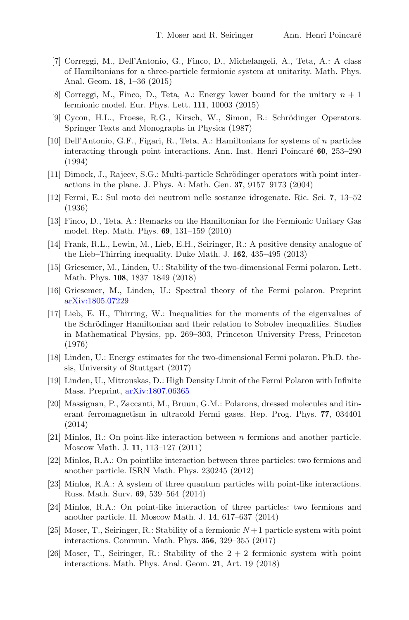- [7] Correggi, M., Dell'Antonio, G., Finco, D., Michelangeli, A., Teta, A.: A class of Hamiltonians for a three-particle fermionic system at unitarity. Math. Phys. Anal. Geom. **18**, 1–36 (2015)
- <span id="page-39-10"></span>[8] Correggi, M., Finco, D., Teta, A.: Energy lower bound for the unitary  $n + 1$ fermionic model. Eur. Phys. Lett. **111**, 10003 (2015)
- <span id="page-39-15"></span>[9] Cycon, H.L., Froese, R.G., Kirsch, W., Simon, B.: Schrödinger Operators. Springer Texts and Monographs in Physics (1987)
- <span id="page-39-2"></span>[10] Dell'Antonio, G.F., Figari, R., Teta, A.: Hamiltonians for systems of n particles interacting through point interactions. Ann. Inst. Henri Poincar´e **60**, 253–290 (1994)
- <span id="page-39-3"></span>[11] Dimock, J., Rajeev, S.G.: Multi-particle Schrödinger operators with point interactions in the plane. J. Phys. A: Math. Gen. **37**, 9157–9173 (2004)
- <span id="page-39-0"></span>[12] Fermi, E.: Sul moto dei neutroni nelle sostanze idrogenate. Ric. Sci. **7**, 13–52 (1936)
- <span id="page-39-8"></span>[13] Finco, D., Teta, A.: Remarks on the Hamiltonian for the Fermionic Unitary Gas model. Rep. Math. Phys. **69**, 131–159 (2010)
- <span id="page-39-14"></span>[14] Frank, R.L., Lewin, M., Lieb, E.H., Seiringer, R.: A positive density analogue of the Lieb–Thirring inequality. Duke Math. J. **162**, 435–495 (2013)
- <span id="page-39-4"></span>[15] Griesemer, M., Linden, U.: Stability of the two-dimensional Fermi polaron. Lett. Math. Phys. **108**, 1837–1849 (2018)
- <span id="page-39-5"></span>[16] Griesemer, M., Linden, U.: Spectral theory of the Fermi polaron. Preprint [arXiv:1805.07229](http://arxiv.org/abs/1805.07229)
- <span id="page-39-16"></span>[17] Lieb, E. H., Thirring, W.: Inequalities for the moments of the eigenvalues of the Schrödinger Hamiltonian and their relation to Sobolev inequalities. Studies in Mathematical Physics, pp. 269–303, Princeton University Press, Princeton (1976)
- <span id="page-39-6"></span>[18] Linden, U.: Energy estimates for the two-dimensional Fermi polaron. Ph.D. thesis, University of Stuttgart (2017)
- <span id="page-39-7"></span>[19] Linden, U., Mitrouskas, D.: High Density Limit of the Fermi Polaron with Infinite Mass. Preprint, [arXiv:1807.06365](http://arxiv.org/abs/1807.06365)
- <span id="page-39-1"></span>[20] Massignan, P., Zaccanti, M., Bruun, G.M.: Polarons, dressed molecules and itinerant ferromagnetism in ultracold Fermi gases. Rep. Prog. Phys. **77**, 034401 (2014)
- <span id="page-39-9"></span>[21] Minlos, R.: On point-like interaction between n fermions and another particle. Moscow Math. J. **11**, 113–127 (2011)
- [22] Minlos, R.A.: On pointlike interaction between three particles: two fermions and another particle. ISRN Math. Phys. 230245 (2012)
- [23] Minlos, R.A.: A system of three quantum particles with point-like interactions. Russ. Math. Surv. **69**, 539–564 (2014)
- <span id="page-39-11"></span>[24] Minlos, R.A.: On point-like interaction of three particles: two fermions and another particle. II. Moscow Math. J. **14**, 617–637 (2014)
- <span id="page-39-12"></span>[25] Moser, T., Seiringer, R.: Stability of a fermionic  $N+1$  particle system with point interactions. Commun. Math. Phys. **356**, 329–355 (2017)
- <span id="page-39-13"></span>[26] Moser, T., Seiringer, R.: Stability of the  $2+2$  fermionic system with point interactions. Math. Phys. Anal. Geom. **21**, Art. 19 (2018)